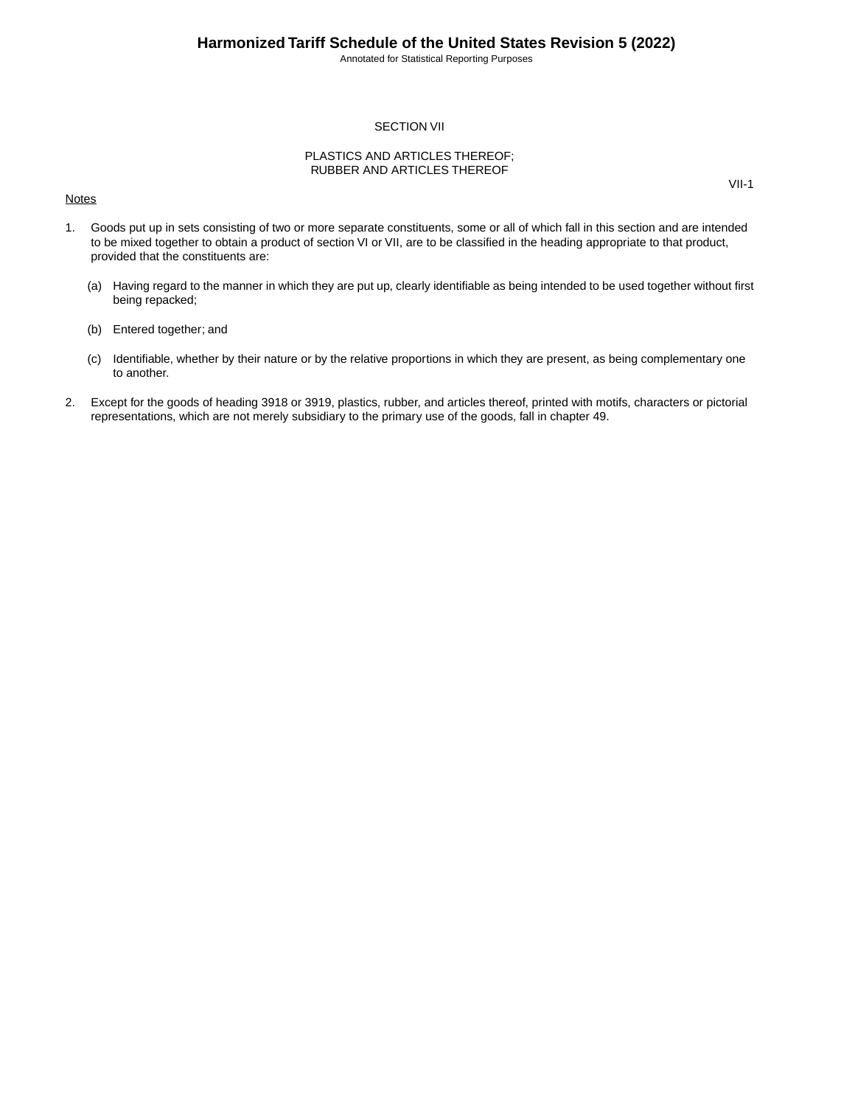Annotated for Statistical Reporting Purposes

VII-1

#### SECTION VII

#### PLASTICS AND ARTICLES THEREOF; RUBBER AND ARTICLES THEREOF

#### **Notes**

1. Goods put up in sets consisting of two or more separate constituents, some or all of which fall in this section and are intended to be mixed together to obtain a product of section VI or VII, are to be classified in the heading appropriate to that product, provided that the constituents are:

- (a) Having regard to the manner in which they are put up, clearly identifiable as being intended to be used together without first being repacked;
- (b) Entered together; and
- (c) Identifiable, whether by their nature or by the relative proportions in which they are present, as being complementary one to another.
- 2. Except for the goods of heading 3918 or 3919, plastics, rubber, and articles thereof, printed with motifs, characters or pictorial representations, which are not merely subsidiary to the primary use of the goods, fall in chapter 49.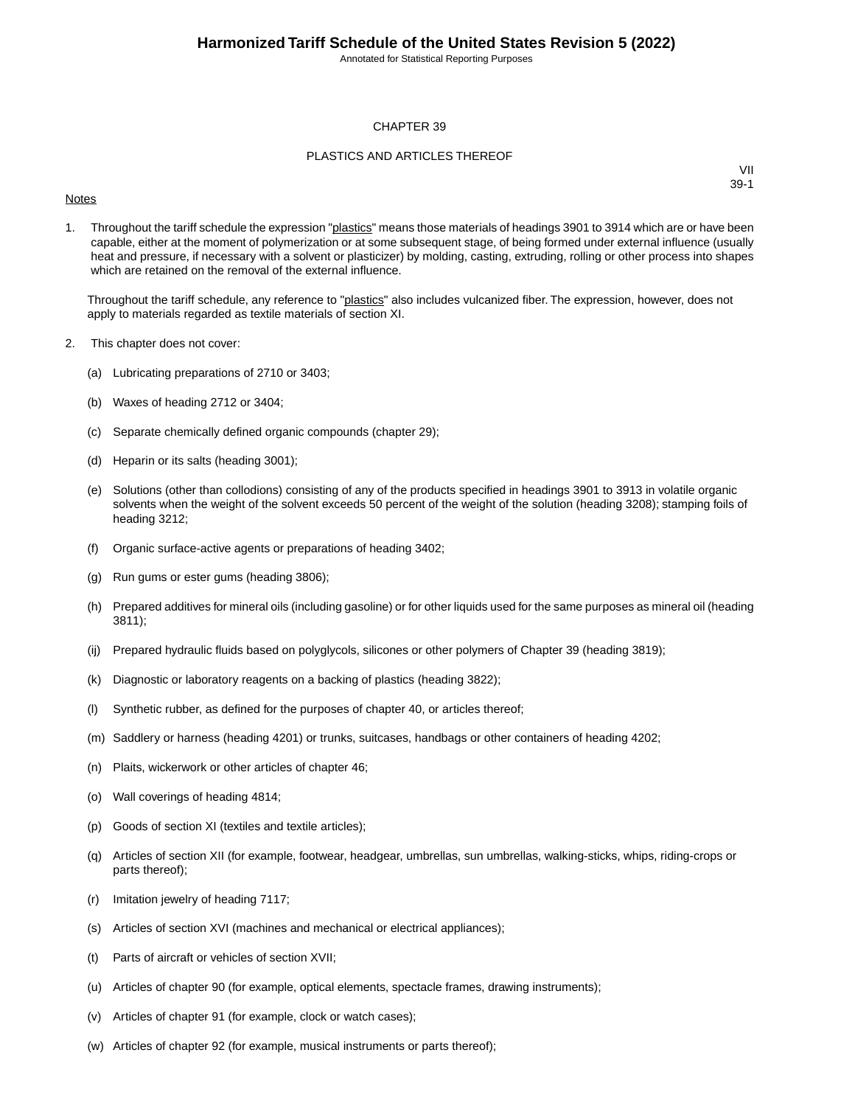Annotated for Statistical Reporting Purposes

#### CHAPTER 39

#### PLASTICS AND ARTICLES THEREOF

#### **Notes**

VII 39-1

1. Throughout the tariff schedule the expression "plastics" means those materials of headings 3901 to 3914 which are or have been capable, either at the moment of polymerization or at some subsequent stage, of being formed under external influence (usually heat and pressure, if necessary with a solvent or plasticizer) by molding, casting, extruding, rolling or other process into shapes which are retained on the removal of the external influence.

Throughout the tariff schedule, any reference to "plastics" also includes vulcanized fiber. The expression, however, does not apply to materials regarded as textile materials of section XI.

- 2. This chapter does not cover:
	- (a) Lubricating preparations of 2710 or 3403;
	- (b) Waxes of heading 2712 or 3404;
	- (c) Separate chemically defined organic compounds (chapter 29);
	- (d) Heparin or its salts (heading 3001);
	- (e) Solutions (other than collodions) consisting of any of the products specified in headings 3901 to 3913 in volatile organic solvents when the weight of the solvent exceeds 50 percent of the weight of the solution (heading 3208); stamping foils of heading 3212;
	- (f) Organic surface-active agents or preparations of heading 3402;
	- (g) Run gums or ester gums (heading 3806);
	- (h) Prepared additives for mineral oils (including gasoline) or for other liquids used for the same purposes as mineral oil (heading 3811);
	- (ij) Prepared hydraulic fluids based on polyglycols, silicones or other polymers of Chapter 39 (heading 3819);
	- (k) Diagnostic or laboratory reagents on a backing of plastics (heading 3822);
	- (l) Synthetic rubber, as defined for the purposes of chapter 40, or articles thereof;
	- (m) Saddlery or harness (heading 4201) or trunks, suitcases, handbags or other containers of heading 4202;
	- (n) Plaits, wickerwork or other articles of chapter 46;
	- (o) Wall coverings of heading 4814;
	- (p) Goods of section XI (textiles and textile articles);
	- (q) Articles of section XII (for example, footwear, headgear, umbrellas, sun umbrellas, walking-sticks, whips, riding-crops or parts thereof);
	- (r) Imitation jewelry of heading 7117;
	- (s) Articles of section XVI (machines and mechanical or electrical appliances);
	- (t) Parts of aircraft or vehicles of section XVII;
	- (u) Articles of chapter 90 (for example, optical elements, spectacle frames, drawing instruments);
	- (v) Articles of chapter 91 (for example, clock or watch cases);
	- (w) Articles of chapter 92 (for example, musical instruments or parts thereof);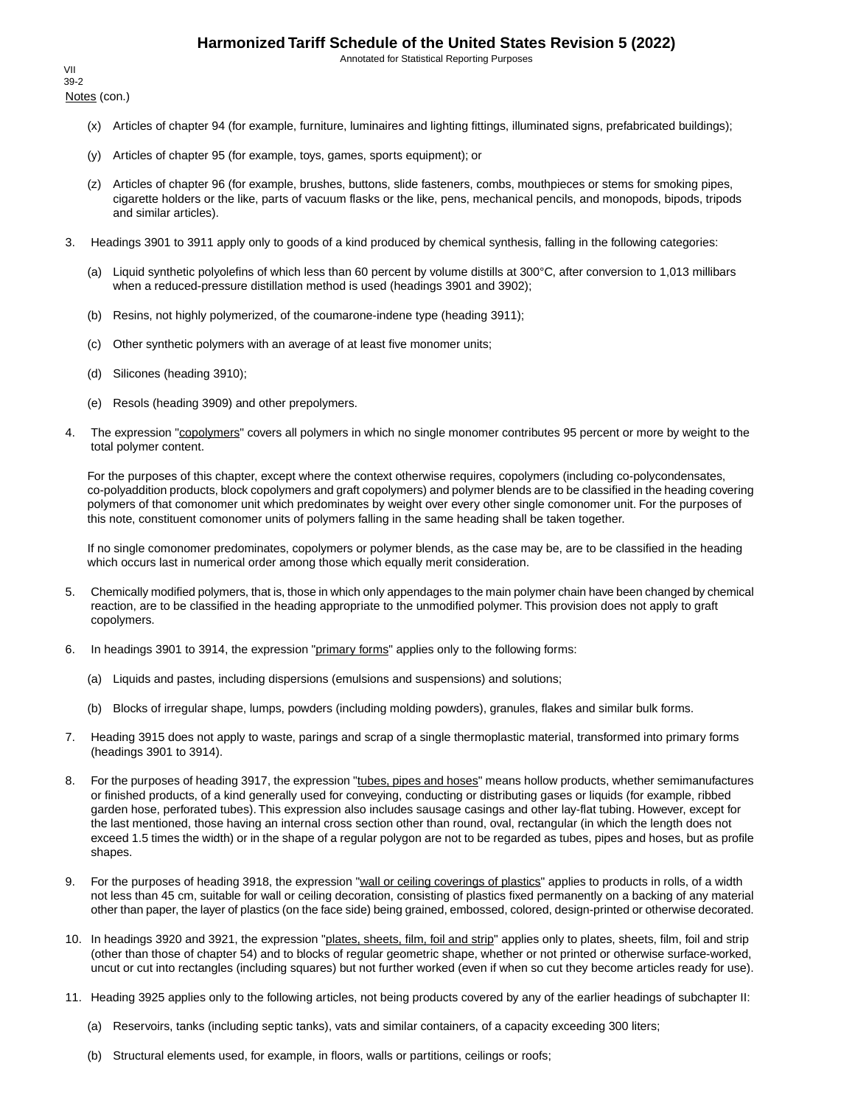Annotated for Statistical Reporting Purposes

Notes (con.) VII 39-2

- (x) Articles of chapter 94 (for example, furniture, luminaires and lighting fittings, illuminated signs, prefabricated buildings);
- (y) Articles of chapter 95 (for example, toys, games, sports equipment); or
- (z) Articles of chapter 96 (for example, brushes, buttons, slide fasteners, combs, mouthpieces or stems for smoking pipes, cigarette holders or the like, parts of vacuum flasks or the like, pens, mechanical pencils, and monopods, bipods, tripods and similar articles).
- 3. Headings 3901 to 3911 apply only to goods of a kind produced by chemical synthesis, falling in the following categories:
	- (a) Liquid synthetic polyolefins of which less than 60 percent by volume distills at 300°C, after conversion to 1,013 millibars when a reduced-pressure distillation method is used (headings 3901 and 3902);
	- (b) Resins, not highly polymerized, of the coumarone-indene type (heading 3911);
	- (c) Other synthetic polymers with an average of at least five monomer units;
	- (d) Silicones (heading 3910);
	- (e) Resols (heading 3909) and other prepolymers.
- 4. The expression "copolymers" covers all polymers in which no single monomer contributes 95 percent or more by weight to the total polymer content.

For the purposes of this chapter, except where the context otherwise requires, copolymers (including co-polycondensates, co-polyaddition products, block copolymers and graft copolymers) and polymer blends are to be classified in the heading covering polymers of that comonomer unit which predominates by weight over every other single comonomer unit. For the purposes of this note, constituent comonomer units of polymers falling in the same heading shall be taken together.

If no single comonomer predominates, copolymers or polymer blends, as the case may be, are to be classified in the heading which occurs last in numerical order among those which equally merit consideration.

- 5. Chemically modified polymers, that is, those in which only appendages to the main polymer chain have been changed by chemical reaction, are to be classified in the heading appropriate to the unmodified polymer. This provision does not apply to graft copolymers.
- 6. In headings 3901 to 3914, the expression "primary forms" applies only to the following forms:
	- (a) Liquids and pastes, including dispersions (emulsions and suspensions) and solutions;
	- (b) Blocks of irregular shape, lumps, powders (including molding powders), granules, flakes and similar bulk forms.
- 7. Heading 3915 does not apply to waste, parings and scrap of a single thermoplastic material, transformed into primary forms (headings 3901 to 3914).
- 8. For the purposes of heading 3917, the expression "tubes, pipes and hoses" means hollow products, whether semimanufactures or finished products, of a kind generally used for conveying, conducting or distributing gases or liquids (for example, ribbed garden hose, perforated tubes). This expression also includes sausage casings and other lay-flat tubing. However, except for the last mentioned, those having an internal cross section other than round, oval, rectangular (in which the length does not exceed 1.5 times the width) or in the shape of a regular polygon are not to be regarded as tubes, pipes and hoses, but as profile shapes.
- 9. For the purposes of heading 3918, the expression "wall or ceiling coverings of plastics" applies to products in rolls, of a width not less than 45 cm, suitable for wall or ceiling decoration, consisting of plastics fixed permanently on a backing of any material other than paper, the layer of plastics (on the face side) being grained, embossed, colored, design-printed or otherwise decorated.
- 10. In headings 3920 and 3921, the expression "plates, sheets, film, foil and strip" applies only to plates, sheets, film, foil and strip (other than those of chapter 54) and to blocks of regular geometric shape, whether or not printed or otherwise surface-worked, uncut or cut into rectangles (including squares) but not further worked (even if when so cut they become articles ready for use).
- 11. Heading 3925 applies only to the following articles, not being products covered by any of the earlier headings of subchapter II:
	- (a) Reservoirs, tanks (including septic tanks), vats and similar containers, of a capacity exceeding 300 liters;
	- (b) Structural elements used, for example, in floors, walls or partitions, ceilings or roofs;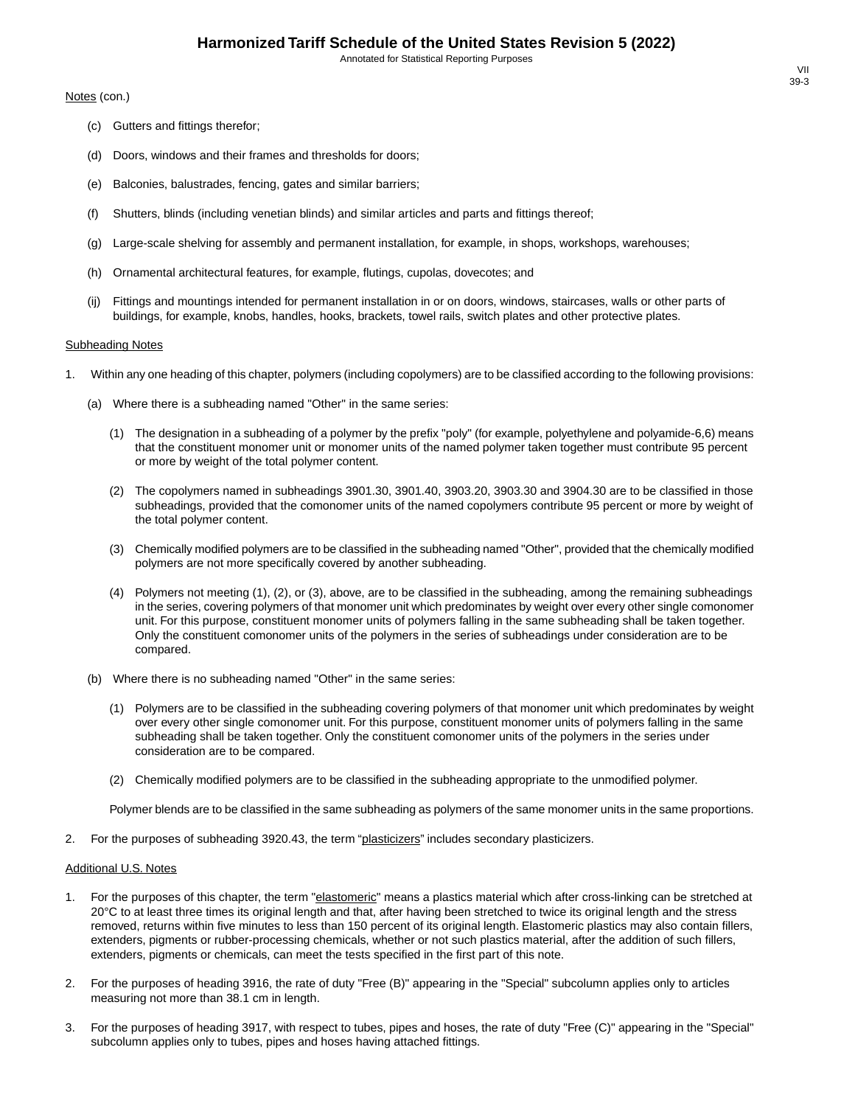Annotated for Statistical Reporting Purposes

Notes (con.)

- (c) Gutters and fittings therefor;
- (d) Doors, windows and their frames and thresholds for doors;
- (e) Balconies, balustrades, fencing, gates and similar barriers;
- (f) Shutters, blinds (including venetian blinds) and similar articles and parts and fittings thereof;
- (g) Large-scale shelving for assembly and permanent installation, for example, in shops, workshops, warehouses;
- (h) Ornamental architectural features, for example, flutings, cupolas, dovecotes; and
- (ij) Fittings and mountings intended for permanent installation in or on doors, windows, staircases, walls or other parts of buildings, for example, knobs, handles, hooks, brackets, towel rails, switch plates and other protective plates.

#### **Subheading Notes**

- 1. Within any one heading of this chapter, polymers (including copolymers) are to be classified according to the following provisions:
	- (a) Where there is a subheading named "Other" in the same series:
		- (1) The designation in a subheading of a polymer by the prefix "poly" (for example, polyethylene and polyamide-6,6) means that the constituent monomer unit or monomer units of the named polymer taken together must contribute 95 percent or more by weight of the total polymer content.
		- (2) The copolymers named in subheadings 3901.30, 3901.40, 3903.20, 3903.30 and 3904.30 are to be classified in those subheadings, provided that the comonomer units of the named copolymers contribute 95 percent or more by weight of the total polymer content.
		- (3) Chemically modified polymers are to be classified in the subheading named "Other", provided that the chemically modified polymers are not more specifically covered by another subheading.
		- (4) Polymers not meeting (1), (2), or (3), above, are to be classified in the subheading, among the remaining subheadings in the series, covering polymers of that monomer unit which predominates by weight over every other single comonomer unit. For this purpose, constituent monomer units of polymers falling in the same subheading shall be taken together. Only the constituent comonomer units of the polymers in the series of subheadings under consideration are to be compared.
	- (b) Where there is no subheading named "Other" in the same series:
		- (1) Polymers are to be classified in the subheading covering polymers of that monomer unit which predominates by weight over every other single comonomer unit. For this purpose, constituent monomer units of polymers falling in the same subheading shall be taken together. Only the constituent comonomer units of the polymers in the series under consideration are to be compared.
		- (2) Chemically modified polymers are to be classified in the subheading appropriate to the unmodified polymer.

Polymer blends are to be classified in the same subheading as polymers of the same monomer units in the same proportions.

2. For the purposes of subheading 3920.43, the term "plasticizers" includes secondary plasticizers.

#### Additional U.S. Notes

- 1. For the purposes of this chapter, the term "elastomeric" means a plastics material which after cross-linking can be stretched at 20°C to at least three times its original length and that, after having been stretched to twice its original length and the stress removed, returns within five minutes to less than 150 percent of its original length. Elastomeric plastics may also contain fillers, extenders, pigments or rubber-processing chemicals, whether or not such plastics material, after the addition of such fillers, extenders, pigments or chemicals, can meet the tests specified in the first part of this note.
- 2. For the purposes of heading 3916, the rate of duty "Free (B)" appearing in the "Special" subcolumn applies only to articles measuring not more than 38.1 cm in length.
- 3. For the purposes of heading 3917, with respect to tubes, pipes and hoses, the rate of duty "Free (C)" appearing in the "Special" subcolumn applies only to tubes, pipes and hoses having attached fittings.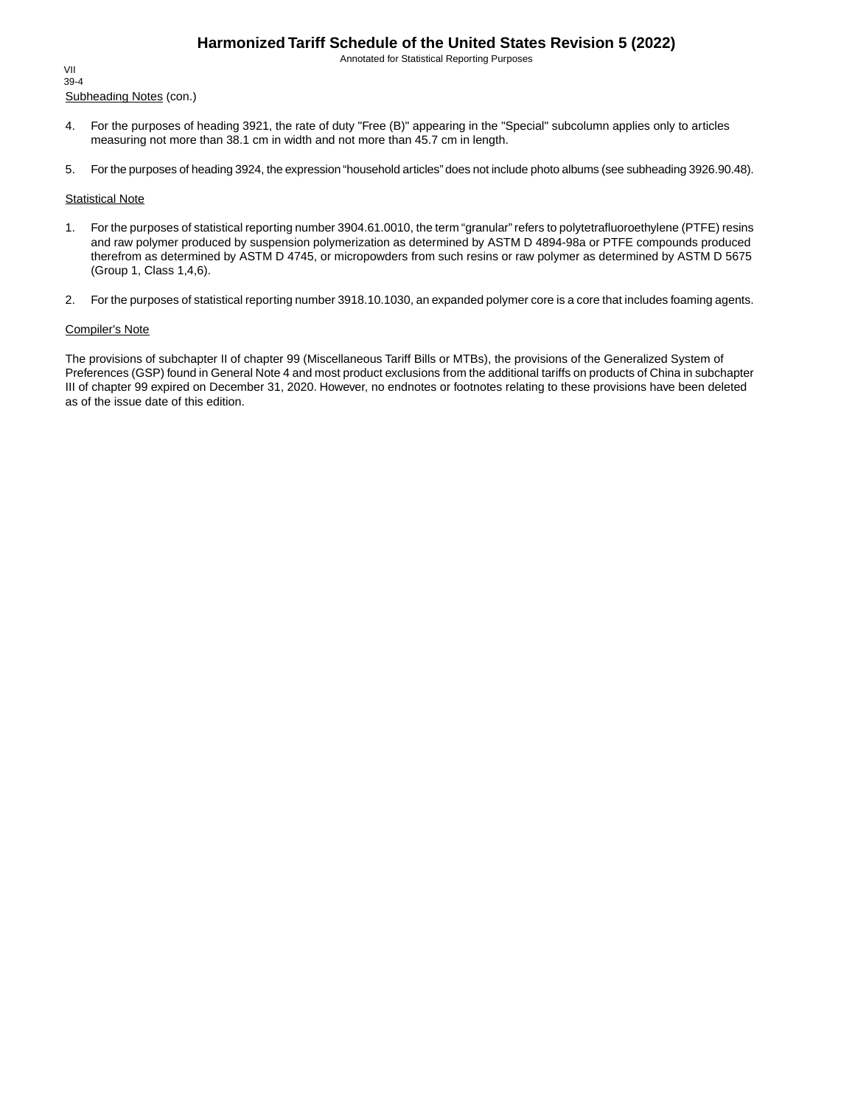Annotated for Statistical Reporting Purposes

Subheading Notes (con.) VII 39-4

- 4. For the purposes of heading 3921, the rate of duty "Free (B)" appearing in the "Special" subcolumn applies only to articles measuring not more than 38.1 cm in width and not more than 45.7 cm in length.
- 5. For the purposes of heading 3924, the expression "household articles" does not include photo albums (see subheading 3926.90.48).

#### **Statistical Note**

- 1. For the purposes of statistical reporting number 3904.61.0010, the term "granular" refers to polytetrafluoroethylene (PTFE) resins and raw polymer produced by suspension polymerization as determined by ASTM D 4894-98a or PTFE compounds produced therefrom as determined by ASTM D 4745, or micropowders from such resins or raw polymer as determined by ASTM D 5675 (Group 1, Class 1,4,6).
- 2. For the purposes of statistical reporting number 3918.10.1030, an expanded polymer core is a core that includes foaming agents.

#### Compiler's Note

The provisions of subchapter II of chapter 99 (Miscellaneous Tariff Bills or MTBs), the provisions of the Generalized System of Preferences (GSP) found in General Note 4 and most product exclusions from the additional tariffs on products of China in subchapter III of chapter 99 expired on December 31, 2020. However, no endnotes or footnotes relating to these provisions have been deleted as of the issue date of this edition.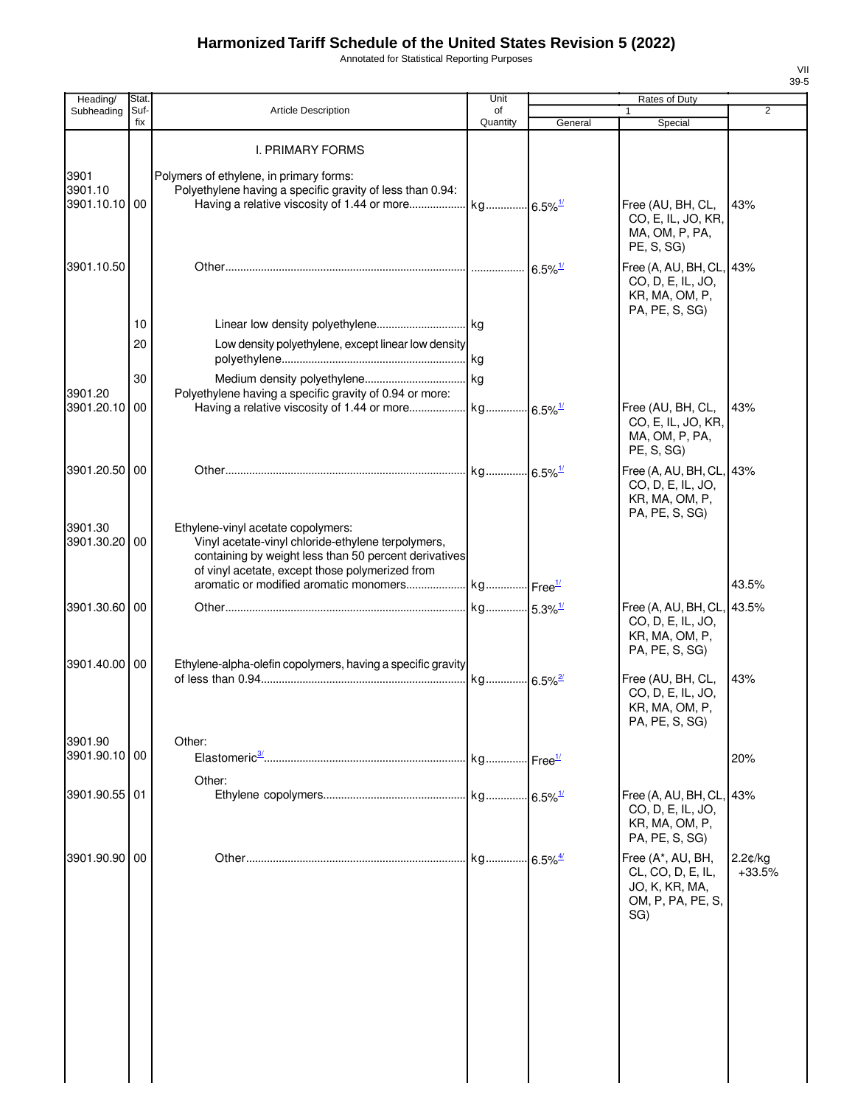Annotated for Statistical Reporting Purposes

| Heading/                         | Stat.       |                                                                                                                                                                                                      | Unit                  |                       | Rates of Duty                                                                        |                     |
|----------------------------------|-------------|------------------------------------------------------------------------------------------------------------------------------------------------------------------------------------------------------|-----------------------|-----------------------|--------------------------------------------------------------------------------------|---------------------|
| Subheading                       | Suf-<br>fix | <b>Article Description</b>                                                                                                                                                                           | of<br>Quantity        | General               | Special                                                                              | 2                   |
|                                  |             | <b>I. PRIMARY FORMS</b>                                                                                                                                                                              |                       |                       |                                                                                      |                     |
| 3901<br>3901.10<br>3901.10.10 00 |             | Polymers of ethylene, in primary forms:<br>Polyethylene having a specific gravity of less than 0.94:                                                                                                 |                       |                       | Free (AU, BH, CL,<br>CO, E, IL, JO, KR,<br>MA, OM, P, PA,<br>PE, S, SG)              | 43%                 |
| 3901.10.50                       |             |                                                                                                                                                                                                      |                       | $6.5\%$ <sup>1/</sup> | Free (A, AU, BH, CL, 43%<br>CO, D, E, IL, JO,<br>KR, MA, OM, P,<br>PA, PE, S, SG)    |                     |
|                                  | 10          |                                                                                                                                                                                                      |                       |                       |                                                                                      |                     |
|                                  | 20          | Low density polyethylene, except linear low density                                                                                                                                                  |                       |                       |                                                                                      |                     |
| 3901.20                          | 30          | Polyethylene having a specific gravity of 0.94 or more:                                                                                                                                              |                       |                       |                                                                                      |                     |
| 3901.20.10                       | 00          |                                                                                                                                                                                                      |                       |                       | Free (AU, BH, CL,<br>CO, E, IL, JO, KR,<br>MA, OM, P, PA,<br>PE, S, SG)              | 43%                 |
| 3901.20.50                       | 00          |                                                                                                                                                                                                      |                       |                       | Free (A, AU, BH, CL, 43%<br>CO, D, E, IL, JO,<br>KR, MA, OM, P,<br>PA, PE, S, SG)    |                     |
| 3901.30<br>3901.30.20            | 00          | Ethylene-vinyl acetate copolymers:<br>Vinyl acetate-vinyl chloride-ethylene terpolymers,<br>containing by weight less than 50 percent derivatives<br>of vinyl acetate, except those polymerized from |                       |                       |                                                                                      |                     |
|                                  |             |                                                                                                                                                                                                      |                       |                       |                                                                                      | 43.5%               |
| 3901.30.60                       | 00          |                                                                                                                                                                                                      | kg 5.3% <sup>1/</sup> |                       | Free (A, AU, BH, CL, 43.5%<br>CO, D, E, IL, JO,<br>KR, MA, OM, P,<br>PA, PE, S, SG)  |                     |
| 3901.40.00 00                    |             | Ethylene-alpha-olefin copolymers, having a specific gravity                                                                                                                                          |                       |                       | Free (AU, BH, CL,<br>CO, D, E, IL, JO,<br>KR, MA, OM, P,<br>PA, PE, S, SG)           | 43%                 |
| 3901.90                          |             | Other:                                                                                                                                                                                               |                       |                       |                                                                                      |                     |
| 3901.90.10 00                    |             | Other:                                                                                                                                                                                               | kg Free <sup>1/</sup> |                       |                                                                                      | 20%                 |
| 3901.90.55 01                    |             |                                                                                                                                                                                                      |                       |                       | Free (A, AU, BH, CL,<br>CO, D, E, IL, JO,<br>KR, MA, OM, P,<br>PA, PE, S, SG)        | 43%                 |
| 3901.90.90                       | 00          |                                                                                                                                                                                                      |                       |                       | Free (A*, AU, BH,<br>CL, CO, D, E, IL,<br>JO, K, KR, MA,<br>OM, P, PA, PE, S,<br>SG) | 2.2¢/kg<br>$+33.5%$ |
|                                  |             |                                                                                                                                                                                                      |                       |                       |                                                                                      |                     |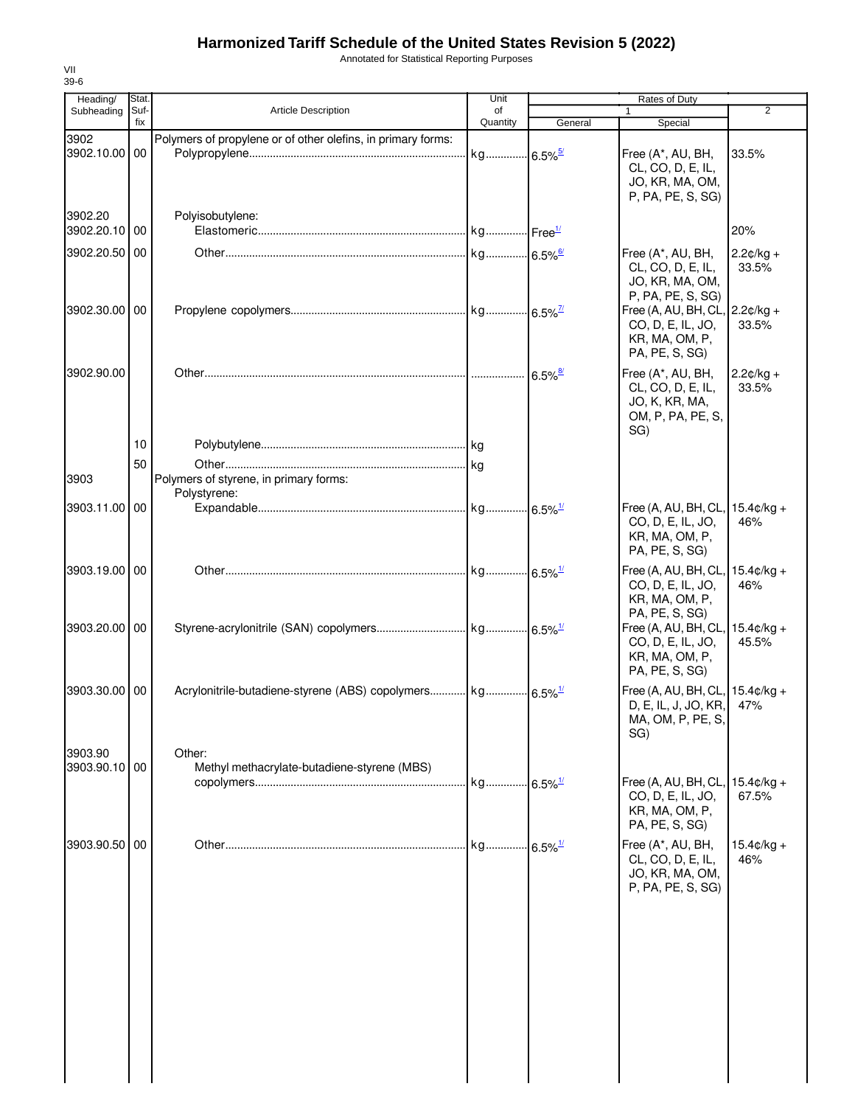Annotated for Statistical Reporting Purposes

| Heading/                 | Stat.       |                                                                        | Unit                  | Rates of Duty         |                                                                                                                          |                             |
|--------------------------|-------------|------------------------------------------------------------------------|-----------------------|-----------------------|--------------------------------------------------------------------------------------------------------------------------|-----------------------------|
| Subheading               | Suf-<br>fix | <b>Article Description</b>                                             | of<br>Quantity        | General               | 1<br>Special                                                                                                             | $\overline{2}$              |
| 3902<br>3902.10.00       | 00          | Polymers of propylene or of other olefins, in primary forms:           | kg 6.5% <sup>5/</sup> |                       | Free (A*, AU, BH,<br>CL, CO, D, E, IL,<br>JO, KR, MA, OM,                                                                | 33.5%                       |
| 3902.20<br>3902.20.10 00 |             | Polyisobutylene:                                                       |                       |                       | P, PA, PE, S, SG)                                                                                                        | 20%                         |
| 3902.20.50               | 00          |                                                                        |                       |                       | Free (A*, AU, BH,<br>CL, CO, D, E, IL,<br>JO, KR, MA, OM,<br>P, PA, PE, S, SG)                                           | $2.2¢/kg +$<br>33.5%        |
| 3902.30.00 00            |             |                                                                        |                       |                       | Free (A, AU, BH, CL, $\vert$ 2.2 $\mathfrak{g}/\mathfrak{kg}$ +<br>CO, D, E, IL, JO,<br>KR, MA, OM, P,<br>PA, PE, S, SG) | 33.5%                       |
| 3902.90.00               |             |                                                                        |                       | $6.5\%$ <sup>8/</sup> | Free (A*, AU, BH,<br>CL, CO, D, E, IL,<br>JO, K, KR, MA,<br>OM, P, PA, PE, S,<br>SG)                                     | $2.2¢/kg +$<br>33.5%        |
| 3903                     | 10<br>50    | Polymers of styrene, in primary forms:                                 |                       |                       |                                                                                                                          |                             |
| 3903.11.00 00            |             | Polystyrene:                                                           |                       |                       | Free (A, AU, BH, CL, 15.4¢/kg +<br>CO, D, E, IL, JO,<br>KR, MA, OM, P,<br>PA, PE, S, SG)                                 | 46%                         |
| 3903.19.00 00            |             |                                                                        |                       |                       | Free (A, AU, BH, CL,<br>CO, D, E, IL, JO,<br>KR, MA, OM, P,                                                              | $15.4 \text{c/kg} +$<br>46% |
| 3903.20.00 00            |             |                                                                        |                       |                       | PA, PE, S, SG)<br>Free (A, AU, BH, CL, $15.4¢/kg +$<br>CO, D, E, IL, JO,<br>KR, MA, OM, P,<br>PA, PE, S, SG)             | 45.5%                       |
| 3903.30.00 00            |             | Acrylonitrile-butadiene-styrene (ABS) copolymers kg 6.5% <sup>1/</sup> |                       |                       | Free (A, AU, BH, CL, 15.4¢/kg +<br>D, E, IL, J, JO, KR,<br>MA, OM, P, PE, S,<br>SG)                                      | 47%                         |
| 3903.90<br>3903.90.10 00 |             | Other:<br>Methyl methacrylate-butadiene-styrene (MBS)                  | kg 6.5% <sup>1/</sup> |                       | Free (A, AU, BH, CL, 15.4¢/kg +<br>CO, D, E, IL, JO,<br>KR, MA, OM, P,                                                   | 67.5%                       |
| 3903.90.50               | 00          |                                                                        | kg                    | $6.5\%$ <sup>1/</sup> | PA, PE, S, SG)<br>Free (A*, AU, BH,<br>CL, CO, D, E, IL,<br>JO, KR, MA, OM,<br>P, PA, PE, S, SG)                         | $15.4 \text{c/kg} +$<br>46% |
|                          |             |                                                                        |                       |                       |                                                                                                                          |                             |
|                          |             |                                                                        |                       |                       |                                                                                                                          |                             |
|                          |             |                                                                        |                       |                       |                                                                                                                          |                             |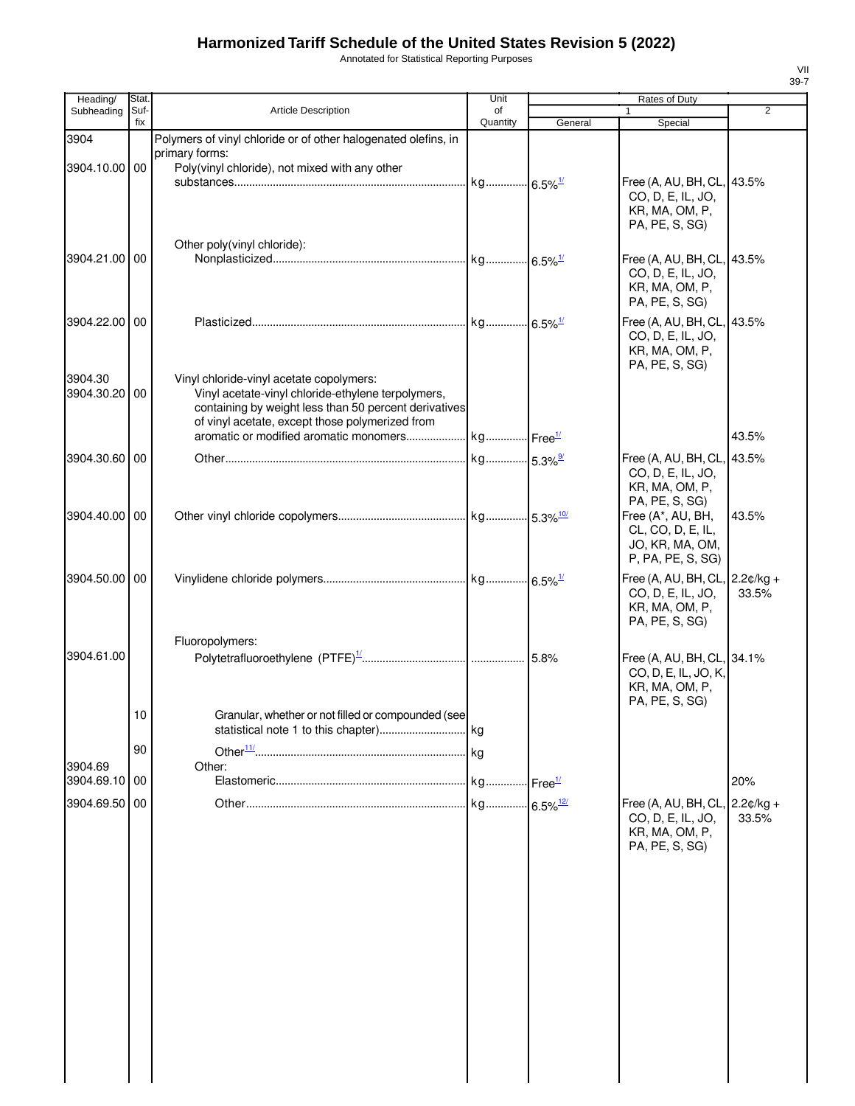Annotated for Statistical Reporting Purposes

| Heading/              | Stat.       |                                                                                                                                                                                                                                                      | Unit                    |                        | Rates of Duty                                                                                                          |                      |
|-----------------------|-------------|------------------------------------------------------------------------------------------------------------------------------------------------------------------------------------------------------------------------------------------------------|-------------------------|------------------------|------------------------------------------------------------------------------------------------------------------------|----------------------|
| Subheading            | Suf-<br>fix | <b>Article Description</b>                                                                                                                                                                                                                           | of<br>Quantity          | General                | $\mathbf{1}$<br>Special                                                                                                | $\overline{2}$       |
| 3904<br>3904.10.00 00 |             | Polymers of vinyl chloride or of other halogenated olefins, in<br>primary forms:<br>Poly(vinyl chloride), not mixed with any other                                                                                                                   |                         |                        |                                                                                                                        |                      |
|                       |             |                                                                                                                                                                                                                                                      | kg 6.5% <sup>1/</sup>   |                        | Free (A, AU, BH, CL,<br>CO, D, E, IL, JO,<br>KR, MA, OM, P,<br>PA, PE, S, SG)                                          | 43.5%                |
| 3904.21.00 00         |             | Other poly(vinyl chloride):                                                                                                                                                                                                                          |                         |                        | Free (A, AU, BH, CL,<br>CO, D, E, IL, JO,<br>KR, MA, OM, P,<br>PA, PE, S, SG)                                          | 43.5%                |
| 3904.22.00 00         |             |                                                                                                                                                                                                                                                      |                         |                        | Free (A, AU, BH, CL,<br>CO, D, E, IL, JO,<br>KR, MA, OM, P,<br>PA, PE, S, SG)                                          | 43.5%                |
| 3904.30<br>3904.30.20 | 00          | Vinyl chloride-vinyl acetate copolymers:<br>Vinyl acetate-vinyl chloride-ethylene terpolymers,<br>containing by weight less than 50 percent derivatives<br>of vinyl acetate, except those polymerized from<br>aromatic or modified aromatic monomers | . kg Free <sup>1/</sup> |                        |                                                                                                                        | 43.5%                |
|                       |             |                                                                                                                                                                                                                                                      |                         |                        |                                                                                                                        |                      |
| 3904.30.60 00         |             |                                                                                                                                                                                                                                                      |                         |                        | Free (A, AU, BH, CL,<br>CO, D, E, IL, JO,<br>KR, MA, OM, P,<br>PA, PE, S, SG)                                          | 43.5%                |
| 3904.40.00 00         |             |                                                                                                                                                                                                                                                      |                         |                        | Free (A*, AU, BH,<br>CL, CO, D, E, IL,<br>JO, KR, MA, OM,<br>P, PA, PE, S, SG)                                         | 43.5%                |
| 3904.50.00 00         |             |                                                                                                                                                                                                                                                      |                         |                        | Free (A, AU, BH, CL, $\vert$ 2.2 $\mathfrak{c}/\mathsf{kg}$ +<br>CO, D, E, IL, JO,<br>KR, MA, OM, P,<br>PA, PE, S, SG) | 33.5%                |
| 3904.61.00            |             | Fluoropolymers:                                                                                                                                                                                                                                      |                         |                        | Free (A, AU, BH, CL, 34.1%<br>CO, D, E, IL, JO, K,<br>KR, MA, OM, P,<br>PA, PE, S, SG)                                 |                      |
|                       | 10<br>90    | Granular, whether or not filled or compounded (see                                                                                                                                                                                                   | . kg                    |                        |                                                                                                                        |                      |
| 3904.69               |             | Other:                                                                                                                                                                                                                                               |                         |                        |                                                                                                                        |                      |
| 3904.69.10            | 00          |                                                                                                                                                                                                                                                      |                         | Free <sup>1/</sup>     |                                                                                                                        | 20%                  |
| 3904.69.50            | 00          |                                                                                                                                                                                                                                                      | kg                      | $6.5\%$ <sup>12/</sup> | Free (A, AU, BH, CL,<br>CO, D, E, IL, JO,<br>KR, MA, OM, P,<br>PA, PE, S, SG)                                          | $2.2¢/kg +$<br>33.5% |
|                       |             |                                                                                                                                                                                                                                                      |                         |                        |                                                                                                                        |                      |
|                       |             |                                                                                                                                                                                                                                                      |                         |                        |                                                                                                                        |                      |
|                       |             |                                                                                                                                                                                                                                                      |                         |                        |                                                                                                                        |                      |
|                       |             |                                                                                                                                                                                                                                                      |                         |                        |                                                                                                                        |                      |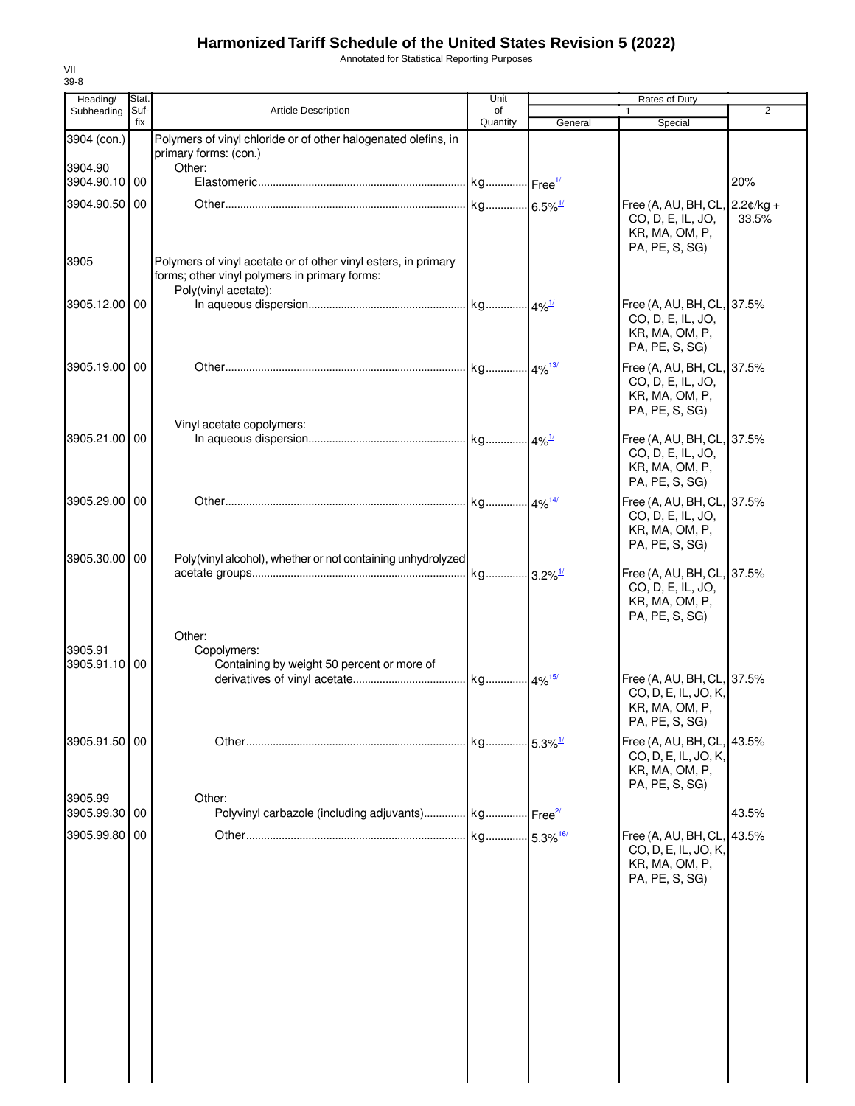Annotated for Statistical Reporting Purposes

| Heading/                 | Stat.       |                                                                                                                                         | Unit                  |                           | Rates of Duty                                                                           |       |
|--------------------------|-------------|-----------------------------------------------------------------------------------------------------------------------------------------|-----------------------|---------------------------|-----------------------------------------------------------------------------------------|-------|
| Subheading               | Suf-<br>fix | <b>Article Description</b>                                                                                                              | of                    |                           |                                                                                         | 2     |
| 3904 (con.)              |             | Polymers of vinyl chloride or of other halogenated olefins, in<br>primary forms: (con.)                                                 | Quantity              | General                   | Special                                                                                 |       |
| 3904.90                  |             | Other:                                                                                                                                  |                       |                           |                                                                                         |       |
| 3904.90.10 00            |             |                                                                                                                                         |                       |                           |                                                                                         | 20%   |
| 3904.90.50 00            |             |                                                                                                                                         | kg 6.5% <sup>1/</sup> |                           | Free (A, AU, BH, CL, 2.2¢/kg +<br>CO, D, E, IL, JO,<br>KR, MA, OM, P,<br>PA, PE, S, SG) | 33.5% |
| 3905                     |             | Polymers of vinyl acetate or of other vinyl esters, in primary<br>forms; other vinyl polymers in primary forms:<br>Poly(vinyl acetate): |                       |                           |                                                                                         |       |
| 3905.12.00 00            |             |                                                                                                                                         |                       |                           | Free (A, AU, BH, CL, 37.5%<br>CO, D, E, IL, JO,<br>KR, MA, OM, P,<br>PA, PE, S, SG)     |       |
| 3905.19.00 00            |             |                                                                                                                                         |                       |                           | Free (A, AU, BH, CL, 37.5%<br>CO, D, E, IL, JO,<br>KR, MA, OM, P,<br>PA, PE, S, SG)     |       |
| 3905.21.00 00            |             | Vinyl acetate copolymers:                                                                                                               |                       |                           | Free (A, AU, BH, CL, 37.5%<br>CO, D, E, IL, JO,<br>KR, MA, OM, P,<br>PA, PE, S, SG)     |       |
| 3905.29.00 00            |             |                                                                                                                                         |                       |                           | Free (A, AU, BH, CL, 37.5%<br>CO, D, E, IL, JO,<br>KR, MA, OM, P,<br>PA, PE, S, SG)     |       |
| 3905.30.00 00            |             | Poly(vinyl alcohol), whether or not containing unhydrolyzed                                                                             |                       |                           | Free (A, AU, BH, CL, 37.5%<br>CO, D, E, IL, JO,<br>KR, MA, OM, P,<br>PA, PE, S, SG)     |       |
| 3905.91<br>3905.91.10 00 |             | Other:<br>Copolymers:<br>Containing by weight 50 percent or more of                                                                     |                       |                           |                                                                                         |       |
|                          |             |                                                                                                                                         | kg 4% <sup>15/</sup>  |                           | Free (A, AU, BH, CL, 37.5%<br>CO, D, E, IL, JO, K,<br>KR, MA, OM, P,<br>PA, PE, S, SG)  |       |
| 3905.91.50               | 00          |                                                                                                                                         | kg                    | $-5.3\%$ <sup>1/</sup>    | Free (A, AU, BH, CL, 43.5%<br>CO, D, E, IL, JO, K,<br>KR, MA, OM, P,<br>PA, PE, S, SG)  |       |
| 3905.99<br>3905.99.30    | 00          | Other:<br>Polyvinyl carbazole (including adjuvants) kg                                                                                  |                       | $\frac{2}{\text{Free}^2}$ |                                                                                         | 43.5% |
| 3905.99.80               | 00          |                                                                                                                                         | kg                    | $.5.3\%$ <sup>16/</sup>   | Free (A, AU, BH, CL, 43.5%<br>CO, D, E, IL, JO, K,<br>KR, MA, OM, P,<br>PA, PE, S, SG)  |       |
|                          |             |                                                                                                                                         |                       |                           |                                                                                         |       |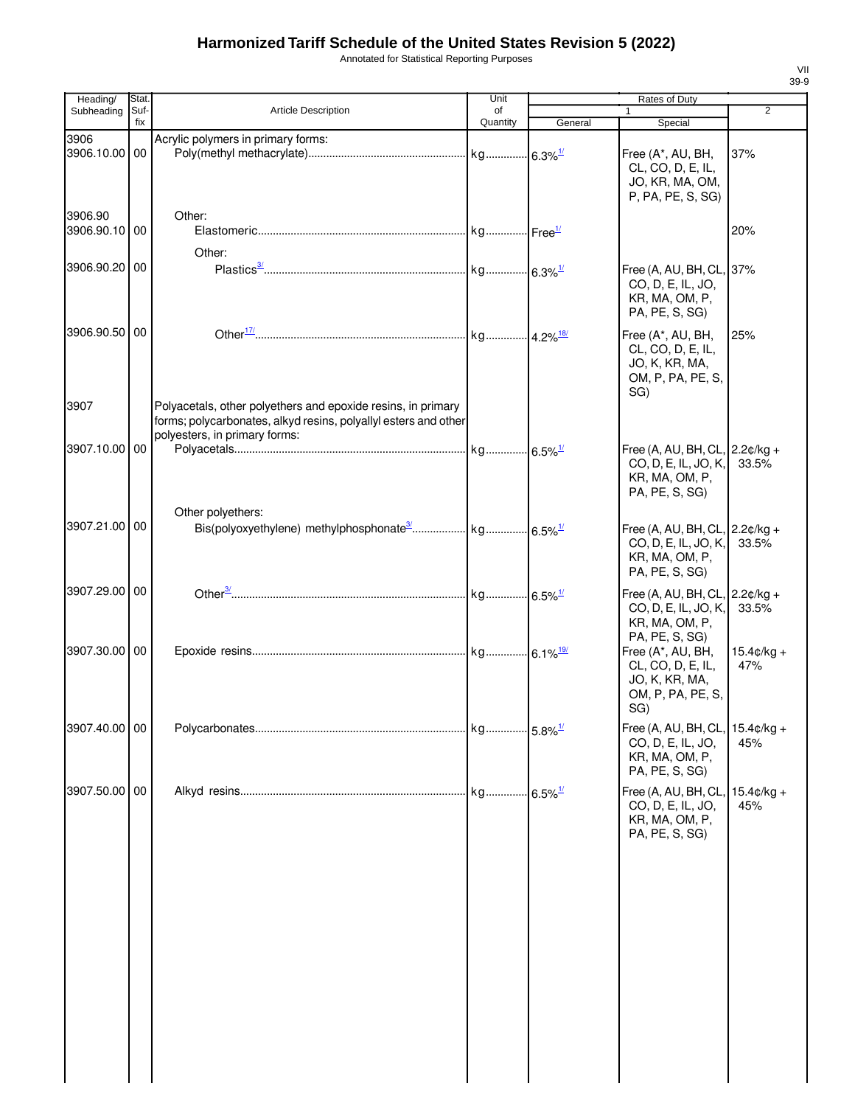Annotated for Statistical Reporting Purposes

| Heading/                 | Stat.       |                                                                                                                                                                  | Unit           |         | Rates of Duty                                                                                |                             |
|--------------------------|-------------|------------------------------------------------------------------------------------------------------------------------------------------------------------------|----------------|---------|----------------------------------------------------------------------------------------------|-----------------------------|
| Subheading               | Suf-<br>fix | Article Description                                                                                                                                              | of<br>Quantity | General | $\mathbf{1}$<br>Special                                                                      | 2                           |
| 3906<br>3906.10.00       | 00          | Acrylic polymers in primary forms:                                                                                                                               |                |         | Free (A*, AU, BH,<br>CL, CO, D, E, IL,<br>JO, KR, MA, OM,                                    | 37%                         |
| 3906.90<br>3906.90.10 00 |             | Other:<br>Other:                                                                                                                                                 |                |         | P, PA, PE, S, SG)                                                                            | 20%                         |
| 3906.90.20 00            |             |                                                                                                                                                                  |                |         | Free (A, AU, BH, CL, 37%<br>CO, D, E, IL, JO,<br>KR, MA, OM, P,<br>PA, PE, S, SG)            |                             |
| 3906.90.50 00            |             |                                                                                                                                                                  |                |         | Free (A*, AU, BH,<br>CL, CO, D, E, IL,<br>JO, K, KR, MA,<br>OM, P, PA, PE, S,<br>SG)         | 25%                         |
| 3907                     |             | Polyacetals, other polyethers and epoxide resins, in primary<br>forms; polycarbonates, alkyd resins, polyallyl esters and other<br>polyesters, in primary forms: |                |         |                                                                                              |                             |
| 3907.10.00 00            |             | Other polyethers:                                                                                                                                                |                |         | Free (A, AU, BH, CL, 2.2¢/kg +<br>CO, D, E, IL, JO, K,<br>KR, MA, OM, P,<br>PA, PE, S, SG)   | 33.5%                       |
| 3907.21.00   00          |             |                                                                                                                                                                  |                |         | Free (A, AU, BH, CL, 2.2¢/kg +<br>CO, D, E, IL, JO, K,<br>KR, MA, OM, P,<br>PA, PE, S, SG)   | 33.5%                       |
| 3907.29.00 00            |             |                                                                                                                                                                  |                |         | Free (A, AU, BH, CL, $2.2¢/kg +$<br>CO, D, E, IL, JO, K,<br>KR, MA, OM, P,<br>PA, PE, S, SG) | 33.5%                       |
| 3907.30.00 00            |             |                                                                                                                                                                  |                |         | Free (A*, AU, BH,<br>CL, CO, D, E, IL,<br>JO, K, KR, MA,<br>OM, P, PA, PE, S,<br>SG)         | $15.4 \text{c/kg} +$<br>47% |
| 3907.40.00 00            |             |                                                                                                                                                                  |                |         | Free (A, AU, BH, CL,<br>CO, D, E, IL, JO,<br>KR, MA, OM, P,<br>PA, PE, S, SG)                | $15.4¢/kg +$<br>45%         |
| 3907.50.00 00            |             |                                                                                                                                                                  |                |         | Free (A, AU, BH, CL,<br>CO, D, E, IL, JO,<br>KR, MA, OM, P,<br>PA, PE, S, SG)                | $15.4 \text{c/kg} +$<br>45% |
|                          |             |                                                                                                                                                                  |                |         |                                                                                              |                             |
|                          |             |                                                                                                                                                                  |                |         |                                                                                              |                             |
|                          |             |                                                                                                                                                                  |                |         |                                                                                              |                             |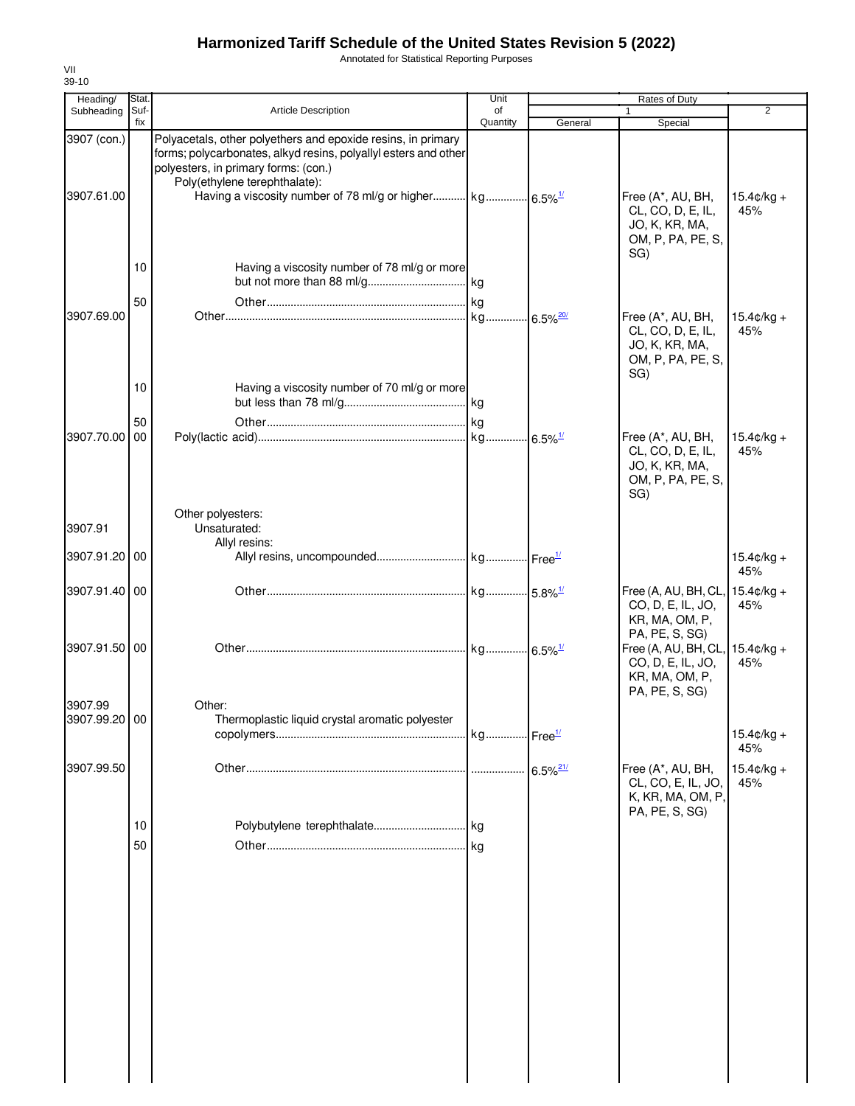Annotated for Statistical Reporting Purposes

| Heading/                  | Stat.          |                                                                                                                                                                                                          | Unit           |                        | Rates of Duty                                                                                             |                             |
|---------------------------|----------------|----------------------------------------------------------------------------------------------------------------------------------------------------------------------------------------------------------|----------------|------------------------|-----------------------------------------------------------------------------------------------------------|-----------------------------|
| Subheading                | Suf-<br>fix    | <b>Article Description</b>                                                                                                                                                                               | of<br>Quantity | General                | $\mathbf{1}$<br>Special                                                                                   | $\overline{2}$              |
| 3907 (con.)<br>3907.61.00 |                | Polyacetals, other polyethers and epoxide resins, in primary<br>forms; polycarbonates, alkyd resins, polyallyl esters and other<br>polyesters, in primary forms: (con.)<br>Poly(ethylene terephthalate): |                |                        | Free (A*, AU, BH,<br>CL, CO, D, E, IL,<br>JO, K, KR, MA,                                                  | $15.4¢/kg +$<br>45%         |
| 3907.69.00                | 10<br>50       | Having a viscosity number of 78 ml/g or more                                                                                                                                                             |                |                        | OM, P, PA, PE, S,<br>SG)<br>Free (A*, AU, BH,<br>CL, CO, D, E, IL,<br>JO, K, KR, MA,<br>OM, P, PA, PE, S, | $15.4 \text{c/kg} +$<br>45% |
| 3907.70.00                | 10<br>50<br>00 | Having a viscosity number of 70 ml/g or more                                                                                                                                                             |                |                        | SG)<br>Free (A*, AU, BH,<br>CL, CO, D, E, IL,<br>JO, K, KR, MA,<br>OM, P, PA, PE, S,<br>SG)               | $15.4 \text{c/kg} +$<br>45% |
| 3907.91                   |                | Other polyesters:<br>Unsaturated:<br>Allyl resins:                                                                                                                                                       |                |                        |                                                                                                           |                             |
| 3907.91.20 00             |                |                                                                                                                                                                                                          |                |                        |                                                                                                           | $15.4¢/kg +$<br>45%         |
| 3907.91.40 00             |                |                                                                                                                                                                                                          |                |                        | Free (A, AU, BH, CL,<br>CO, D, E, IL, JO,<br>KR, MA, OM, P,<br>PA, PE, S, SG)                             | $15.4 \text{c/kg} +$<br>45% |
| 3907.91.50 00             |                |                                                                                                                                                                                                          |                |                        | Free (A, AU, BH, CL,<br>CO, D, E, IL, JO,<br>KR, MA, OM, P,<br>PA, PE, S, SG)                             | $15.4 \text{c/kg} +$<br>45% |
| 3907.99<br>3907.99.20 00  |                | Other:<br>Thermoplastic liquid crystal aromatic polyester                                                                                                                                                |                |                        |                                                                                                           | $15.4¢/kg +$<br>45%         |
| 3907.99.50                |                |                                                                                                                                                                                                          |                | $6.5\%$ <sup>21/</sup> | Free (A*, AU, BH,<br>CL, CO, E, IL, JO,<br>K, KR, MA, OM, P,<br>PA, PE, S, SG)                            | $15.4¢/kg +$<br>45%         |
|                           | 10<br>50       |                                                                                                                                                                                                          |                |                        |                                                                                                           |                             |
|                           |                |                                                                                                                                                                                                          |                |                        |                                                                                                           |                             |
|                           |                |                                                                                                                                                                                                          |                |                        |                                                                                                           |                             |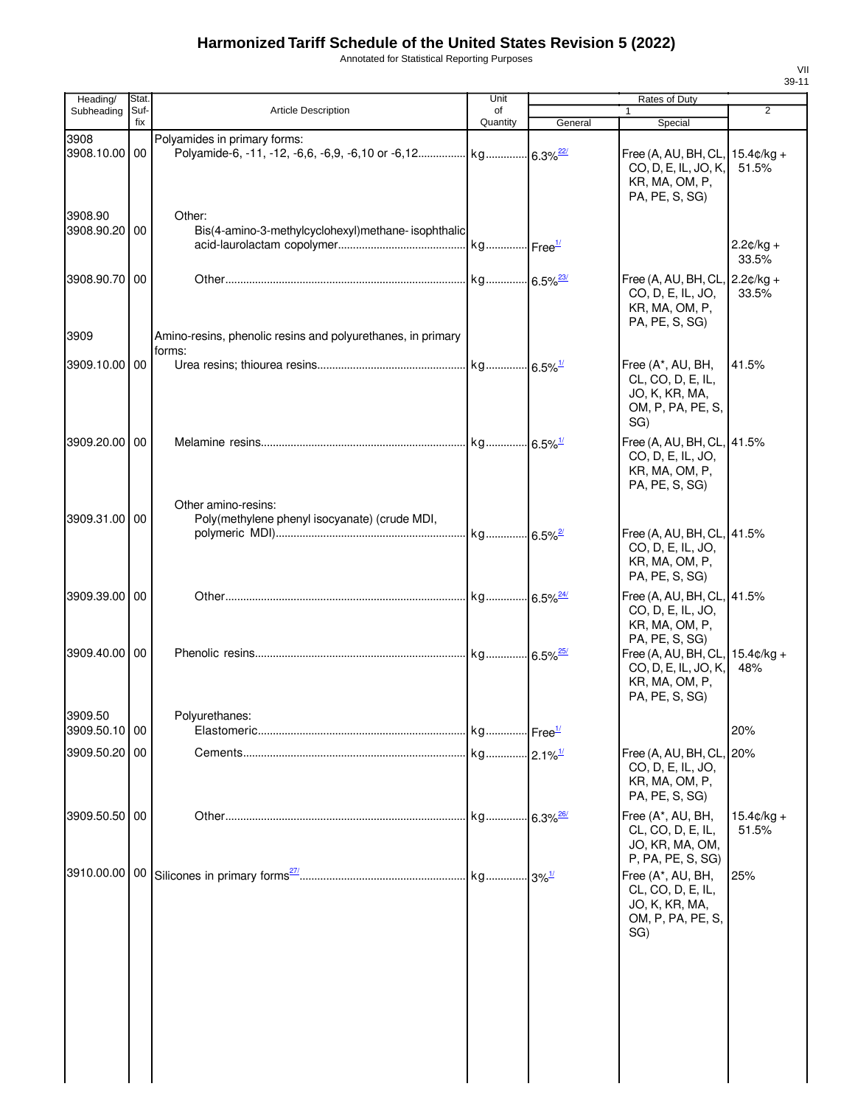Annotated for Statistical Reporting Purposes

| Heading/                 | Stat.       |                                                                       | Unit           |         | Rates of Duty                                                                                      |                               |
|--------------------------|-------------|-----------------------------------------------------------------------|----------------|---------|----------------------------------------------------------------------------------------------------|-------------------------------|
| Subheading               | Suf-<br>fix | <b>Article Description</b>                                            | of<br>Quantity | General | $\mathbf{1}$<br>Special                                                                            | $\overline{2}$                |
| 3908<br>3908.10.00 00    |             | Polyamides in primary forms:                                          |                |         | Free (A, AU, BH, CL, 15.4¢/kg +<br>CO, D, E, IL, JO, K,<br>KR, MA, OM, P,<br>PA, PE, S, SG)        | 51.5%                         |
| 3908.90<br>3908.90.20 00 |             | Other:<br>Bis(4-amino-3-methylcyclohexyl)methane- isophthalic         |                |         |                                                                                                    | $2.2¢/kg +$<br>33.5%          |
| 3908.90.70 00            |             |                                                                       |                |         | Free (A, AU, BH, CL, $2.2¢/kg +$<br>CO, D, E, IL, JO,<br>KR, MA, OM, P,<br>PA, PE, S, SG)          | 33.5%                         |
| 3909                     |             | Amino-resins, phenolic resins and polyurethanes, in primary<br>forms: |                |         |                                                                                                    |                               |
| 3909.10.00 00            |             |                                                                       |                |         | Free (A*, AU, BH,<br>CL, CO, D, E, IL,<br>JO, K, KR, MA,<br>OM, P, PA, PE, S,<br>SG)               | 41.5%                         |
| 3909.20.00 00            |             | Other amino-resins:                                                   |                |         | Free (A, AU, BH, CL, 41.5%<br>CO, D, E, IL, JO,<br>KR, MA, OM, P,<br>PA, PE, S, SG)                |                               |
| 3909.31.00 00            |             | Poly(methylene phenyl isocyanate) (crude MDI,                         |                |         | Free (A, AU, BH, CL, 41.5%<br>CO, D, E, IL, JO,<br>KR, MA, OM, P,<br>PA, PE, S, SG)                |                               |
| 3909.39.00 00            |             |                                                                       |                |         | Free (A, AU, BH, CL, 41.5%<br>CO, D, E, IL, JO,<br>KR, MA, OM, P,                                  |                               |
| 3909.40.00 00            |             |                                                                       |                |         | PA, PE, S, SG)<br>Free (A, AU, BH, CL,<br>CO, D, E, IL, JO, K,<br>KR, MA, OM, P,<br>PA, PE, S, SG) | $15.4 \text{c/kg} +$<br>48%   |
| 3909.50<br>3909.50.10 00 |             | Polyurethanes:                                                        |                |         |                                                                                                    | 20%                           |
| 3909.50.20 00            |             |                                                                       |                |         | Free (A, AU, BH, CL, 20%<br>CO, D, E, IL, JO,<br>KR, MA, OM, P,<br>PA, PE, S, SG)                  |                               |
| 3909.50.50 00            |             |                                                                       |                |         | Free (A*, AU, BH,<br>CL, CO, D, E, IL,<br>JO, KR, MA, OM,<br>P, PA, PE, S, SG)                     | $15.4 \text{C/kg} +$<br>51.5% |
|                          |             |                                                                       |                |         | Free (A*, AU, BH,<br>CL, CO, D, E, IL,<br>JO, K, KR, MA,<br>OM, P, PA, PE, S,<br>SG)               | 25%                           |
|                          |             |                                                                       |                |         |                                                                                                    |                               |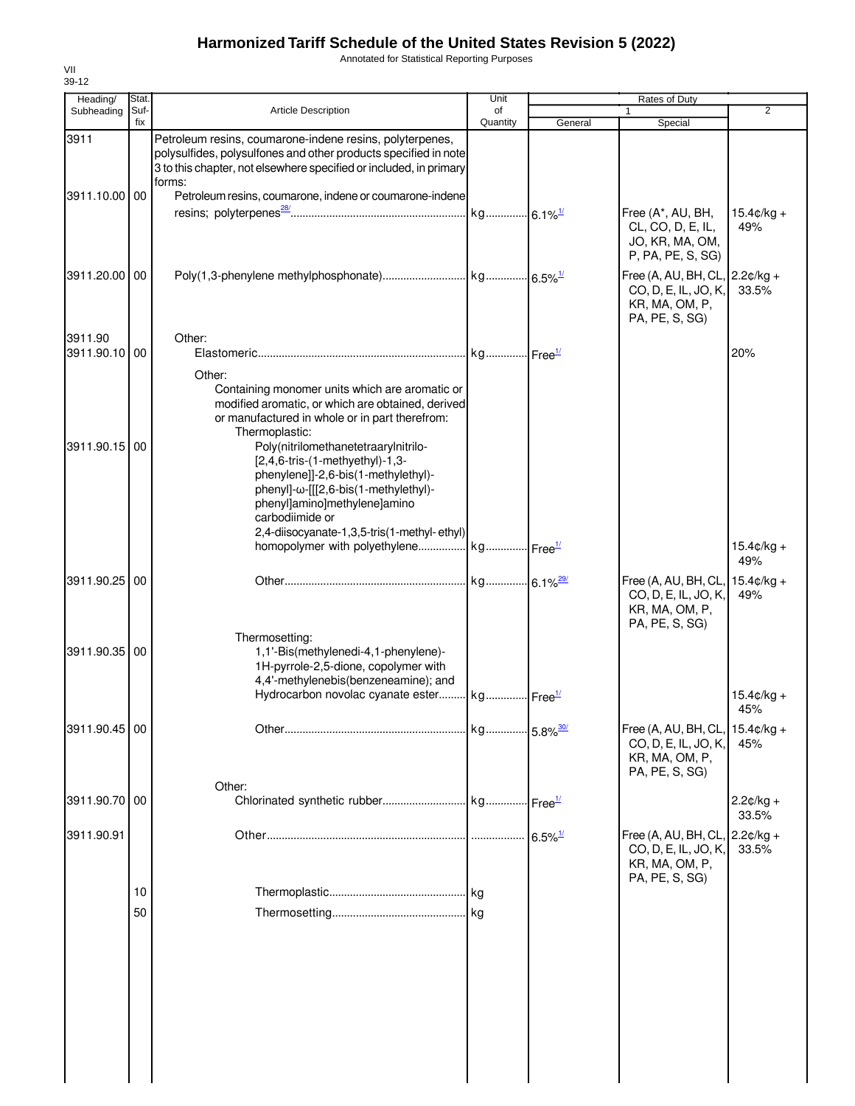Annotated for Statistical Reporting Purposes

| Heading/                       | Stat.       |                                                                                                                                                                                                                                                                                                                                                                                                                                               | Unit           |                       | Rates of Duty                                                                                                             |                             |
|--------------------------------|-------------|-----------------------------------------------------------------------------------------------------------------------------------------------------------------------------------------------------------------------------------------------------------------------------------------------------------------------------------------------------------------------------------------------------------------------------------------------|----------------|-----------------------|---------------------------------------------------------------------------------------------------------------------------|-----------------------------|
| Subheading                     | Suf-<br>fix | <b>Article Description</b>                                                                                                                                                                                                                                                                                                                                                                                                                    | of<br>Quantity | General               | Special                                                                                                                   | $\overline{2}$              |
| 3911                           |             | Petroleum resins, coumarone-indene resins, polyterpenes,<br>polysulfides, polysulfones and other products specified in note<br>3 to this chapter, not elsewhere specified or included, in primary                                                                                                                                                                                                                                             |                |                       |                                                                                                                           |                             |
| 3911.10.00 00                  |             | forms:<br>Petroleum resins, coumarone, indene or coumarone-indene                                                                                                                                                                                                                                                                                                                                                                             |                |                       | Free (A*, AU, BH,                                                                                                         | $15.4 \text{c/kg} +$        |
|                                |             |                                                                                                                                                                                                                                                                                                                                                                                                                                               |                |                       | CL, CO, D, E, IL,<br>JO, KR, MA, OM,<br>P, PA, PE, S, SG)                                                                 | 49%                         |
| 3911.20.00                     | 00          |                                                                                                                                                                                                                                                                                                                                                                                                                                               |                |                       | Free (A, AU, BH, CL, $\vert$ 2.2 $\mathfrak{c}/\mathsf{kg}$ +<br>CO, D, E, IL, JO, K,<br>KR, MA, OM, P,<br>PA, PE, S, SG) | 33.5%                       |
| 3911.90<br>3911.90.10          | 00          | Other:                                                                                                                                                                                                                                                                                                                                                                                                                                        |                |                       |                                                                                                                           | 20%                         |
| 3911.90.15 00                  |             | Other:<br>Containing monomer units which are aromatic or<br>modified aromatic, or which are obtained, derived<br>or manufactured in whole or in part therefrom:<br>Thermoplastic:<br>Poly(nitrilomethanetetraarylnitrilo-<br>[2,4,6-tris-(1-methyethyl)-1,3-<br>phenylene]]-2,6-bis(1-methylethyl)-<br>phenyl]-ω-[[[2,6-bis(1-methylethyl)-<br>phenyl]amino]methylene]amino<br>carbodiimide or<br>2,4-diisocyanate-1,3,5-tris(1-methyl-ethyl) |                |                       |                                                                                                                           |                             |
|                                |             | homopolymer with polyethylene kg Free <sup>1/</sup>                                                                                                                                                                                                                                                                                                                                                                                           |                |                       |                                                                                                                           | $15.4 \text{C/kg} +$<br>49% |
| 3911.90.25 00<br>3911.90.35 00 |             | Thermosetting:<br>1,1'-Bis(methylenedi-4,1-phenylene)-<br>1H-pyrrole-2,5-dione, copolymer with                                                                                                                                                                                                                                                                                                                                                |                |                       | Free (A, AU, BH, CL, $15.4¢/kg +$<br>CO, D, E, IL, JO, K,<br>KR, MA, OM, P,<br>PA, PE, S, SG)                             | 49%                         |
|                                |             | 4,4'-methylenebis(benzeneamine); and<br>Hydrocarbon novolac cyanate ester kg Free <sup>1/</sup>                                                                                                                                                                                                                                                                                                                                               |                |                       |                                                                                                                           | $15.4 \text{C/kg} +$<br>45% |
| 3911.90.45 00                  |             |                                                                                                                                                                                                                                                                                                                                                                                                                                               |                |                       | Free (A, AU, BH, CL, 15.4¢/kg +<br>CO, D, E, IL, JO, K,<br>KR, MA, OM, P,<br>PA, PE, S, SG)                               | 45%                         |
| 3911.90.70 00                  |             | Other:                                                                                                                                                                                                                                                                                                                                                                                                                                        |                |                       |                                                                                                                           | $2.2¢/kg +$<br>33.5%        |
| 3911.90.91                     |             |                                                                                                                                                                                                                                                                                                                                                                                                                                               |                | $6.5\%$ <sup>1/</sup> | Free (A, AU, BH, CL, 2.2¢/kg +<br>CO, D, E, IL, JO, K,<br>KR, MA, OM, P,<br>PA, PE, S, SG)                                | 33.5%                       |
|                                | 10          |                                                                                                                                                                                                                                                                                                                                                                                                                                               |                |                       |                                                                                                                           |                             |
|                                | 50          |                                                                                                                                                                                                                                                                                                                                                                                                                                               |                |                       |                                                                                                                           |                             |
|                                |             |                                                                                                                                                                                                                                                                                                                                                                                                                                               |                |                       |                                                                                                                           |                             |
|                                |             |                                                                                                                                                                                                                                                                                                                                                                                                                                               |                |                       |                                                                                                                           |                             |
|                                |             |                                                                                                                                                                                                                                                                                                                                                                                                                                               |                |                       |                                                                                                                           |                             |
|                                |             |                                                                                                                                                                                                                                                                                                                                                                                                                                               |                |                       |                                                                                                                           |                             |
|                                |             |                                                                                                                                                                                                                                                                                                                                                                                                                                               |                |                       |                                                                                                                           |                             |
|                                |             |                                                                                                                                                                                                                                                                                                                                                                                                                                               |                |                       |                                                                                                                           |                             |
|                                |             |                                                                                                                                                                                                                                                                                                                                                                                                                                               |                |                       |                                                                                                                           |                             |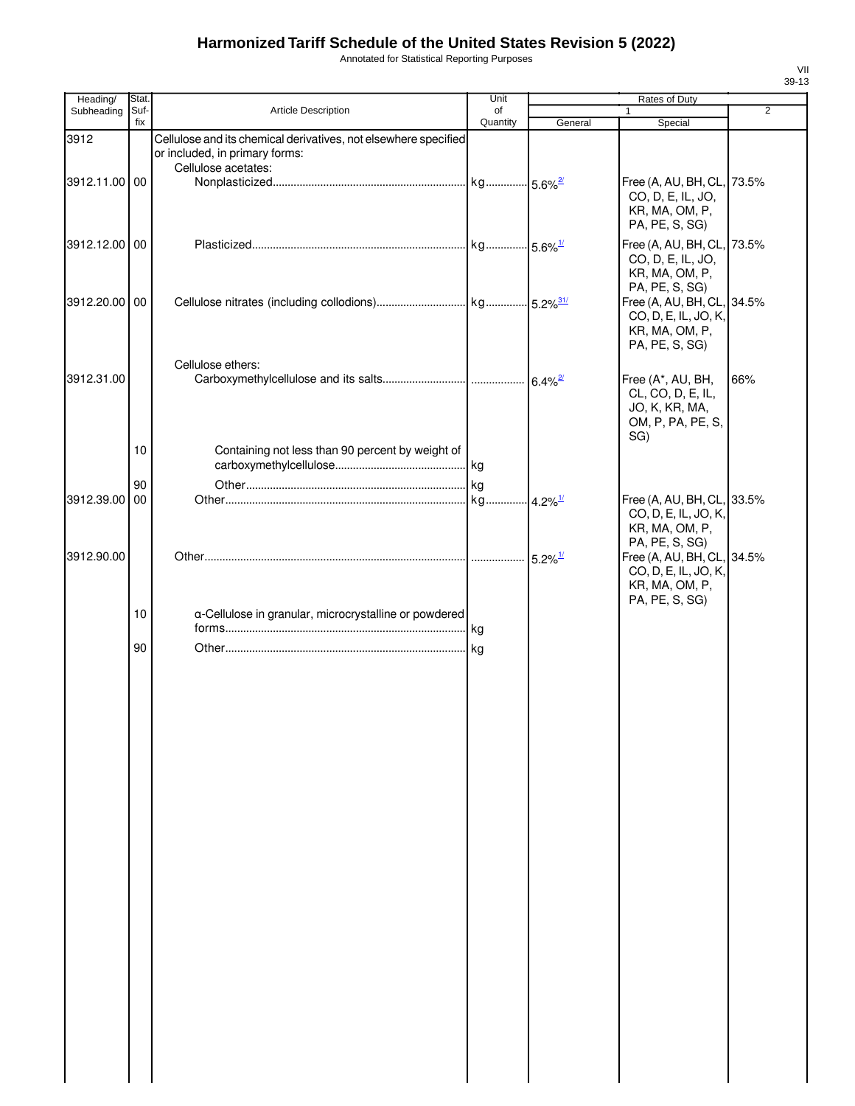Annotated for Statistical Reporting Purposes

| Heading/      | Stat.       |                                                                 | Unit           |                       | Rates of Duty                          |                |
|---------------|-------------|-----------------------------------------------------------------|----------------|-----------------------|----------------------------------------|----------------|
| Subheading    | Suf-<br>fix | Article Description                                             | οf<br>Quantity | General               | 1<br>Special                           | $\overline{2}$ |
| 3912          |             | Cellulose and its chemical derivatives, not elsewhere specified |                |                       |                                        |                |
|               |             | or included, in primary forms:                                  |                |                       |                                        |                |
|               |             | Cellulose acetates:                                             |                |                       |                                        |                |
| 3912.11.00 00 |             |                                                                 |                |                       | Free (A, AU, BH, CL, 73.5%             |                |
|               |             |                                                                 |                |                       | CO, D, E, IL, JO,                      |                |
|               |             |                                                                 |                |                       | KR, MA, OM, P,                         |                |
|               |             |                                                                 |                |                       | PA, PE, S, SG)                         |                |
| 3912.12.00 00 |             |                                                                 |                |                       | Free (A, AU, BH, CL, 73.5%             |                |
|               |             |                                                                 |                |                       | CO, D, E, IL, JO,                      |                |
|               |             |                                                                 |                |                       | KR, MA, OM, P,<br>PA, PE, S, SG)       |                |
| 3912.20.00 00 |             |                                                                 |                |                       | Free (A, AU, BH, CL, 34.5%             |                |
|               |             |                                                                 |                |                       | CO, D, E, IL, JO, K,                   |                |
|               |             |                                                                 |                |                       | KR, MA, OM, P,                         |                |
|               |             |                                                                 |                |                       | PA, PE, S, SG)                         |                |
|               |             | Cellulose ethers:                                               |                |                       |                                        |                |
| 3912.31.00    |             |                                                                 |                |                       | Free (A*, AU, BH,                      | 66%            |
|               |             |                                                                 |                |                       | CL, CO, D, E, IL,                      |                |
|               |             |                                                                 |                |                       | JO, K, KR, MA,                         |                |
|               |             |                                                                 |                |                       | OM, P, PA, PE, S,                      |                |
|               | 10          | Containing not less than 90 percent by weight of                |                |                       | SG)                                    |                |
|               |             |                                                                 |                |                       |                                        |                |
|               | 90          |                                                                 |                |                       |                                        |                |
| 3912.39.00    | 00          |                                                                 |                |                       | Free (A, AU, BH, CL, 33.5%             |                |
|               |             |                                                                 |                |                       | CO, D, E, IL, JO, K,                   |                |
|               |             |                                                                 |                |                       | KR, MA, OM, P,                         |                |
|               |             |                                                                 |                |                       | PA, PE, S, SG)                         |                |
| 3912.90.00    |             |                                                                 |                | $5.2\%$ <sup>1/</sup> | Free (A, AU, BH, CL, 34.5%             |                |
|               |             |                                                                 |                |                       | CO, D, E, IL, JO, K,<br>KR, MA, OM, P, |                |
|               |             |                                                                 |                |                       | PA, PE, S, SG)                         |                |
|               | 10          | a-Cellulose in granular, microcrystalline or powdered           |                |                       |                                        |                |
|               |             |                                                                 |                |                       |                                        |                |
|               | 90          |                                                                 |                |                       |                                        |                |
|               |             |                                                                 |                |                       |                                        |                |
|               |             |                                                                 |                |                       |                                        |                |
|               |             |                                                                 |                |                       |                                        |                |
|               |             |                                                                 |                |                       |                                        |                |
|               |             |                                                                 |                |                       |                                        |                |
|               |             |                                                                 |                |                       |                                        |                |
|               |             |                                                                 |                |                       |                                        |                |
|               |             |                                                                 |                |                       |                                        |                |
|               |             |                                                                 |                |                       |                                        |                |
|               |             |                                                                 |                |                       |                                        |                |
|               |             |                                                                 |                |                       |                                        |                |
|               |             |                                                                 |                |                       |                                        |                |
|               |             |                                                                 |                |                       |                                        |                |
|               |             |                                                                 |                |                       |                                        |                |
|               |             |                                                                 |                |                       |                                        |                |
|               |             |                                                                 |                |                       |                                        |                |
|               |             |                                                                 |                |                       |                                        |                |
|               |             |                                                                 |                |                       |                                        |                |
|               |             |                                                                 |                |                       |                                        |                |
|               |             |                                                                 |                |                       |                                        |                |
|               |             |                                                                 |                |                       |                                        |                |
|               |             |                                                                 |                |                       |                                        |                |
|               |             |                                                                 |                |                       |                                        |                |
|               |             |                                                                 |                |                       |                                        |                |
|               |             |                                                                 |                |                       |                                        |                |
|               |             |                                                                 |                |                       |                                        |                |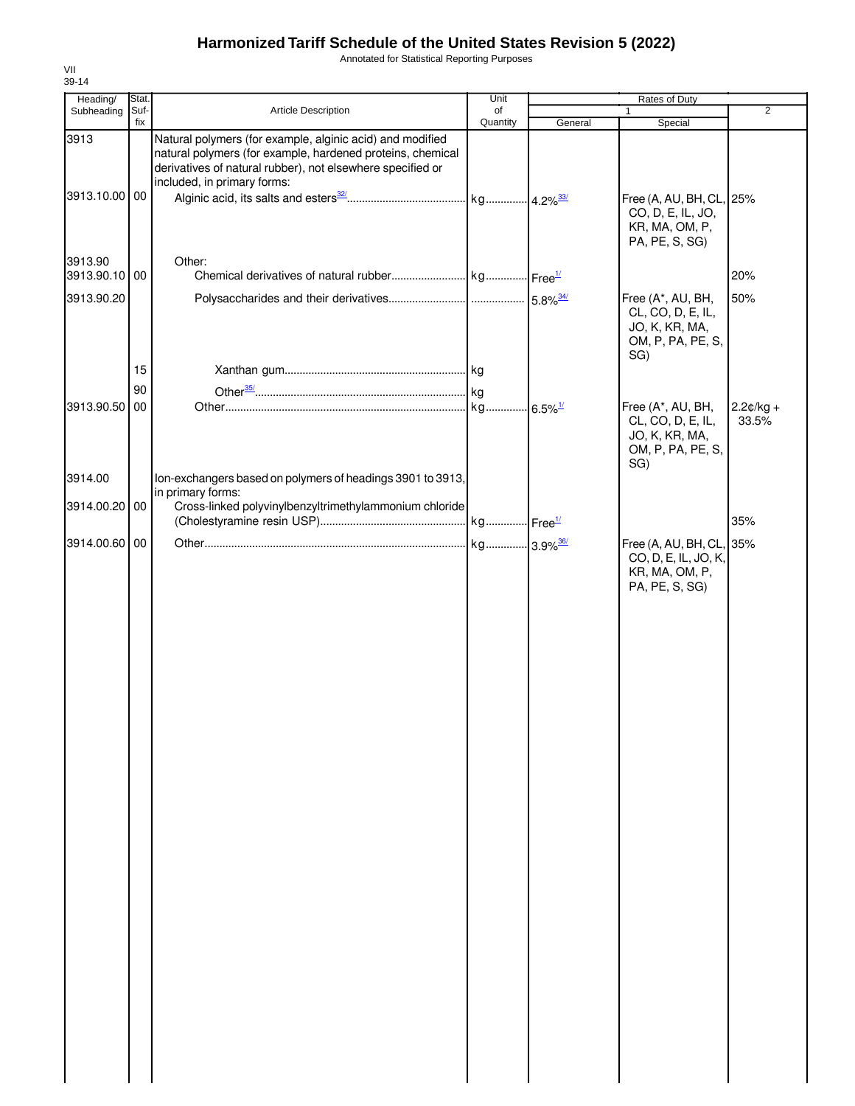Annotated for Statistical Reporting Purposes

| Heading/                 | Stat.       |                                                                                                                                                                                                                      | Unit           |         | Rates of Duty                                                                        |                      |
|--------------------------|-------------|----------------------------------------------------------------------------------------------------------------------------------------------------------------------------------------------------------------------|----------------|---------|--------------------------------------------------------------------------------------|----------------------|
| Subheading               | Suf-<br>fix | Article Description                                                                                                                                                                                                  | of<br>Quantity | General | 1<br>Special                                                                         | $\overline{2}$       |
| 3913<br>3913.10.00 00    |             | Natural polymers (for example, alginic acid) and modified<br>natural polymers (for example, hardened proteins, chemical<br>derivatives of natural rubber), not elsewhere specified or<br>included, in primary forms: |                |         | Free (A, AU, BH, CL, 25%<br>CO, D, E, IL, JO,<br>KR, MA, OM, P,<br>PA, PE, S, SG)    |                      |
| 3913.90<br>3913.90.10 00 |             | Other:                                                                                                                                                                                                               |                |         |                                                                                      | 20%                  |
| 3913.90.20               |             |                                                                                                                                                                                                                      |                |         | Free (A*, AU, BH,<br>CL, CO, D, E, IL,<br>JO, K, KR, MA,<br>OM, P, PA, PE, S,<br>SG) | 50%                  |
|                          | 15          |                                                                                                                                                                                                                      |                |         |                                                                                      |                      |
|                          | 90          |                                                                                                                                                                                                                      |                |         |                                                                                      |                      |
| 3913.90.50               | 00          |                                                                                                                                                                                                                      |                |         | Free (A*, AU, BH,<br>CL, CO, D, E, IL,<br>JO, K, KR, MA,<br>OM, P, PA, PE, S,<br>SG) | $2.2¢/kg +$<br>33.5% |
| 3914.00                  |             | Ion-exchangers based on polymers of headings 3901 to 3913,                                                                                                                                                           |                |         |                                                                                      |                      |
| 3914.00.20 00            |             | in primary forms:<br>Cross-linked polyvinylbenzyltrimethylammonium chloride                                                                                                                                          |                |         |                                                                                      | 35%                  |
| 3914.00.60               | 00          |                                                                                                                                                                                                                      |                |         | Free (A, AU, BH, CL, 35%                                                             |                      |
|                          |             |                                                                                                                                                                                                                      |                |         | CO, D, E, IL, JO, K,<br>KR, MA, OM, P,<br>PA, PE, S, SG)                             |                      |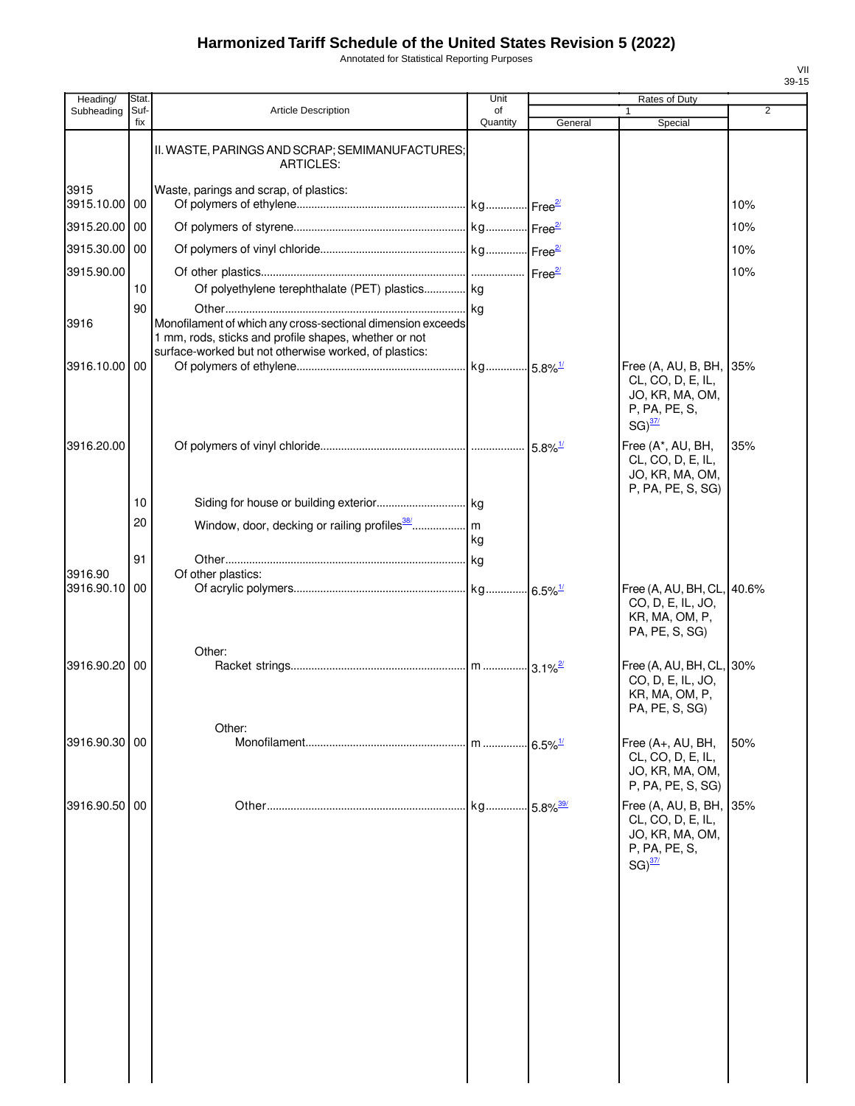Annotated for Statistical Reporting Purposes

| Heading/                 | Stat.       |                                                                                                                                                                               | Unit           |                         | Rates of Duty                                                                                    |                |
|--------------------------|-------------|-------------------------------------------------------------------------------------------------------------------------------------------------------------------------------|----------------|-------------------------|--------------------------------------------------------------------------------------------------|----------------|
| Subheading               | Suf-<br>fix | <b>Article Description</b>                                                                                                                                                    | of<br>Quantity | General                 | Special                                                                                          | $\overline{2}$ |
|                          |             | II. WASTE, PARINGS AND SCRAP; SEMIMANUFACTURES;<br><b>ARTICLES:</b>                                                                                                           |                |                         |                                                                                                  |                |
| 3915<br>3915.10.00 00    |             | Waste, parings and scrap, of plastics:                                                                                                                                        |                |                         |                                                                                                  | 10%            |
| 3915.20.00 00            |             |                                                                                                                                                                               |                |                         |                                                                                                  | 10%            |
| 3915.30.00 00            |             |                                                                                                                                                                               |                |                         |                                                                                                  | 10%            |
| 3915.90.00               |             |                                                                                                                                                                               |                |                         |                                                                                                  | 10%            |
|                          | 10          | Of polyethylene terephthalate (PET) plastics kg                                                                                                                               |                |                         |                                                                                                  |                |
| 3916                     | 90          | Monofilament of which any cross-sectional dimension exceeds<br>1 mm, rods, sticks and profile shapes, whether or not<br>surface-worked but not otherwise worked, of plastics: |                |                         |                                                                                                  |                |
| 3916.10.00 00            |             |                                                                                                                                                                               |                |                         | Free (A, AU, B, BH, 35%<br>CL, CO, D, E, IL,                                                     |                |
|                          |             |                                                                                                                                                                               |                |                         | JO, KR, MA, OM,<br>P, PA, PE, S,<br>$SG)^{37/2}$                                                 |                |
| 3916.20.00               |             |                                                                                                                                                                               |                |                         | Free (A*, AU, BH,<br>CL, CO, D, E, IL,<br>JO, KR, MA, OM,<br>P, PA, PE, S, SG)                   | 35%            |
|                          | 10          |                                                                                                                                                                               |                |                         |                                                                                                  |                |
|                          | 20          |                                                                                                                                                                               | kg             |                         |                                                                                                  |                |
|                          | 91          |                                                                                                                                                                               |                |                         |                                                                                                  |                |
| 3916.90<br>3916.90.10 00 |             | Of other plastics:                                                                                                                                                            |                |                         | Free (A, AU, BH, CL, 40.6%                                                                       |                |
|                          |             |                                                                                                                                                                               |                |                         | CO, D, E, IL, JO,<br>KR, MA, OM, P,<br>PA, PE, S, SG)                                            |                |
| 3916.90.20 00            |             | Other:                                                                                                                                                                        |                |                         | Free (A, AU, BH, CL, 30%<br>CO, D, E, IL, JO,                                                    |                |
|                          |             |                                                                                                                                                                               |                |                         | KR, MA, OM, P,<br>PA, PE, S, SG)                                                                 |                |
| 3916.90.30 00            |             | Other:                                                                                                                                                                        | . I m          | $.6.5\%$ <sup>1/</sup>  | Free (A+, AU, BH,                                                                                | 50%            |
|                          |             |                                                                                                                                                                               |                |                         | CL, CO, D, E, IL,<br>JO, KR, MA, OM,<br>P, PA, PE, S, SG)                                        |                |
| 3916.90.50 00            |             |                                                                                                                                                                               | kg             | $-5.8\%$ <sup>39/</sup> | Free (A, AU, B, BH, 35%<br>CL, CO, D, E, IL,<br>JO, KR, MA, OM,<br>P, PA, PE, S,<br>$SG)^{37/2}$ |                |
|                          |             |                                                                                                                                                                               |                |                         |                                                                                                  |                |
|                          |             |                                                                                                                                                                               |                |                         |                                                                                                  |                |
|                          |             |                                                                                                                                                                               |                |                         |                                                                                                  |                |
|                          |             |                                                                                                                                                                               |                |                         |                                                                                                  |                |
|                          |             |                                                                                                                                                                               |                |                         |                                                                                                  |                |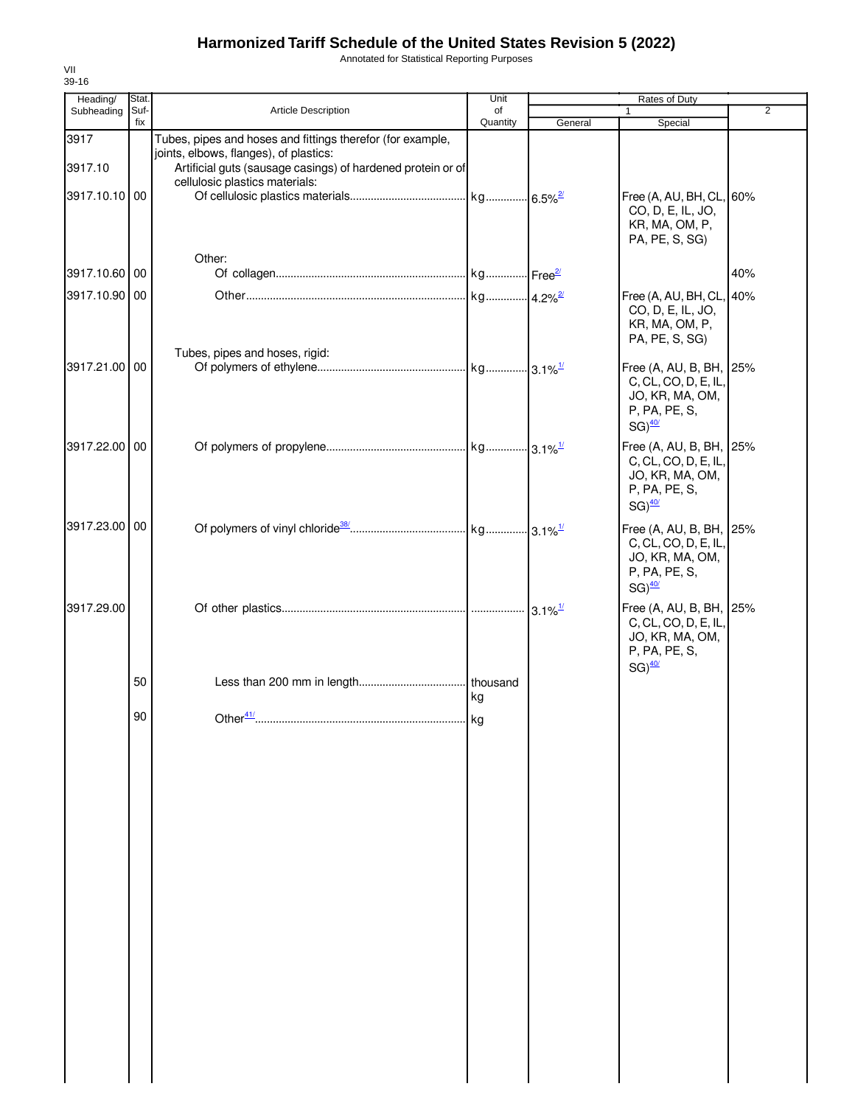Annotated for Statistical Reporting Purposes

| Heading/        | Stat.       |                                                                                                                                                                     | Unit           |         | Rates of Duty                                                                                               |                |
|-----------------|-------------|---------------------------------------------------------------------------------------------------------------------------------------------------------------------|----------------|---------|-------------------------------------------------------------------------------------------------------------|----------------|
| Subheading      | Suf-<br>fix | Article Description                                                                                                                                                 | of<br>Quantity | General | 1<br>Special                                                                                                | $\overline{2}$ |
| 3917<br>3917.10 |             | Tubes, pipes and hoses and fittings therefor (for example,<br>joints, elbows, flanges), of plastics:<br>Artificial guts (sausage casings) of hardened protein or of |                |         |                                                                                                             |                |
| 3917.10.10 00   |             | cellulosic plastics materials:                                                                                                                                      |                |         | Free (A, AU, BH, CL, 60%<br>CO, D, E, IL, JO,<br>KR, MA, OM, P,<br>PA, PE, S, SG)                           |                |
| 3917.10.60 00   |             | Other:                                                                                                                                                              |                |         |                                                                                                             | 40%            |
| 3917.10.90 00   |             |                                                                                                                                                                     |                |         | Free (A, AU, BH, CL, 40%<br>CO, D, E, IL, JO,<br>KR, MA, OM, P,<br>PA, PE, S, SG)                           |                |
| 3917.21.00 00   |             | Tubes, pipes and hoses, rigid:                                                                                                                                      |                |         | Free (A, AU, B, BH, 25%<br>C, CL, CO, D, E, IL,<br>JO, KR, MA, OM,<br>P, PA, PE, S,<br>$SG)$ <sup>40/</sup> |                |
| 3917.22.00 00   |             |                                                                                                                                                                     |                |         | Free (A, AU, B, BH, 25%<br>C, CL, CO, D, E, IL,<br>JO, KR, MA, OM,<br>P, PA, PE, S,<br>$SG)$ <sup>40/</sup> |                |
| 3917.23.00 00   |             |                                                                                                                                                                     |                |         | Free (A, AU, B, BH, 25%<br>C, CL, CO, D, E, IL,<br>JO, KR, MA, OM,<br>P, PA, PE, S,<br>$SG)$ <sup>40/</sup> |                |
| 3917.29.00      |             |                                                                                                                                                                     |                |         | Free (A, AU, B, BH, 25%<br>C, CL, CO, D, E, IL,<br>JO, KR, MA, OM,<br>P, PA, PE, S,<br>$SG)$ <sup>40/</sup> |                |
|                 | 50          |                                                                                                                                                                     | thousand<br>kg |         |                                                                                                             |                |
|                 | 90          | Other <sup>41/</sup>                                                                                                                                                | . I kg         |         |                                                                                                             |                |
|                 |             |                                                                                                                                                                     |                |         |                                                                                                             |                |
|                 |             |                                                                                                                                                                     |                |         |                                                                                                             |                |
|                 |             |                                                                                                                                                                     |                |         |                                                                                                             |                |
|                 |             |                                                                                                                                                                     |                |         |                                                                                                             |                |
|                 |             |                                                                                                                                                                     |                |         |                                                                                                             |                |
|                 |             |                                                                                                                                                                     |                |         |                                                                                                             |                |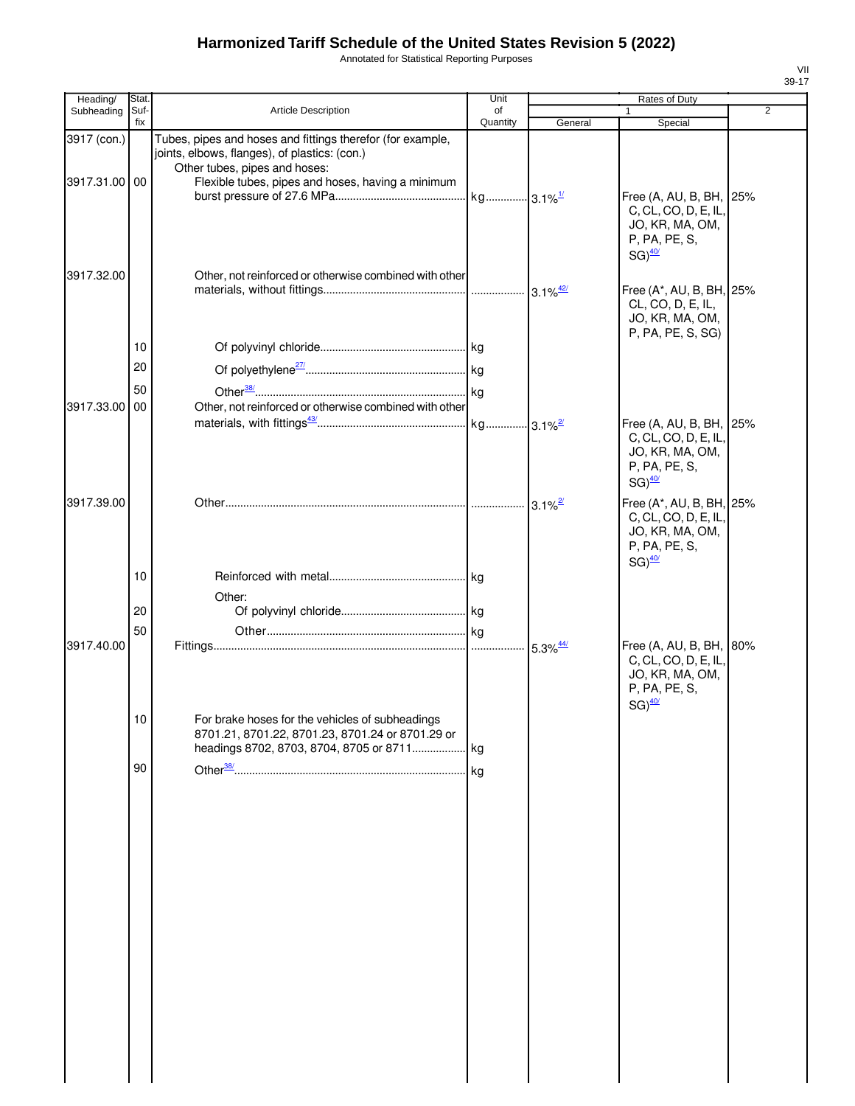Annotated for Statistical Reporting Purposes

| Heading/      | Stat.       |                                                                                                                                              | Unit                  |                        | Rates of Duty                                                                                               |   |
|---------------|-------------|----------------------------------------------------------------------------------------------------------------------------------------------|-----------------------|------------------------|-------------------------------------------------------------------------------------------------------------|---|
| Subheading    | Suf-<br>fix | Article Description                                                                                                                          | of<br>Quantity        | General                | Special                                                                                                     | 2 |
| 3917 (con.)   |             | Tubes, pipes and hoses and fittings therefor (for example,<br>joints, elbows, flanges), of plastics: (con.)<br>Other tubes, pipes and hoses: |                       |                        |                                                                                                             |   |
| 3917.31.00 00 |             | Flexible tubes, pipes and hoses, having a minimum                                                                                            | kg 3.1% <sup>1/</sup> |                        | Free (A, AU, B, BH, 25%<br>C, CL, CO, D, E, IL,<br>JO, KR, MA, OM,<br>P, PA, PE, S,                         |   |
| 3917.32.00    |             | Other, not reinforced or otherwise combined with other                                                                                       |                       |                        | $SG)$ <sup>40/</sup><br>Free (A*, AU, B, BH, 25%<br>CL, CO, D, E, IL,<br>JO, KR, MA, OM,                    |   |
|               | 10          |                                                                                                                                              |                       |                        | P, PA, PE, S, SG)                                                                                           |   |
|               | 20          |                                                                                                                                              |                       |                        |                                                                                                             |   |
|               |             |                                                                                                                                              |                       |                        |                                                                                                             |   |
| 3917.33.00    | 50<br>00    | Other, not reinforced or otherwise combined with other                                                                                       |                       |                        |                                                                                                             |   |
|               |             |                                                                                                                                              |                       |                        | Free (A, AU, B, BH, 25%<br>C, CL, CO, D, E, IL,<br>JO, KR, MA, OM,<br>P, PA, PE, S,<br>$SG)$ <sup>40/</sup> |   |
| 3917.39.00    |             |                                                                                                                                              |                       | $3.1\%$ <sup>2/</sup>  | Free (A*, AU, B, BH, 25%<br>C, CL, CO, D, E, IL,<br>JO, KR, MA, OM,<br>P, PA, PE, S,                        |   |
|               | 10          |                                                                                                                                              |                       |                        | $SG)$ <sup>40/</sup>                                                                                        |   |
|               |             | Other:                                                                                                                                       |                       |                        |                                                                                                             |   |
|               | 20          |                                                                                                                                              |                       |                        |                                                                                                             |   |
|               | 50          |                                                                                                                                              |                       |                        |                                                                                                             |   |
| 3917.40.00    | 10          | For brake hoses for the vehicles of subheadings<br>8701.21, 8701.22, 8701.23, 8701.24 or 8701.29 or                                          |                       | $5.3\%$ <sup>44/</sup> | Free (A, AU, B, BH, 80%<br>C, CL, CO, D, E, IL,<br>JO, KR, MA, OM,<br>P, PA, PE, S,<br>$SG)$ <sup>40/</sup> |   |
|               |             | headings 8702, 8703, 8704, 8705 or 8711                                                                                                      | kg.                   |                        |                                                                                                             |   |
|               | 90          |                                                                                                                                              | kg                    |                        |                                                                                                             |   |
|               |             |                                                                                                                                              |                       |                        |                                                                                                             |   |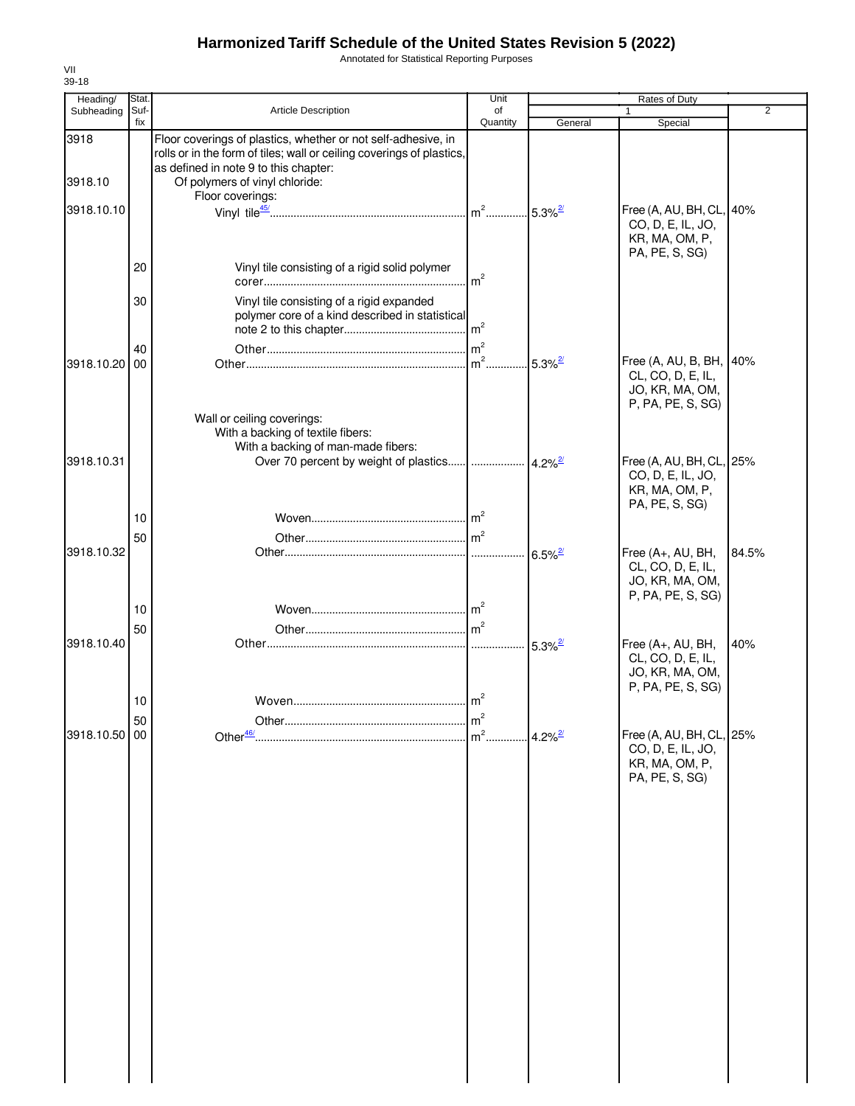Annotated for Statistical Reporting Purposes

| Heading/      | Stat.       |                                                                                                                                                                                 | Unit            |                       | Rates of Duty                                                                     |                |
|---------------|-------------|---------------------------------------------------------------------------------------------------------------------------------------------------------------------------------|-----------------|-----------------------|-----------------------------------------------------------------------------------|----------------|
| Subheading    | Suf-<br>fix | Article Description                                                                                                                                                             | of              |                       |                                                                                   | $\overline{2}$ |
| 3918          |             | Floor coverings of plastics, whether or not self-adhesive, in<br>rolls or in the form of tiles; wall or ceiling coverings of plastics,<br>as defined in note 9 to this chapter: | Quantity        | General               | Special                                                                           |                |
| 3918.10       |             | Of polymers of vinyl chloride:                                                                                                                                                  |                 |                       |                                                                                   |                |
| 3918.10.10    |             | Floor coverings:                                                                                                                                                                |                 |                       | Free (A, AU, BH, CL, 40%                                                          |                |
|               |             |                                                                                                                                                                                 |                 |                       | CO, D, E, IL, JO,<br>KR, MA, OM, P,<br>PA, PE, S, SG)                             |                |
|               | 20          | Vinyl tile consisting of a rigid solid polymer                                                                                                                                  | m <sup>2</sup>  |                       |                                                                                   |                |
|               | 30          | Vinyl tile consisting of a rigid expanded<br>polymer core of a kind described in statistical                                                                                    |                 |                       |                                                                                   |                |
|               | 40<br>00    |                                                                                                                                                                                 | $\mathsf{Im}^2$ | $5.3\%$ <sup>2/</sup> | Free (A, AU, B, BH, 40%                                                           |                |
| 3918.10.20    |             |                                                                                                                                                                                 |                 |                       | CL, CO, D, E, IL,<br>JO, KR, MA, OM,<br>P, PA, PE, S, SG)                         |                |
|               |             | Wall or ceiling coverings:<br>With a backing of textile fibers:<br>With a backing of man-made fibers:                                                                           |                 |                       |                                                                                   |                |
| 3918.10.31    |             | Over 70 percent by weight of plastics                                                                                                                                           |                 | $.  4.2\%^{27}$       | Free (A, AU, BH, CL, 25%<br>CO, D, E, IL, JO,<br>KR, MA, OM, P,<br>PA, PE, S, SG) |                |
|               | 10          |                                                                                                                                                                                 |                 |                       |                                                                                   |                |
| 3918.10.32    | 50          |                                                                                                                                                                                 |                 | $6.5\%$ <sup>2/</sup> | Free (A+, AU, BH,                                                                 | 84.5%          |
|               |             |                                                                                                                                                                                 |                 |                       | CL, CO, D, E, IL,<br>JO, KR, MA, OM,<br>P, PA, PE, S, SG)                         |                |
|               | 10          |                                                                                                                                                                                 | $\mathsf{Im}^2$ |                       |                                                                                   |                |
| 3918.10.40    | 50          |                                                                                                                                                                                 | m <sup>2</sup>  | $5.3\%$ <sup>2/</sup> | Free (A+, AU, BH,                                                                 | 40%            |
|               |             |                                                                                                                                                                                 |                 |                       | CL, CO, D, E, IL,<br>JO, KR, MA, OM,<br>P, PA, PE, S, SG)                         |                |
|               | 10          |                                                                                                                                                                                 |                 |                       |                                                                                   |                |
| 3918.10.50 00 | 50          |                                                                                                                                                                                 | 1m<br>$m2$ .    | $4.2\%$ <sup>2/</sup> | Free (A, AU, BH, CL, 25%                                                          |                |
|               |             |                                                                                                                                                                                 |                 |                       | CO, D, E, IL, JO,<br>KR, MA, OM, P,<br>PA, PE, S, SG)                             |                |
|               |             |                                                                                                                                                                                 |                 |                       |                                                                                   |                |
|               |             |                                                                                                                                                                                 |                 |                       |                                                                                   |                |
|               |             |                                                                                                                                                                                 |                 |                       |                                                                                   |                |
|               |             |                                                                                                                                                                                 |                 |                       |                                                                                   |                |
|               |             |                                                                                                                                                                                 |                 |                       |                                                                                   |                |
|               |             |                                                                                                                                                                                 |                 |                       |                                                                                   |                |
|               |             |                                                                                                                                                                                 |                 |                       |                                                                                   |                |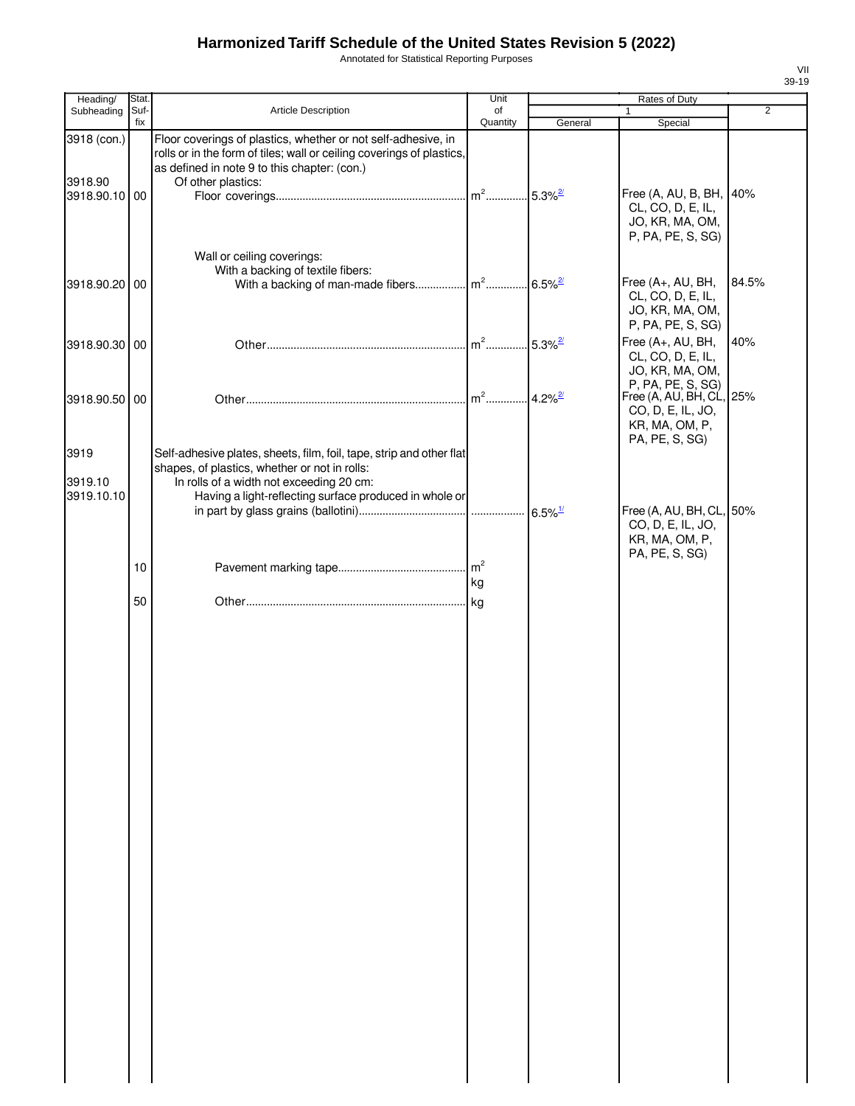Annotated for Statistical Reporting Purposes

| Heading/                      | Stat. |                                                                                                                                                                                                                             | Unit                              |                       | Rates of Duty                                                                     |                |
|-------------------------------|-------|-----------------------------------------------------------------------------------------------------------------------------------------------------------------------------------------------------------------------------|-----------------------------------|-----------------------|-----------------------------------------------------------------------------------|----------------|
| Subheading                    | Suf-  | Article Description                                                                                                                                                                                                         | of                                |                       | $\mathbf{1}$                                                                      | $\overline{2}$ |
| 3918 (con.)                   | fix   | Floor coverings of plastics, whether or not self-adhesive, in<br>rolls or in the form of tiles; wall or ceiling coverings of plastics,<br>as defined in note 9 to this chapter: (con.)                                      | Quantity                          | General               | Special                                                                           |                |
| 3918.90<br>3918.90.10 00      |       | Of other plastics:                                                                                                                                                                                                          | m <sup>2</sup> 5.3% <sup>2/</sup> |                       | Free (A, AU, B, BH, 40%<br>CL, CO, D, E, IL,<br>JO, KR, MA, OM,                   |                |
| 3918.90.20 00                 |       | Wall or ceiling coverings:<br>With a backing of textile fibers:                                                                                                                                                             |                                   |                       | P, PA, PE, S, SG)<br>Free (A+, AU, BH,                                            | 84.5%          |
|                               |       |                                                                                                                                                                                                                             |                                   |                       | CL, CO, D, E, IL,<br>JO, KR, MA, OM,<br>P, PA, PE, S, SG)                         |                |
| 3918.90.30 00                 |       |                                                                                                                                                                                                                             |                                   | $5.3\%$ <sup>2/</sup> | Free (A+, AU, BH,<br>CL, CO, D, E, IL,<br>JO, KR, MA, OM,<br>P, PA, PE, S, SG)    | 40%            |
| 3918.90.50 00                 |       |                                                                                                                                                                                                                             | $m^2$                             | $4.2\%$ <sup>2/</sup> | Free (A, AU, BH, CL, 25%<br>CO, D, E, IL, JO,<br>KR, MA, OM, P,<br>PA, PE, S, SG) |                |
| 3919<br>3919.10<br>3919.10.10 |       | Self-adhesive plates, sheets, film, foil, tape, strip and other flat<br>shapes, of plastics, whether or not in rolls:<br>In rolls of a width not exceeding 20 cm:<br>Having a light-reflecting surface produced in whole or |                                   |                       |                                                                                   |                |
|                               |       |                                                                                                                                                                                                                             |                                   |                       | Free (A, AU, BH, CL, 50%<br>CO, D, E, IL, JO,<br>KR, MA, OM, P,<br>PA, PE, S, SG) |                |
|                               | 10    |                                                                                                                                                                                                                             | m <sup>2</sup><br>kg              |                       |                                                                                   |                |
|                               | 50    |                                                                                                                                                                                                                             | kg                                |                       |                                                                                   |                |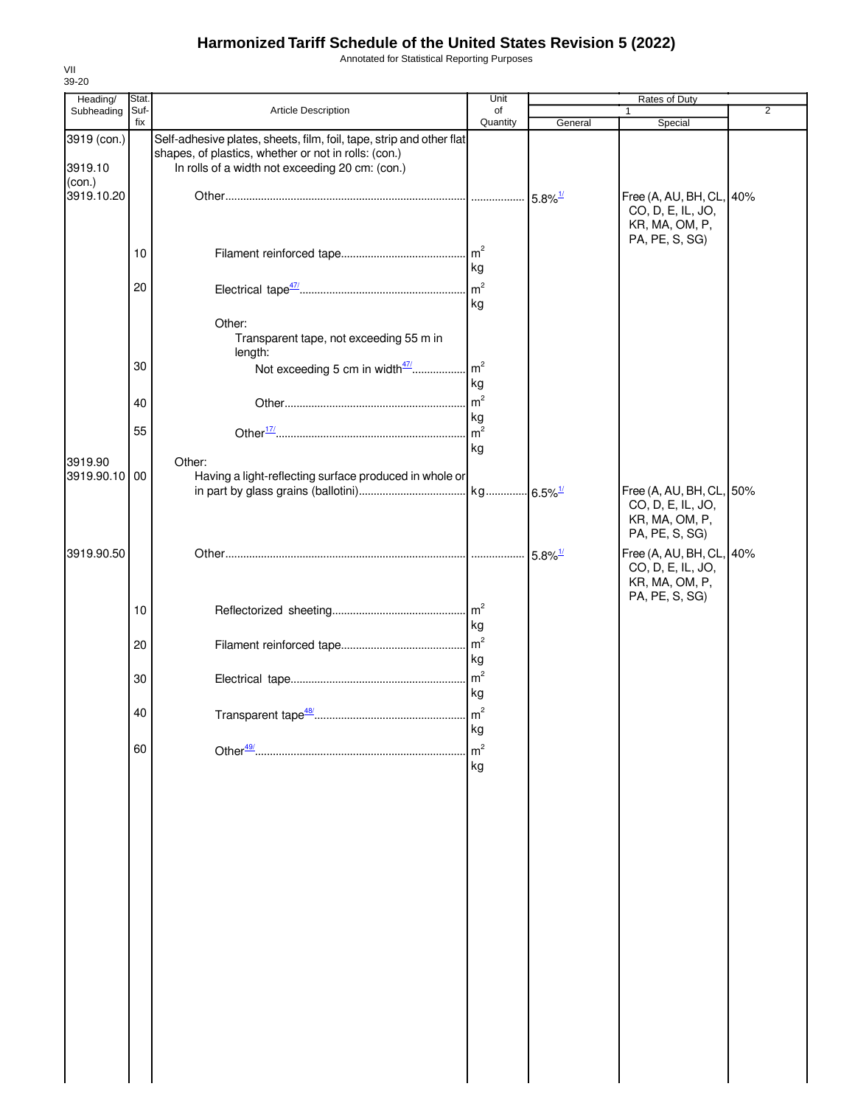Annotated for Statistical Reporting Purposes

| Heading/               | Stat.       |                                                                                                                                                                                 | Unit                  | Rates of Duty         |                                                                                   |                |
|------------------------|-------------|---------------------------------------------------------------------------------------------------------------------------------------------------------------------------------|-----------------------|-----------------------|-----------------------------------------------------------------------------------|----------------|
| Subheading             | Suf-<br>fix | Article Description                                                                                                                                                             | of<br>Quantity        | General               | 1<br>Special                                                                      | $\overline{2}$ |
| 3919 (con.)<br>3919.10 |             | Self-adhesive plates, sheets, film, foil, tape, strip and other flat<br>shapes, of plastics, whether or not in rolls: (con.)<br>In rolls of a width not exceeding 20 cm: (con.) |                       |                       |                                                                                   |                |
| (con.)<br>3919.10.20   |             |                                                                                                                                                                                 |                       | $5.8\%$ <sup>1/</sup> | Free (A, AU, BH, CL, 40%<br>CO, D, E, IL, JO,<br>KR, MA, OM, P,<br>PA, PE, S, SG) |                |
|                        | 10          |                                                                                                                                                                                 | kg                    |                       |                                                                                   |                |
|                        | 20          |                                                                                                                                                                                 | $\mathsf{m}^2$<br>kg  |                       |                                                                                   |                |
|                        |             | Other:<br>Transparent tape, not exceeding 55 m in<br>length:                                                                                                                    |                       |                       |                                                                                   |                |
|                        | 30          | Not exceeding 5 cm in width47/                                                                                                                                                  | m <sup>2</sup><br>kg  |                       |                                                                                   |                |
|                        | 40          |                                                                                                                                                                                 | m <sup>2</sup>        |                       |                                                                                   |                |
|                        | 55          |                                                                                                                                                                                 | kg<br>$\mathsf{m}^2$  |                       |                                                                                   |                |
|                        |             |                                                                                                                                                                                 | kg                    |                       |                                                                                   |                |
| 3919.90<br>3919.90.10  | $00\,$      | Other:<br>Having a light-reflecting surface produced in whole or                                                                                                                |                       |                       |                                                                                   |                |
|                        |             |                                                                                                                                                                                 |                       |                       | Free (A, AU, BH, CL, 50%<br>CO, D, E, IL, JO,<br>KR, MA, OM, P,<br>PA, PE, S, SG) |                |
| 3919.90.50             |             |                                                                                                                                                                                 |                       | $5.8\%$ <sup>1/</sup> | Free (A, AU, BH, CL, 40%<br>CO, D, E, IL, JO,<br>KR, MA, OM, P,<br>PA, PE, S, SG) |                |
|                        | 10          |                                                                                                                                                                                 | $\mathsf{Im}^2$<br>kg |                       |                                                                                   |                |
|                        | 20          |                                                                                                                                                                                 | m <sup>2</sup><br>kg  |                       |                                                                                   |                |
|                        | 30          |                                                                                                                                                                                 | m <sup>2</sup><br>kg  |                       |                                                                                   |                |
|                        | 40          | Transparent tape <sup>48/</sup>                                                                                                                                                 | m <sup>2</sup><br>kg  |                       |                                                                                   |                |
|                        | 60          |                                                                                                                                                                                 | m <sup>2</sup><br>kg  |                       |                                                                                   |                |
|                        |             |                                                                                                                                                                                 |                       |                       |                                                                                   |                |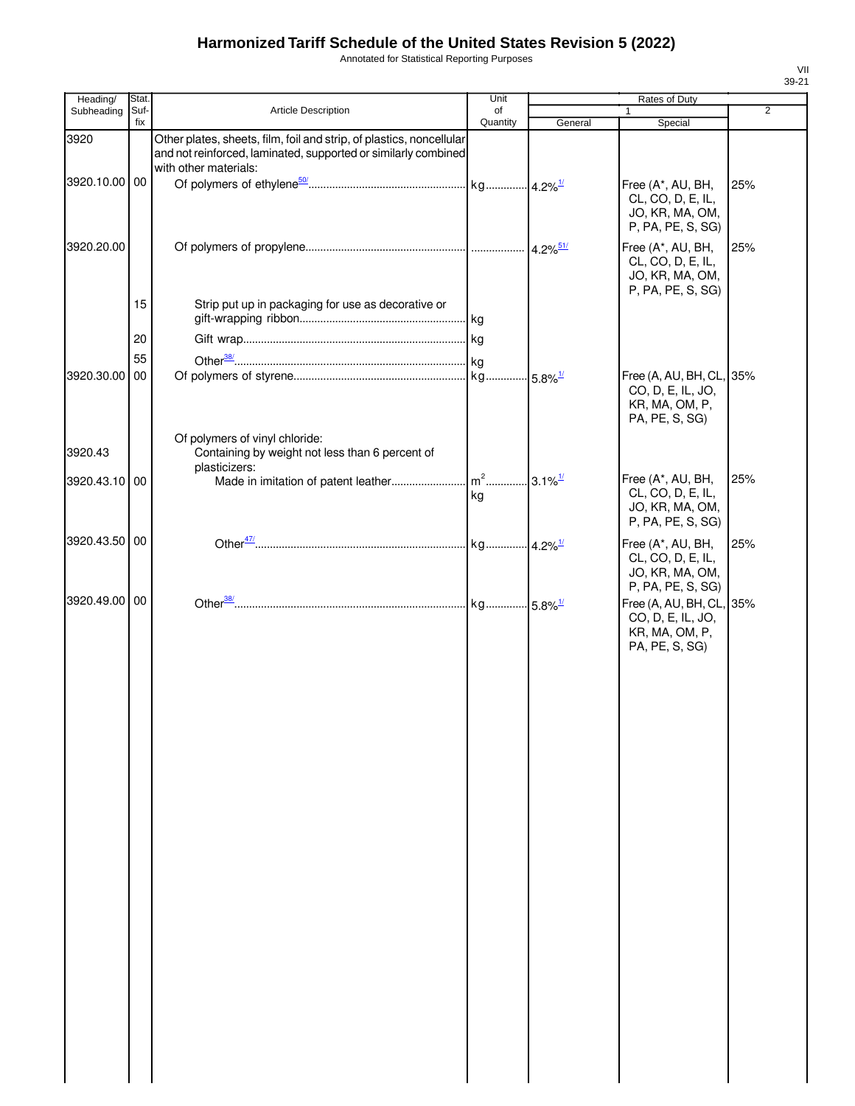Annotated for Statistical Reporting Purposes

| Heading/      | Stat. |                                                                                                                                                                 | Unit     |         | Rates of Duty                                                                     |                |
|---------------|-------|-----------------------------------------------------------------------------------------------------------------------------------------------------------------|----------|---------|-----------------------------------------------------------------------------------|----------------|
| Subheading    | Suf-  | <b>Article Description</b>                                                                                                                                      | of       |         |                                                                                   | $\overline{2}$ |
|               | fix   |                                                                                                                                                                 | Quantity | General | Special                                                                           |                |
| 3920          |       | Other plates, sheets, film, foil and strip, of plastics, noncellular<br>and not reinforced, laminated, supported or similarly combined<br>with other materials: |          |         |                                                                                   |                |
| 3920.10.00 00 |       |                                                                                                                                                                 |          |         | Free (A*, AU, BH,<br>CL, CO, D, E, IL,<br>JO, KR, MA, OM,<br>P, PA, PE, S, SG)    | 25%            |
| 3920.20.00    |       |                                                                                                                                                                 |          |         | Free (A*, AU, BH,<br>CL, CO, D, E, IL,<br>JO, KR, MA, OM,<br>P, PA, PE, S, SG)    | 25%            |
|               | 15    | Strip put up in packaging for use as decorative or                                                                                                              |          |         |                                                                                   |                |
|               | 20    |                                                                                                                                                                 |          |         |                                                                                   |                |
|               | 55    |                                                                                                                                                                 |          |         |                                                                                   |                |
| 3920.30.00    | 00    |                                                                                                                                                                 |          |         | Free (A, AU, BH, CL, 35%<br>CO, D, E, IL, JO,<br>KR, MA, OM, P,<br>PA, PE, S, SG) |                |
| 3920.43       |       | Of polymers of vinyl chloride:<br>Containing by weight not less than 6 percent of                                                                               |          |         |                                                                                   |                |
| 3920.43.10 00 |       | plasticizers:                                                                                                                                                   | kg       |         | Free (A*, AU, BH,<br>CL, CO, D, E, IL,<br>JO, KR, MA, OM,<br>P, PA, PE, S, SG)    | 25%            |
| 3920.43.50 00 |       |                                                                                                                                                                 |          |         | Free (A*, AU, BH,<br>CL, CO, D, E, IL,<br>JO, KR, MA, OM,<br>P, PA, PE, S, SG)    | 25%            |
| 3920.49.00 00 |       |                                                                                                                                                                 |          |         | Free (A, AU, BH, CL, 35%<br>CO, D, E, IL, JO,<br>KR, MA, OM, P,<br>PA, PE, S, SG) |                |
|               |       |                                                                                                                                                                 |          |         |                                                                                   |                |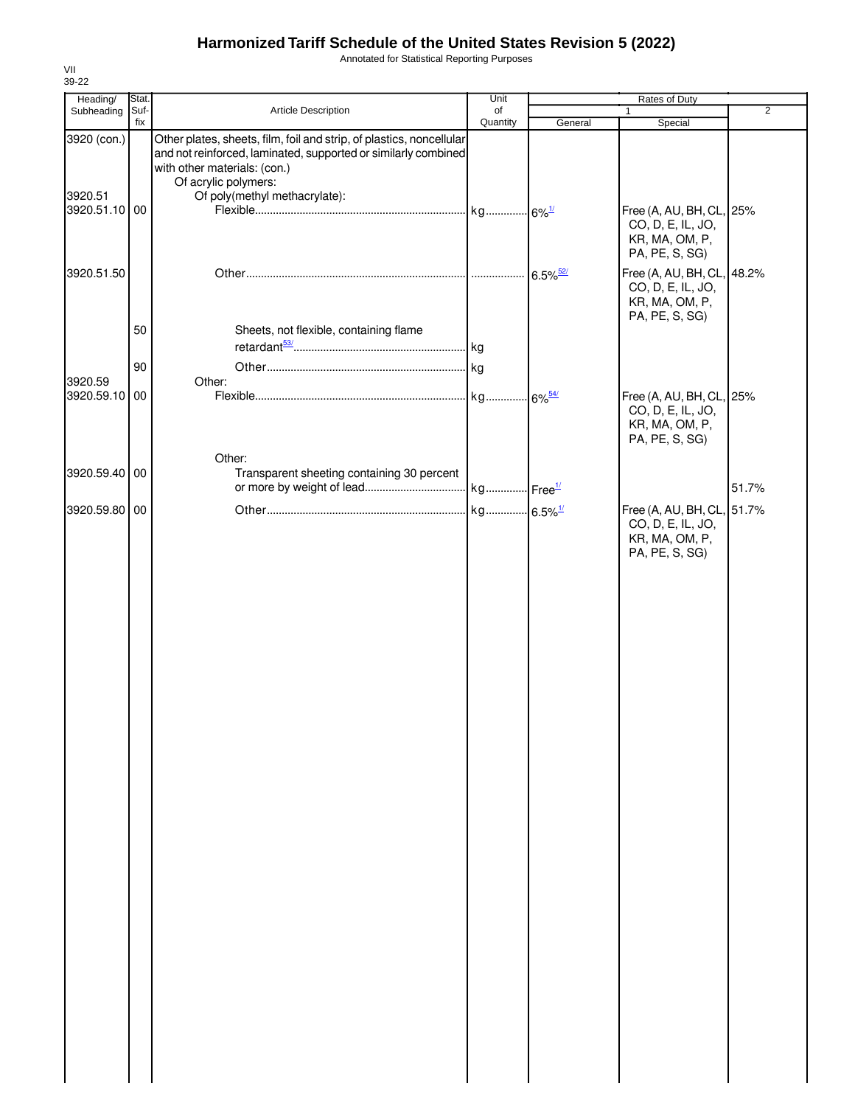Annotated for Statistical Reporting Purposes

| Heading/      | Stat. |                                                                                                                        | Unit     |                        | Rates of Duty                                                                       |                |
|---------------|-------|------------------------------------------------------------------------------------------------------------------------|----------|------------------------|-------------------------------------------------------------------------------------|----------------|
| Subheading    | Suf-  | Article Description                                                                                                    | of       |                        |                                                                                     | $\overline{2}$ |
| 3920 (con.)   | fix   | Other plates, sheets, film, foil and strip, of plastics, noncellular                                                   | Quantity | General                | Special                                                                             |                |
|               |       | and not reinforced, laminated, supported or similarly combined<br>with other materials: (con.)<br>Of acrylic polymers: |          |                        |                                                                                     |                |
| 3920.51       |       | Of poly(methyl methacrylate):                                                                                          |          |                        |                                                                                     |                |
| 3920.51.10 00 |       |                                                                                                                        |          |                        | Free (A, AU, BH, CL, 25%<br>CO, D, E, IL, JO,<br>KR, MA, OM, P,<br>PA, PE, S, SG)   |                |
| 3920.51.50    |       |                                                                                                                        |          | $6.5\%$ <sup>52/</sup> | Free (A, AU, BH, CL, 48.2%<br>CO, D, E, IL, JO,<br>KR, MA, OM, P,<br>PA, PE, S, SG) |                |
|               | 50    | Sheets, not flexible, containing flame                                                                                 |          |                        |                                                                                     |                |
|               |       |                                                                                                                        |          |                        |                                                                                     |                |
| 3920.59       | 90    | Other:                                                                                                                 |          |                        |                                                                                     |                |
| 3920.59.10 00 |       |                                                                                                                        |          |                        | Free (A, AU, BH, CL, 25%<br>CO, D, E, IL, JO,<br>KR, MA, OM, P,<br>PA, PE, S, SG)   |                |
|               |       | Other:                                                                                                                 |          |                        |                                                                                     |                |
| 3920.59.40 00 |       | Transparent sheeting containing 30 percent                                                                             |          |                        |                                                                                     | 51.7%          |
| 3920.59.80 00 |       |                                                                                                                        |          |                        | Free (A, AU, BH, CL, 51.7%                                                          |                |
|               |       |                                                                                                                        |          |                        | CO, D, E, IL, JO,<br>KR, MA, OM, P,<br>PA, PE, S, SG)                               |                |
|               |       |                                                                                                                        |          |                        |                                                                                     |                |
|               |       |                                                                                                                        |          |                        |                                                                                     |                |
|               |       |                                                                                                                        |          |                        |                                                                                     |                |
|               |       |                                                                                                                        |          |                        |                                                                                     |                |
|               |       |                                                                                                                        |          |                        |                                                                                     |                |
|               |       |                                                                                                                        |          |                        |                                                                                     |                |
|               |       |                                                                                                                        |          |                        |                                                                                     |                |
|               |       |                                                                                                                        |          |                        |                                                                                     |                |
|               |       |                                                                                                                        |          |                        |                                                                                     |                |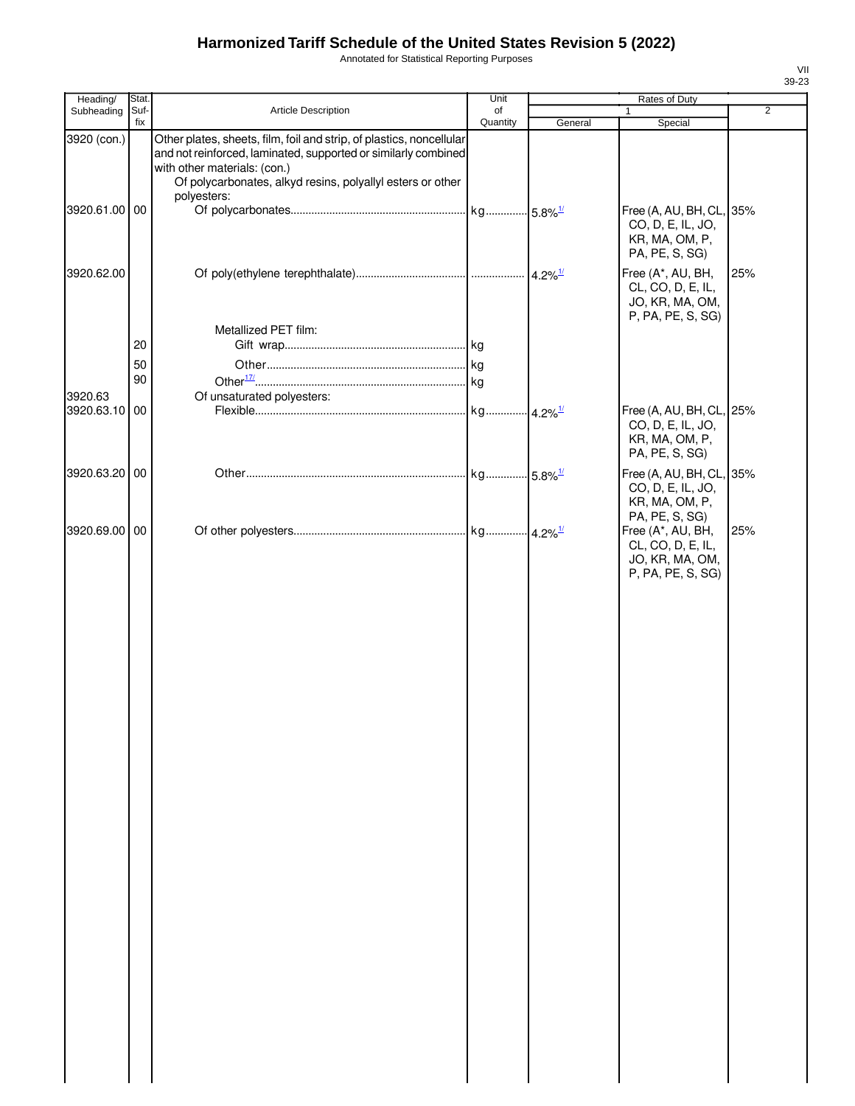Annotated for Statistical Reporting Purposes

| Heading/      | Stat.       |                                                                                                                                                                                                                                      | Unit                  |         | Rates of Duty                                                                     |                |
|---------------|-------------|--------------------------------------------------------------------------------------------------------------------------------------------------------------------------------------------------------------------------------------|-----------------------|---------|-----------------------------------------------------------------------------------|----------------|
| Subheading    | Suf-<br>fix | Article Description                                                                                                                                                                                                                  | of<br>Quantity        |         |                                                                                   | $\overline{2}$ |
| 3920 (con.)   |             | Other plates, sheets, film, foil and strip, of plastics, noncellular<br>and not reinforced, laminated, supported or similarly combined<br>with other materials: (con.)<br>Of polycarbonates, alkyd resins, polyallyl esters or other |                       | General | Special                                                                           |                |
| 3920.61.00 00 |             | polyesters:                                                                                                                                                                                                                          |                       |         | Free (A, AU, BH, CL, 35%<br>CO, D, E, IL, JO,<br>KR, MA, OM, P,<br>PA, PE, S, SG) |                |
| 3920.62.00    |             |                                                                                                                                                                                                                                      |                       |         | Free (A*, AU, BH,<br>CL, CO, D, E, IL,<br>JO, KR, MA, OM,<br>P, PA, PE, S, SG)    | 25%            |
|               |             | Metallized PET film:                                                                                                                                                                                                                 |                       |         |                                                                                   |                |
|               | 20          |                                                                                                                                                                                                                                      |                       |         |                                                                                   |                |
|               | 50<br>90    |                                                                                                                                                                                                                                      |                       |         |                                                                                   |                |
| 3920.63       |             | Of unsaturated polyesters:                                                                                                                                                                                                           |                       |         |                                                                                   |                |
| 3920.63.10    | 00          |                                                                                                                                                                                                                                      |                       |         | Free (A, AU, BH, CL, 25%<br>CO, D, E, IL, JO,<br>KR, MA, OM, P,<br>PA, PE, S, SG) |                |
| 3920.63.20 00 |             |                                                                                                                                                                                                                                      | kg 5.8% <sup>1/</sup> |         | Free (A, AU, BH, CL, 35%<br>CO, D, E, IL, JO,<br>KR, MA, OM, P,<br>PA, PE, S, SG) |                |
| 3920.69.00 00 |             |                                                                                                                                                                                                                                      |                       |         | Free (A*, AU, BH,<br>CL, CO, D, E, IL,<br>JO, KR, MA, OM,<br>P, PA, PE, S, SG)    | 25%            |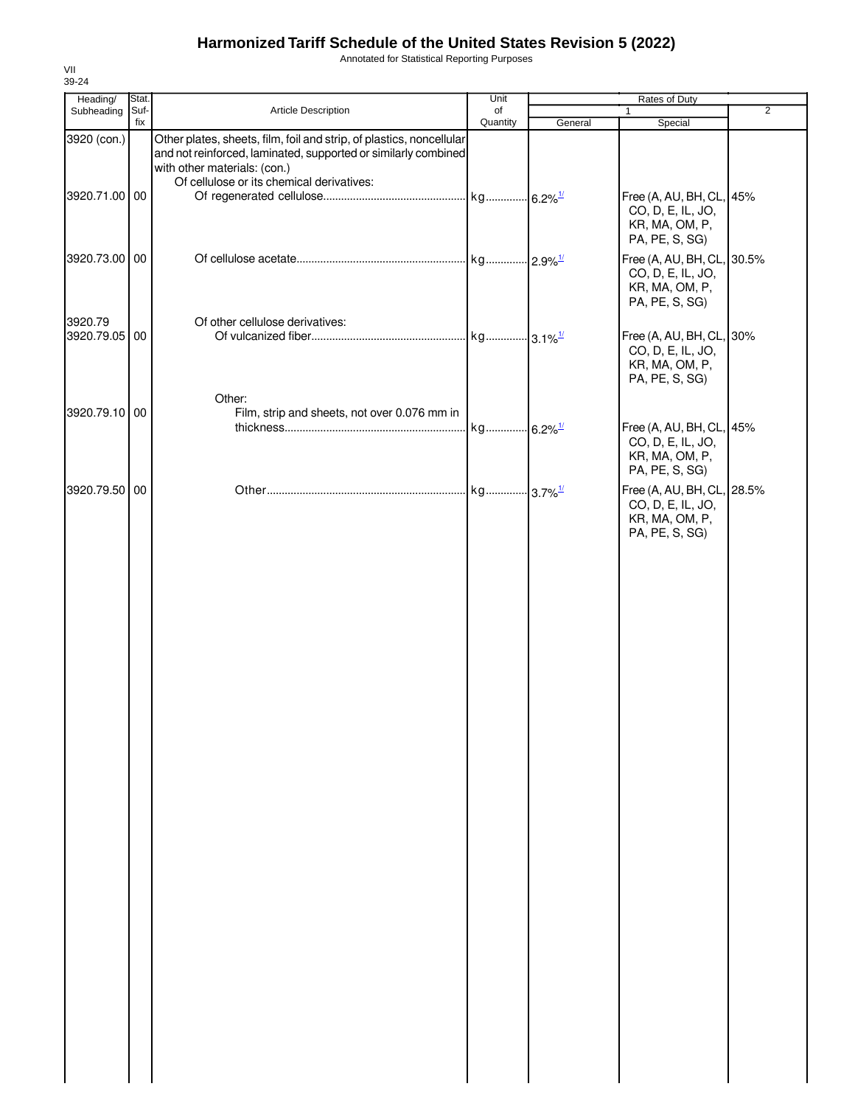Annotated for Statistical Reporting Purposes

| Heading/                 | Stat. |                                                                                                | Unit     | Rates of Duty |                                                                                     |                |
|--------------------------|-------|------------------------------------------------------------------------------------------------|----------|---------------|-------------------------------------------------------------------------------------|----------------|
| Subheading               | Suf-  | Article Description                                                                            | of       |               | 1                                                                                   | $\overline{2}$ |
| 3920 (con.)              | fix   | Other plates, sheets, film, foil and strip, of plastics, noncellular                           | Quantity | General       | Special                                                                             |                |
|                          |       | and not reinforced, laminated, supported or similarly combined<br>with other materials: (con.) |          |               |                                                                                     |                |
| 3920.71.00 00            |       | Of cellulose or its chemical derivatives:                                                      |          |               | Free (A, AU, BH, CL, 45%<br>CO, D, E, IL, JO,<br>KR, MA, OM, P,                     |                |
| 3920.73.00 00            |       |                                                                                                |          |               | PA, PE, S, SG)<br>Free (A, AU, BH, CL, 30.5%<br>CO, D, E, IL, JO,<br>KR, MA, OM, P, |                |
| 3920.79<br>3920.79.05 00 |       | Of other cellulose derivatives:                                                                |          |               | PA, PE, S, SG)<br>Free (A, AU, BH, CL, 30%<br>CO, D, E, IL, JO,<br>KR, MA, OM, P,   |                |
| 3920.79.10 00            |       | Other:<br>Film, strip and sheets, not over 0.076 mm in                                         |          |               | PA, PE, S, SG)<br>Free (A, AU, BH, CL, 45%                                          |                |
|                          |       |                                                                                                |          |               | CO, D, E, IL, JO,<br>KR, MA, OM, P,<br>PA, PE, S, SG)                               |                |
| 3920.79.50 00            |       |                                                                                                |          |               | Free (A, AU, BH, CL, 28.5%<br>CO, D, E, IL, JO,<br>KR, MA, OM, P,<br>PA, PE, S, SG) |                |
|                          |       |                                                                                                |          |               |                                                                                     |                |
|                          |       |                                                                                                |          |               |                                                                                     |                |
|                          |       |                                                                                                |          |               |                                                                                     |                |
|                          |       |                                                                                                |          |               |                                                                                     |                |
|                          |       |                                                                                                |          |               |                                                                                     |                |
|                          |       |                                                                                                |          |               |                                                                                     |                |
|                          |       |                                                                                                |          |               |                                                                                     |                |
|                          |       |                                                                                                |          |               |                                                                                     |                |
|                          |       |                                                                                                |          |               |                                                                                     |                |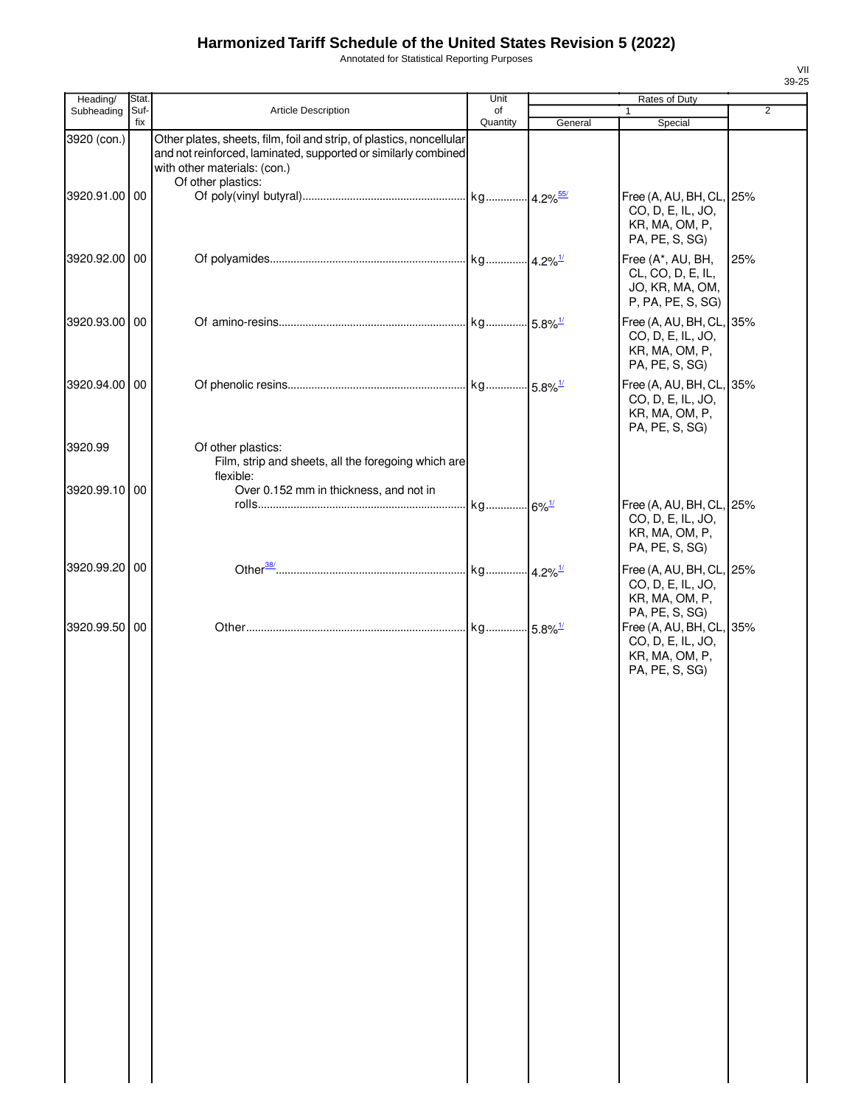Annotated for Statistical Reporting Purposes

| Heading/      | Stat.       |                                                                                                                                                                                              | Unit           |         | Rates of Duty                                                                                   |                |
|---------------|-------------|----------------------------------------------------------------------------------------------------------------------------------------------------------------------------------------------|----------------|---------|-------------------------------------------------------------------------------------------------|----------------|
| Subheading    | Suf-<br>fix | Article Description                                                                                                                                                                          | of<br>Quantity | General | 1<br>Special                                                                                    | $\overline{2}$ |
| 3920 (con.)   |             | Other plates, sheets, film, foil and strip, of plastics, noncellular<br>and not reinforced, laminated, supported or similarly combined<br>with other materials: (con.)<br>Of other plastics: |                |         |                                                                                                 |                |
| 3920.91.00 00 |             |                                                                                                                                                                                              |                |         | Free (A, AU, BH, CL, 25%<br>CO, D, E, IL, JO,<br>KR, MA, OM, P,<br>PA, PE, S, SG)               |                |
| 3920.92.00 00 |             |                                                                                                                                                                                              |                |         | Free (A*, AU, BH,<br>CL, CO, D, E, IL,<br>JO, KR, MA, OM,<br>P, PA, PE, S, SG)                  | 25%            |
| 3920.93.00 00 |             |                                                                                                                                                                                              |                |         | Free (A, AU, BH, CL, 35%<br>CO, D, E, IL, JO,<br>KR, MA, OM, P,<br>PA, PE, S, SG)               |                |
| 3920.94.00 00 |             |                                                                                                                                                                                              |                |         | Free (A, AU, BH, CL, 35%<br>CO, D, E, IL, JO,<br>KR, MA, OM, P,<br>PA, PE, S, SG)               |                |
| 3920.99       |             | Of other plastics:<br>Film, strip and sheets, all the foregoing which are<br>flexible:                                                                                                       |                |         |                                                                                                 |                |
| 3920.99.10 00 |             | Over 0.152 mm in thickness, and not in                                                                                                                                                       |                |         | Free (A, AU, BH, CL,<br>CO, D, E, IL, JO,<br>KR, MA, OM, P,<br>PA, PE, S, SG)                   | 25%            |
| 3920.99.20 00 |             |                                                                                                                                                                                              |                |         | Free (A, AU, BH, CL, 25%<br>CO, D, E, IL, JO,<br>KR, MA, OM, P,                                 |                |
| 3920.99.50 00 |             |                                                                                                                                                                                              |                |         | PA, PE, S, SG)<br>Free (A, AU, BH, CL,<br>CO, D, E, IL, JO,<br>KR, MA, OM, P,<br>PA, PE, S, SG) | 35%            |
|               |             |                                                                                                                                                                                              |                |         |                                                                                                 |                |
|               |             |                                                                                                                                                                                              |                |         |                                                                                                 |                |
|               |             |                                                                                                                                                                                              |                |         |                                                                                                 |                |
|               |             |                                                                                                                                                                                              |                |         |                                                                                                 |                |
|               |             |                                                                                                                                                                                              |                |         |                                                                                                 |                |
|               |             |                                                                                                                                                                                              |                |         |                                                                                                 |                |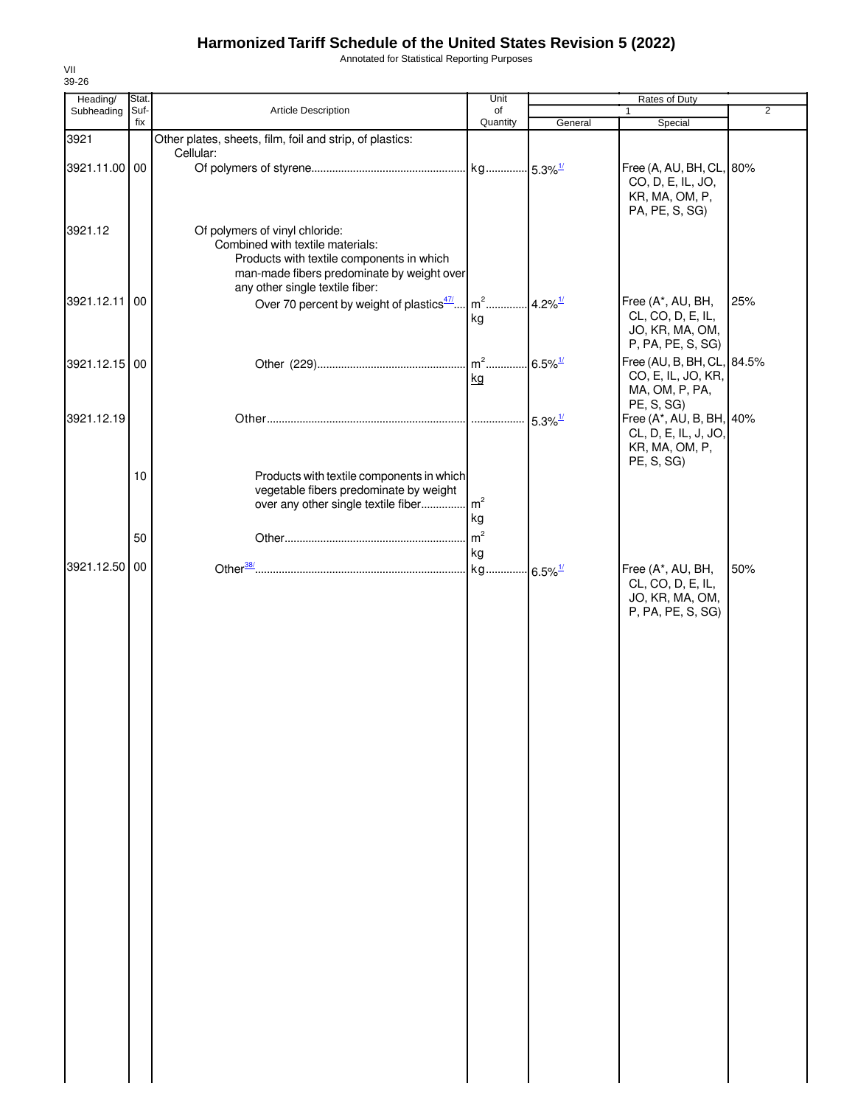Annotated for Statistical Reporting Purposes

| Heading/      | Stat. |                                                                               | Unit           |                       | Rates of Duty              |                |
|---------------|-------|-------------------------------------------------------------------------------|----------------|-----------------------|----------------------------|----------------|
| Subheading    | Suf-  | Article Description                                                           | of             |                       | $\mathbf{1}$               | $\overline{2}$ |
|               | fix   |                                                                               | Quantity       | General               | Special                    |                |
| 3921          |       | Other plates, sheets, film, foil and strip, of plastics:                      |                |                       |                            |                |
|               |       | Cellular:                                                                     |                |                       |                            |                |
| 3921.11.00 00 |       |                                                                               |                |                       | Free (A, AU, BH, CL, 80%   |                |
|               |       |                                                                               |                |                       | CO, D, E, IL, JO,          |                |
|               |       |                                                                               |                |                       | KR, MA, OM, P,             |                |
|               |       |                                                                               |                |                       | PA, PE, S, SG)             |                |
| 3921.12       |       | Of polymers of vinyl chloride:                                                |                |                       |                            |                |
|               |       | Combined with textile materials:                                              |                |                       |                            |                |
|               |       | Products with textile components in which                                     |                |                       |                            |                |
|               |       | man-made fibers predominate by weight over                                    |                |                       |                            |                |
|               |       | any other single textile fiber:                                               |                |                       |                            |                |
| 3921.12.11    | 00    | Over 70 percent by weight of plastics <sup>47</sup>                           | $m2$           | 4.2% $^{1/2}$         | Free (A*, AU, BH,          | 25%            |
|               |       |                                                                               | kg             |                       | CL, CO, D, E, IL,          |                |
|               |       |                                                                               |                |                       | JO, KR, MA, OM,            |                |
|               |       |                                                                               |                |                       | P, PA, PE, S, SG)          |                |
|               |       |                                                                               |                |                       | Free (AU, B, BH, CL, 84.5% |                |
| 3921.12.15 00 |       |                                                                               |                | $6.5\%$ <sup>1/</sup> | CO, E, IL, JO, KR,         |                |
|               |       |                                                                               | kg             |                       | MA, OM, P, PA,             |                |
|               |       |                                                                               |                |                       | PE, S, SG)                 |                |
| 3921.12.19    |       |                                                                               |                |                       |                            |                |
|               |       |                                                                               |                | $5.3\%$ <sup>1/</sup> | Free (A*, AU, B, BH, 40%   |                |
|               |       |                                                                               |                |                       | CL, D, E, IL, J, JO,       |                |
|               |       |                                                                               |                |                       | KR, MA, OM, P,             |                |
|               |       |                                                                               |                |                       | PE, S, SG)                 |                |
|               | 10    | Products with textile components in which                                     |                |                       |                            |                |
|               |       | vegetable fibers predominate by weight<br>over any other single textile fiber | m <sup>2</sup> |                       |                            |                |
|               |       |                                                                               |                |                       |                            |                |
|               |       |                                                                               | kg             |                       |                            |                |
|               | 50    |                                                                               | m <sup>2</sup> |                       |                            |                |
|               |       |                                                                               | kg             |                       |                            |                |
| 3921.12.50    | 00    |                                                                               | kg             | $6.5\%$ <sup>1/</sup> | Free (A*, AU, BH,          | 50%            |
|               |       |                                                                               |                |                       | CL, CO, D, E, IL,          |                |
|               |       |                                                                               |                |                       | JO, KR, MA, OM,            |                |
|               |       |                                                                               |                |                       | P, PA, PE, S, SG)          |                |
|               |       |                                                                               |                |                       |                            |                |
|               |       |                                                                               |                |                       |                            |                |
|               |       |                                                                               |                |                       |                            |                |
|               |       |                                                                               |                |                       |                            |                |
|               |       |                                                                               |                |                       |                            |                |
|               |       |                                                                               |                |                       |                            |                |
|               |       |                                                                               |                |                       |                            |                |
|               |       |                                                                               |                |                       |                            |                |
|               |       |                                                                               |                |                       |                            |                |
|               |       |                                                                               |                |                       |                            |                |
|               |       |                                                                               |                |                       |                            |                |
|               |       |                                                                               |                |                       |                            |                |
|               |       |                                                                               |                |                       |                            |                |
|               |       |                                                                               |                |                       |                            |                |
|               |       |                                                                               |                |                       |                            |                |
|               |       |                                                                               |                |                       |                            |                |
|               |       |                                                                               |                |                       |                            |                |
|               |       |                                                                               |                |                       |                            |                |
|               |       |                                                                               |                |                       |                            |                |
|               |       |                                                                               |                |                       |                            |                |
|               |       |                                                                               |                |                       |                            |                |
|               |       |                                                                               |                |                       |                            |                |
|               |       |                                                                               |                |                       |                            |                |
|               |       |                                                                               |                |                       |                            |                |
|               |       |                                                                               |                |                       |                            |                |
|               |       |                                                                               |                |                       |                            |                |
|               |       |                                                                               |                |                       |                            |                |
|               |       |                                                                               |                |                       |                            |                |
|               |       |                                                                               |                |                       |                            |                |
|               |       |                                                                               |                |                       |                            |                |
|               |       |                                                                               |                |                       |                            |                |
|               |       |                                                                               |                |                       |                            |                |
|               |       |                                                                               |                |                       |                            |                |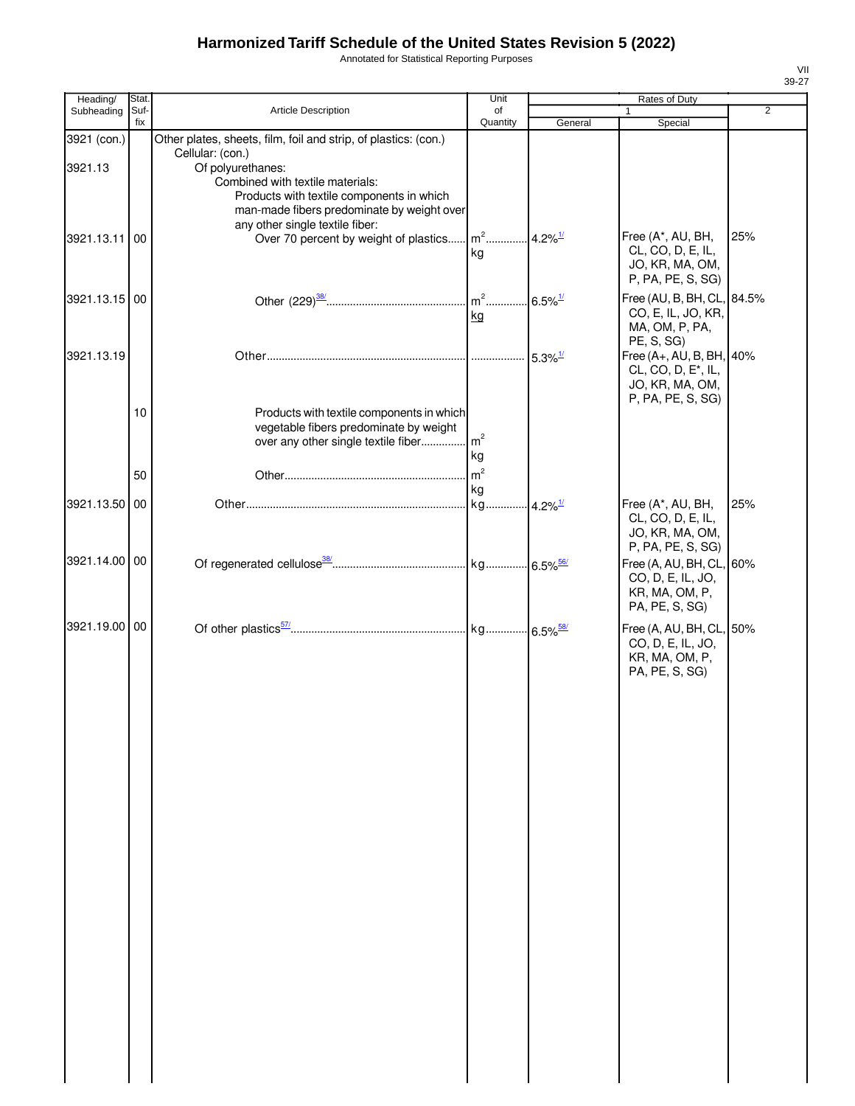Annotated for Statistical Reporting Purposes

| Heading/      | Stat. |                                                                 | Unit           |                       | Rates of Duty                   |                |
|---------------|-------|-----------------------------------------------------------------|----------------|-----------------------|---------------------------------|----------------|
| Subheading    | Suf-  | Article Description                                             | of             |                       | 1                               | $\overline{2}$ |
|               | fix   |                                                                 | Quantity       | General               | Special                         |                |
| 3921 (con.)   |       | Other plates, sheets, film, foil and strip, of plastics: (con.) |                |                       |                                 |                |
|               |       | Cellular: (con.)                                                |                |                       |                                 |                |
| 3921.13       |       | Of polyurethanes:<br>Combined with textile materials:           |                |                       |                                 |                |
|               |       | Products with textile components in which                       |                |                       |                                 |                |
|               |       | man-made fibers predominate by weight over                      |                |                       |                                 |                |
|               |       | any other single textile fiber:                                 |                |                       |                                 |                |
| 3921.13.11 00 |       | Over 70 percent by weight of plastics                           | $m2$           | $4.2\%$ <sup>1/</sup> | Free (A*, AU, BH,               | 25%            |
|               |       |                                                                 | kg             |                       | CL, CO, D, E, IL,               |                |
|               |       |                                                                 |                |                       | JO, KR, MA, OM,                 |                |
|               |       |                                                                 |                |                       | P, PA, PE, S, SG)               |                |
| 3921.13.15 00 |       |                                                                 | $m2$           | $6.5\%$ <sup>1/</sup> | Free (AU, B, BH, CL, 84.5%      |                |
|               |       |                                                                 | kg             |                       | CO, E, IL, JO, KR,              |                |
|               |       |                                                                 |                |                       | MA, OM, P, PA,                  |                |
|               |       |                                                                 |                |                       | PE, S, SG)                      |                |
| 3921.13.19    |       |                                                                 |                | $5.3\%$ <sup>1/</sup> | Free (A+, AU, B, BH, 40%        |                |
|               |       |                                                                 |                |                       | CL, CO, D, E <sup>*</sup> , IL, |                |
|               |       |                                                                 |                |                       | JO, KR, MA, OM,                 |                |
|               |       |                                                                 |                |                       | P, PA, PE, S, SG)               |                |
|               | 10    | Products with textile components in which                       |                |                       |                                 |                |
|               |       | vegetable fibers predominate by weight                          |                |                       |                                 |                |
|               |       | over any other single textile fiber m <sup>2</sup>              |                |                       |                                 |                |
|               |       |                                                                 | kg             |                       |                                 |                |
|               | 50    |                                                                 | m <sup>2</sup> |                       |                                 |                |
|               |       |                                                                 | kg             |                       |                                 |                |
| 3921.13.50 00 |       |                                                                 | kg             | $4.2\%$ <sup>1/</sup> | Free (A*, AU, BH,               | 25%            |
|               |       |                                                                 |                |                       | CL, CO, D, E, IL,               |                |
|               |       |                                                                 |                |                       | JO, KR, MA, OM,                 |                |
|               |       |                                                                 |                |                       | P, PA, PE, S, SG)               |                |
| 3921.14.00    | 00    |                                                                 |                |                       | Free (A, AU, BH, CL, 60%        |                |
|               |       |                                                                 |                |                       | CO, D, E, IL, JO,               |                |
|               |       |                                                                 |                |                       | KR, MA, OM, P,                  |                |
|               |       |                                                                 |                |                       | PA, PE, S, SG)                  |                |
| 3921.19.00 00 |       |                                                                 |                |                       | Free (A, AU, BH, CL, 50%        |                |
|               |       |                                                                 |                |                       | CO, D, E, IL, JO,               |                |
|               |       |                                                                 |                |                       | KR, MA, OM, P,                  |                |
|               |       |                                                                 |                |                       | PA, PE, S, SG)                  |                |
|               |       |                                                                 |                |                       |                                 |                |
|               |       |                                                                 |                |                       |                                 |                |
|               |       |                                                                 |                |                       |                                 |                |
|               |       |                                                                 |                |                       |                                 |                |
|               |       |                                                                 |                |                       |                                 |                |
|               |       |                                                                 |                |                       |                                 |                |
|               |       |                                                                 |                |                       |                                 |                |
|               |       |                                                                 |                |                       |                                 |                |
|               |       |                                                                 |                |                       |                                 |                |
|               |       |                                                                 |                |                       |                                 |                |
|               |       |                                                                 |                |                       |                                 |                |
|               |       |                                                                 |                |                       |                                 |                |
|               |       |                                                                 |                |                       |                                 |                |
|               |       |                                                                 |                |                       |                                 |                |
|               |       |                                                                 |                |                       |                                 |                |
|               |       |                                                                 |                |                       |                                 |                |
|               |       |                                                                 |                |                       |                                 |                |
|               |       |                                                                 |                |                       |                                 |                |
|               |       |                                                                 |                |                       |                                 |                |
|               |       |                                                                 |                |                       |                                 |                |
|               |       |                                                                 |                |                       |                                 |                |
|               |       |                                                                 |                |                       |                                 |                |
|               |       |                                                                 |                |                       |                                 |                |
|               |       |                                                                 |                |                       |                                 |                |
|               |       |                                                                 |                |                       |                                 |                |
|               |       |                                                                 |                |                       |                                 |                |
|               |       |                                                                 |                |                       |                                 |                |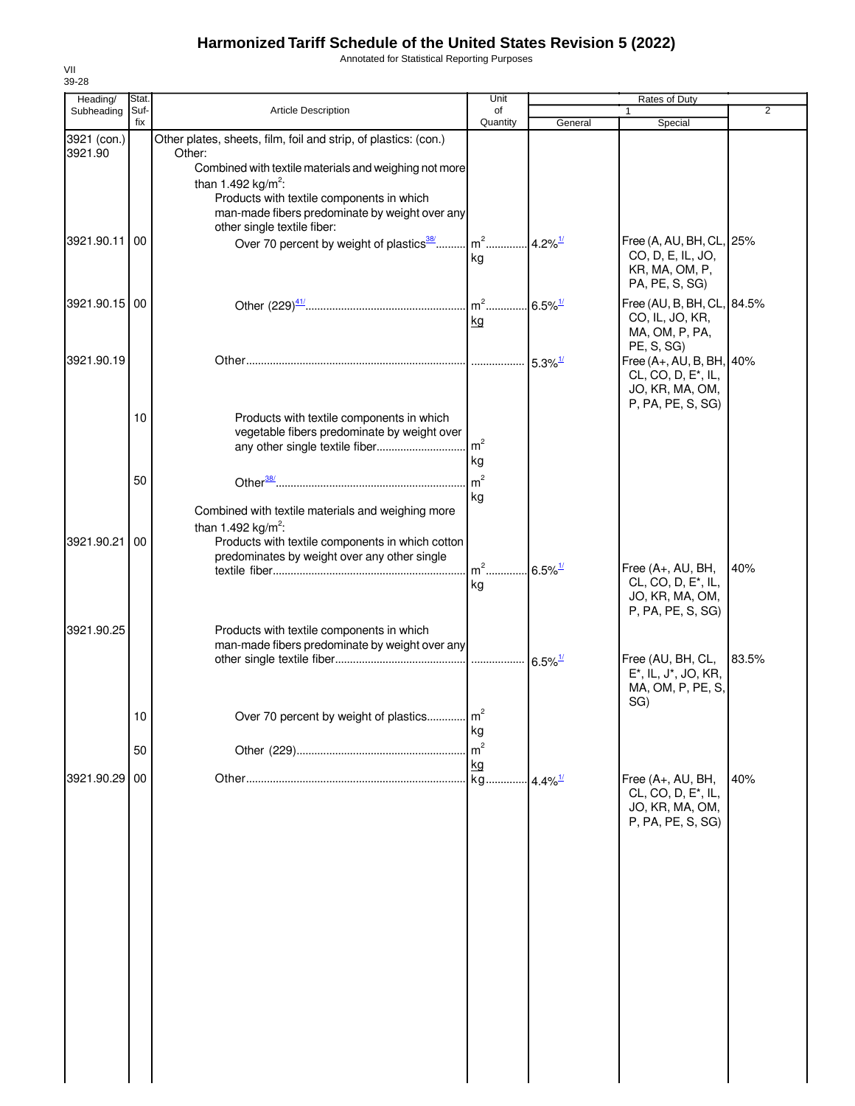Annotated for Statistical Reporting Purposes

| Heading/      | Stat.       |                                                                                             | Unit           |                       | Rates of Duty                                        |                |
|---------------|-------------|---------------------------------------------------------------------------------------------|----------------|-----------------------|------------------------------------------------------|----------------|
| Subheading    | Suf-<br>fix | <b>Article Description</b>                                                                  | of<br>Quantity | General               | Special                                              | $\overline{2}$ |
| 3921 (con.)   |             | Other plates, sheets, film, foil and strip, of plastics: (con.)                             |                |                       |                                                      |                |
| 3921.90       |             | Other:                                                                                      |                |                       |                                                      |                |
|               |             | Combined with textile materials and weighing not more                                       |                |                       |                                                      |                |
|               |             | than 1.492 kg/m <sup>2</sup> :                                                              |                |                       |                                                      |                |
|               |             | Products with textile components in which                                                   |                |                       |                                                      |                |
|               |             | man-made fibers predominate by weight over any                                              |                |                       |                                                      |                |
|               |             | other single textile fiber:                                                                 |                |                       |                                                      |                |
| 3921.90.11    | 00          | Over 70 percent by weight of plastics <sup>38</sup>                                         | $m2$ .         | $4.2\%$ <sup>1/</sup> | Free (A, AU, BH, CL, 25%                             |                |
|               |             |                                                                                             | kg             |                       | CO, D, E, IL, JO,                                    |                |
|               |             |                                                                                             |                |                       | KR, MA, OM, P,                                       |                |
|               |             |                                                                                             |                |                       | PA, PE, S, SG)                                       |                |
| 3921.90.15 00 |             |                                                                                             | $m2$           | $6.5\%$ <sup>1/</sup> | Free (AU, B, BH, CL, 84.5%                           |                |
|               |             |                                                                                             | kg             |                       | CO, IL, JO, KR,                                      |                |
|               |             |                                                                                             |                |                       | MA, OM, P, PA,                                       |                |
| 3921.90.19    |             |                                                                                             |                |                       | PE, S, SG)<br>Free (A+, AU, B, BH, 40%               |                |
|               |             |                                                                                             |                | $5.3\%$ <sup>1/</sup> | CL, CO, D, E <sup>*</sup> , IL,                      |                |
|               |             |                                                                                             |                |                       | JO, KR, MA, OM,                                      |                |
|               |             |                                                                                             |                |                       | P, PA, PE, S, SG)                                    |                |
|               | 10          | Products with textile components in which                                                   |                |                       |                                                      |                |
|               |             | vegetable fibers predominate by weight over                                                 |                |                       |                                                      |                |
|               |             | any other single textile fiber                                                              | m <sup>2</sup> |                       |                                                      |                |
|               |             |                                                                                             | kg             |                       |                                                      |                |
|               | 50          |                                                                                             | m <sup>2</sup> |                       |                                                      |                |
|               |             |                                                                                             | kg             |                       |                                                      |                |
|               |             | Combined with textile materials and weighing more                                           |                |                       |                                                      |                |
|               |             | than 1.492 kg/m <sup>2</sup> :                                                              |                |                       |                                                      |                |
| 3921.90.21    | 00          | Products with textile components in which cotton                                            |                |                       |                                                      |                |
|               |             | predominates by weight over any other single                                                |                |                       |                                                      |                |
|               |             |                                                                                             | $m2$ .         | $6.5\%$ <sup>1/</sup> | Free (A+, AU, BH,<br>CL, CO, D, E <sup>*</sup> , IL, | 40%            |
|               |             |                                                                                             | kg             |                       | JO, KR, MA, OM,                                      |                |
|               |             |                                                                                             |                |                       | P, PA, PE, S, SG)                                    |                |
|               |             |                                                                                             |                |                       |                                                      |                |
| 3921.90.25    |             | Products with textile components in which<br>man-made fibers predominate by weight over any |                |                       |                                                      |                |
|               |             |                                                                                             |                |                       | Free (AU, BH, CL,                                    | 83.5%          |
|               |             |                                                                                             |                |                       | E*, IL, J*, JO, KR,                                  |                |
|               |             |                                                                                             |                |                       | MA, OM, P, PE, S,                                    |                |
|               |             |                                                                                             |                |                       | SG)                                                  |                |
|               | 10          | Over 70 percent by weight of plastics                                                       | m <sup>2</sup> |                       |                                                      |                |
|               |             |                                                                                             | kg             |                       |                                                      |                |
|               | 50          |                                                                                             | m <sup>2</sup> |                       |                                                      |                |
|               |             |                                                                                             | kg             |                       |                                                      |                |
| 3921.90.29    | 00          |                                                                                             | kg.            | $4.4\%$ <sup>1/</sup> | Free $(A+, AU, BH,$                                  | 40%            |
|               |             |                                                                                             |                |                       | CL, CO, D, E <sup>*</sup> , IL,                      |                |
|               |             |                                                                                             |                |                       | JO, KR, MA, OM,                                      |                |
|               |             |                                                                                             |                |                       | P, PA, PE, S, SG)                                    |                |
|               |             |                                                                                             |                |                       |                                                      |                |
|               |             |                                                                                             |                |                       |                                                      |                |
|               |             |                                                                                             |                |                       |                                                      |                |
|               |             |                                                                                             |                |                       |                                                      |                |
|               |             |                                                                                             |                |                       |                                                      |                |
|               |             |                                                                                             |                |                       |                                                      |                |
|               |             |                                                                                             |                |                       |                                                      |                |
|               |             |                                                                                             |                |                       |                                                      |                |
|               |             |                                                                                             |                |                       |                                                      |                |
|               |             |                                                                                             |                |                       |                                                      |                |
|               |             |                                                                                             |                |                       |                                                      |                |
|               |             |                                                                                             |                |                       |                                                      |                |
|               |             |                                                                                             |                |                       |                                                      |                |
|               |             |                                                                                             |                |                       |                                                      |                |
|               |             |                                                                                             |                |                       |                                                      |                |
|               |             |                                                                                             |                |                       |                                                      |                |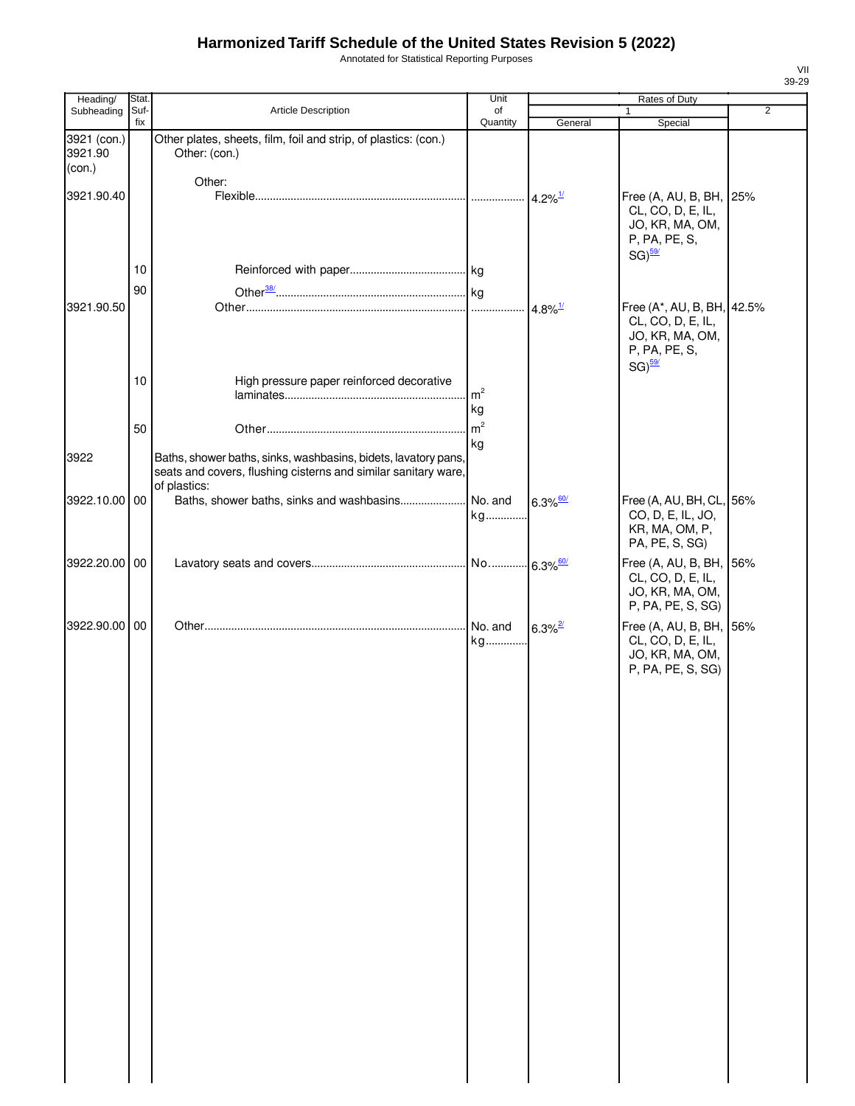Annotated for Statistical Reporting Purposes

| Heading/                         | Stat.       |                                                                                                                                                  | Unit           |                        | Rates of Duty                                                                        |                |
|----------------------------------|-------------|--------------------------------------------------------------------------------------------------------------------------------------------------|----------------|------------------------|--------------------------------------------------------------------------------------|----------------|
| Subheading                       | Suf-<br>fix | Article Description                                                                                                                              | of<br>Quantity | General                | Special                                                                              | $\overline{2}$ |
| 3921 (con.)<br>3921.90<br>(con.) |             | Other plates, sheets, film, foil and strip, of plastics: (con.)<br>Other: (con.)                                                                 |                |                        |                                                                                      |                |
| 3921.90.40                       |             | Other:                                                                                                                                           |                | $4.2\%$ <sup>1/</sup>  | Free (A, AU, B, BH, 25%<br>CL, CO, D, E, IL,                                         |                |
|                                  |             |                                                                                                                                                  |                |                        | JO, KR, MA, OM,<br>P, PA, PE, S,<br>$SG)$ <sup>59/</sup>                             |                |
|                                  | 10          |                                                                                                                                                  |                |                        |                                                                                      |                |
| 3921.90.50                       | 90          |                                                                                                                                                  |                | $4.8\%$ <sup>1/</sup>  | Free (A*, AU, B, BH, 42.5%<br>CL, CO, D, E, IL,<br>JO, KR, MA, OM,<br>P, PA, PE, S,  |                |
|                                  | 10          | High pressure paper reinforced decorative                                                                                                        | m <sup>2</sup> |                        | $SG)$ <sup>59/</sup>                                                                 |                |
|                                  |             |                                                                                                                                                  | kg             |                        |                                                                                      |                |
|                                  | 50          |                                                                                                                                                  | m <sup>2</sup> |                        |                                                                                      |                |
| 3922                             |             | Baths, shower baths, sinks, washbasins, bidets, lavatory pans,<br>seats and covers, flushing cisterns and similar sanitary ware,<br>of plastics: | kg             |                        |                                                                                      |                |
| 3922.10.00 00                    |             | Baths, shower baths, sinks and washbasins                                                                                                        | No. and<br>kg  | $6.3\%$ <sup>60/</sup> | Free (A, AU, BH, CL, 56%<br>CO, D, E, IL, JO,<br>KR, MA, OM, P,<br>PA, PE, S, SG)    |                |
| 3922.20.00 00                    |             |                                                                                                                                                  |                |                        | Free (A, AU, B, BH, 56%<br>CL, CO, D, E, IL,<br>JO, KR, MA, OM,<br>P, PA, PE, S, SG) |                |
| 3922.90.00 00                    |             |                                                                                                                                                  | No. and<br>kg  | $6.3\%$ <sup>2/</sup>  | Free (A, AU, B, BH, 56%<br>CL, CO, D, E, IL,<br>JO, KR, MA, OM,                      |                |
|                                  |             |                                                                                                                                                  |                |                        | P, PA, PE, S, SG)                                                                    |                |
|                                  |             |                                                                                                                                                  |                |                        |                                                                                      |                |
|                                  |             |                                                                                                                                                  |                |                        |                                                                                      |                |
|                                  |             |                                                                                                                                                  |                |                        |                                                                                      |                |
|                                  |             |                                                                                                                                                  |                |                        |                                                                                      |                |
|                                  |             |                                                                                                                                                  |                |                        |                                                                                      |                |
|                                  |             |                                                                                                                                                  |                |                        |                                                                                      |                |
|                                  |             |                                                                                                                                                  |                |                        |                                                                                      |                |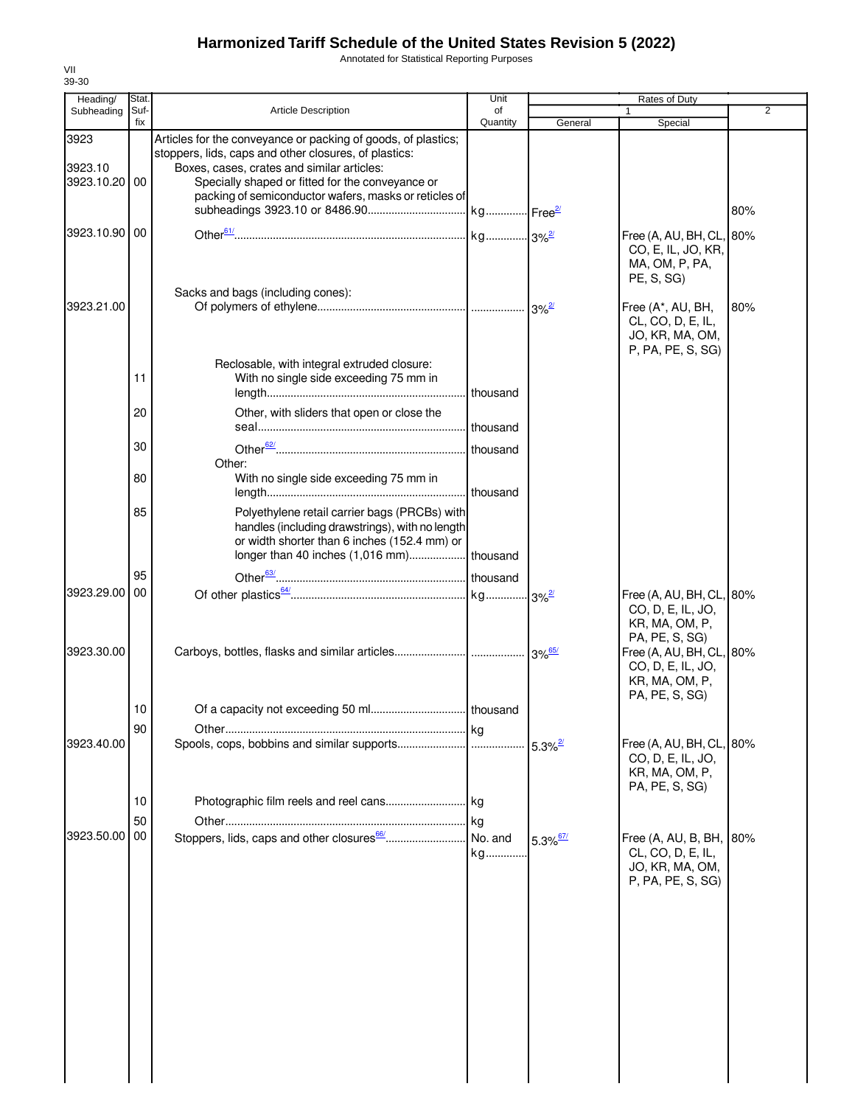Annotated for Statistical Reporting Purposes

| Heading/                         | Stat.       |                                                                                                                                                                                                                                                                                   | Unit           |                        | Rates of Duty                                                                     |                |
|----------------------------------|-------------|-----------------------------------------------------------------------------------------------------------------------------------------------------------------------------------------------------------------------------------------------------------------------------------|----------------|------------------------|-----------------------------------------------------------------------------------|----------------|
| Subheading                       | Suf-<br>fix | <b>Article Description</b>                                                                                                                                                                                                                                                        | of<br>Quantity | General                | 1<br>Special                                                                      | $\overline{2}$ |
| 3923<br>3923.10<br>3923.10.20 00 |             | Articles for the conveyance or packing of goods, of plastics;<br>stoppers, lids, caps and other closures, of plastics:<br>Boxes, cases, crates and similar articles:<br>Specially shaped or fitted for the conveyance or<br>packing of semiconductor wafers, masks or reticles of |                |                        |                                                                                   | 80%            |
| 3923.10.90 00                    |             |                                                                                                                                                                                                                                                                                   |                |                        | Free (A, AU, BH, CL,<br>CO, E, IL, JO, KR,<br>MA, OM, P, PA,<br><b>PE, S, SG)</b> | 80%            |
| 3923.21.00                       |             | Sacks and bags (including cones):                                                                                                                                                                                                                                                 |                |                        | Free (A*, AU, BH,<br>CL, CO, D, E, IL,<br>JO, KR, MA, OM,<br>P, PA, PE, S, SG)    | 80%            |
|                                  | 11          | Reclosable, with integral extruded closure:<br>With no single side exceeding 75 mm in                                                                                                                                                                                             |                |                        |                                                                                   |                |
|                                  | 20          | Other, with sliders that open or close the                                                                                                                                                                                                                                        |                |                        |                                                                                   |                |
|                                  | 30          | Other:                                                                                                                                                                                                                                                                            |                |                        |                                                                                   |                |
|                                  | 80          | With no single side exceeding 75 mm in                                                                                                                                                                                                                                            |                |                        |                                                                                   |                |
|                                  | 85          | Polyethylene retail carrier bags (PRCBs) with<br>handles (including drawstrings), with no length<br>or width shorter than 6 inches (152.4 mm) or                                                                                                                                  |                |                        |                                                                                   |                |
|                                  | 95          |                                                                                                                                                                                                                                                                                   |                |                        |                                                                                   |                |
| 3923.29.00                       | 00          |                                                                                                                                                                                                                                                                                   |                |                        | Free (A, AU, BH, CL,<br>CO, D, E, IL, JO,<br>KR, MA, OM, P,<br>PA, PE, S, SG)     | 80%            |
| 3923.30.00                       |             |                                                                                                                                                                                                                                                                                   |                |                        | Free (A, AU, BH, CL, 80%<br>CO, D, E, IL, JO,<br>KR, MA, OM, P,<br>PA, PE, S, SG) |                |
|                                  | 10          |                                                                                                                                                                                                                                                                                   |                |                        |                                                                                   |                |
| 3923.40.00                       | 90          |                                                                                                                                                                                                                                                                                   |                | $5.3\%$ <sup>2/</sup>  | Free (A, AU, BH, CL,<br>CO, D, E, IL, JO,<br>KR, MA, OM, P,<br>PA, PE, S, SG)     | 80%            |
|                                  | 10<br>50    |                                                                                                                                                                                                                                                                                   |                |                        |                                                                                   |                |
| 3923.50.00                       | 00          |                                                                                                                                                                                                                                                                                   | kg             | $5.3\%$ <sup>67/</sup> | Free (A, AU, B, BH,<br>CL, CO, D, E, IL,<br>JO, KR, MA, OM,<br>P, PA, PE, S, SG)  | 80%            |
|                                  |             |                                                                                                                                                                                                                                                                                   |                |                        |                                                                                   |                |
|                                  |             |                                                                                                                                                                                                                                                                                   |                |                        |                                                                                   |                |
|                                  |             |                                                                                                                                                                                                                                                                                   |                |                        |                                                                                   |                |
|                                  |             |                                                                                                                                                                                                                                                                                   |                |                        |                                                                                   |                |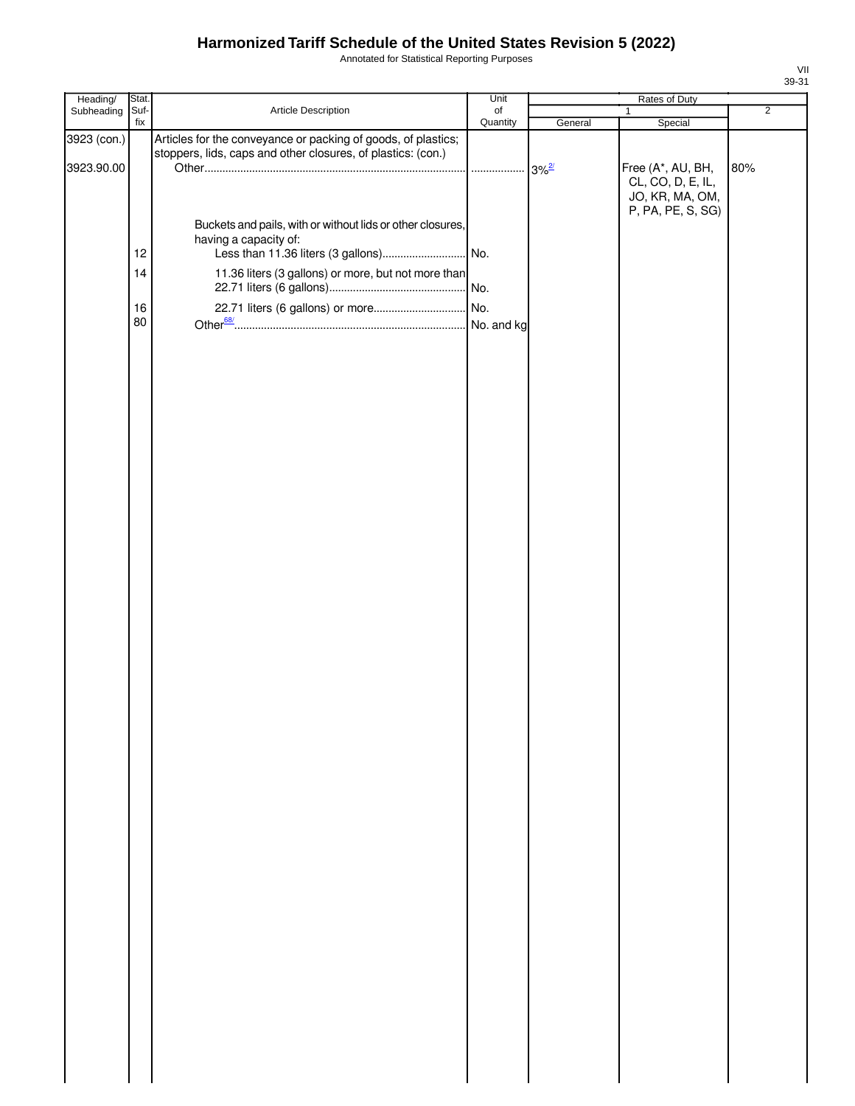Annotated for Statistical Reporting Purposes

| Heading/                  | Stat.                |                                                                                                                                            | Unit      |         | Rates of Duty                                     |                |
|---------------------------|----------------------|--------------------------------------------------------------------------------------------------------------------------------------------|-----------|---------|---------------------------------------------------|----------------|
| Subheading                | Suf-                 | Article Description                                                                                                                        | $\circ$ f |         | $\mathbf{1}$                                      | $\overline{2}$ |
| 3923 (con.)<br>3923.90.00 | fix                  | Articles for the conveyance or packing of goods, of plastics;<br>stoppers, lids, caps and other closures, of plastics: (con.)              | Quantity  | General | Special<br>Free (A*, AU, BH,<br>CL, CO, D, E, IL, | 80%            |
|                           | 12<br>14<br>16<br>80 | Buckets and pails, with or without lids or other closures,<br>having a capacity of:<br>11.36 liters (3 gallons) or more, but not more than |           |         | JO, KR, MA, OM,<br>P, PA, PE, S, SG)              |                |
|                           |                      |                                                                                                                                            |           |         |                                                   |                |
|                           |                      |                                                                                                                                            |           |         |                                                   |                |
|                           |                      |                                                                                                                                            |           |         |                                                   |                |
|                           |                      |                                                                                                                                            |           |         |                                                   |                |
|                           |                      |                                                                                                                                            |           |         |                                                   |                |
|                           |                      |                                                                                                                                            |           |         |                                                   |                |
|                           |                      |                                                                                                                                            |           |         |                                                   |                |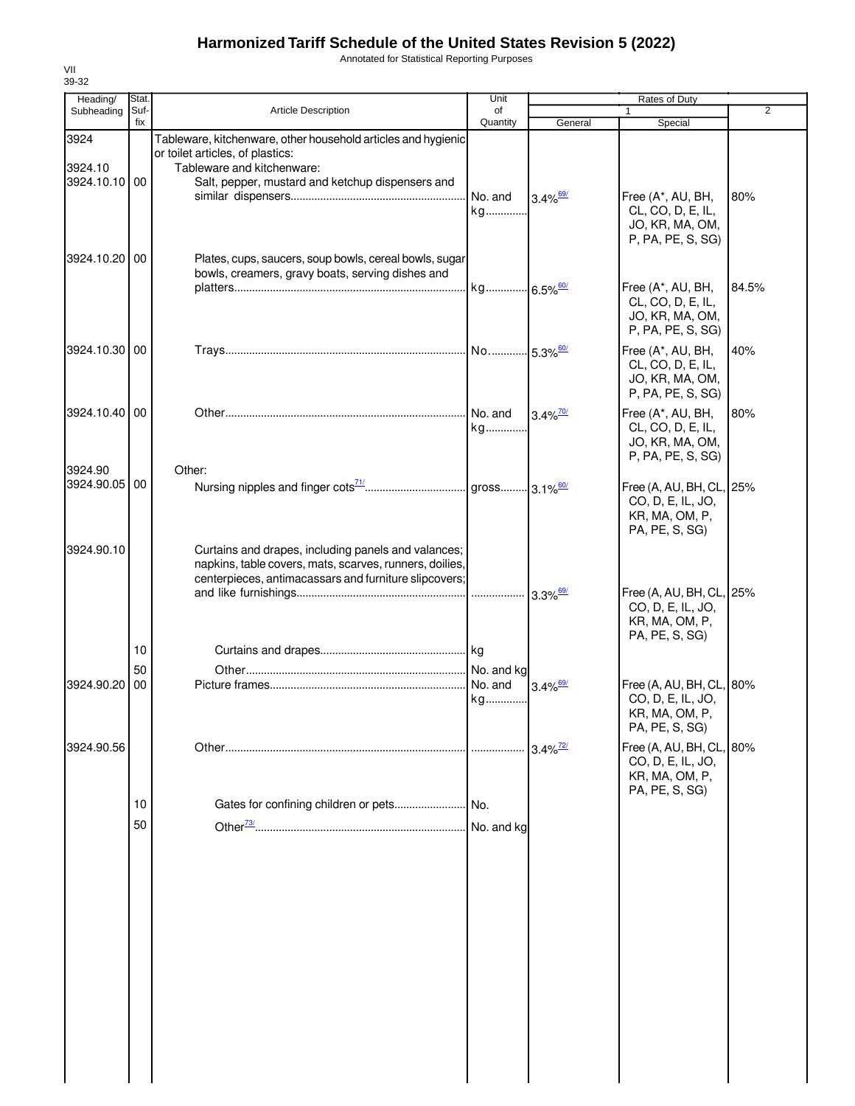Annotated for Statistical Reporting Purposes

| Heading/                 | Stat.    |                                                                                                                                                                         | Unit          |                        | Rates of Duty                                                                     |       |
|--------------------------|----------|-------------------------------------------------------------------------------------------------------------------------------------------------------------------------|---------------|------------------------|-----------------------------------------------------------------------------------|-------|
| Subheading               | Suf-     | <b>Article Description</b>                                                                                                                                              | of            |                        |                                                                                   | 2     |
|                          | fix      |                                                                                                                                                                         | Quantity      | General                | Special                                                                           |       |
| 3924<br>3924.10          |          | Tableware, kitchenware, other household articles and hygienic<br>or toilet articles, of plastics:<br>Tableware and kitchenware:                                         |               |                        |                                                                                   |       |
| 3924.10.10 00            |          | Salt, pepper, mustard and ketchup dispensers and                                                                                                                        | No. and<br>kg | $3.4\%$ <sup>69/</sup> | Free (A*, AU, BH,<br>CL, CO, D, E, IL,                                            | 80%   |
| 3924.10.20 00            |          | Plates, cups, saucers, soup bowls, cereal bowls, sugar                                                                                                                  |               |                        | JO, KR, MA, OM,<br>P, PA, PE, S, SG)                                              |       |
|                          |          | bowls, creamers, gravy boats, serving dishes and                                                                                                                        |               |                        | Free (A*, AU, BH,<br>CL, CO, D, E, IL,<br>JO, KR, MA, OM,<br>P, PA, PE, S, SG)    | 84.5% |
| 3924.10.30 00            |          |                                                                                                                                                                         |               |                        | Free (A*, AU, BH,<br>CL, CO, D, E, IL,<br>JO, KR, MA, OM,<br>P, PA, PE, S, SG)    | 40%   |
| 3924.10.40 00            |          |                                                                                                                                                                         | No. and<br>kg | $3.4\%$ <sup>70/</sup> | Free (A*, AU, BH,<br>CL, CO, D, E, IL,<br>JO, KR, MA, OM,<br>P, PA, PE, S, SG)    | 80%   |
| 3924.90<br>3924.90.05 00 |          | Other:                                                                                                                                                                  |               |                        | Free (A, AU, BH, CL, 25%<br>CO, D, E, IL, JO,<br>KR, MA, OM, P,<br>PA, PE, S, SG) |       |
| 3924.90.10               |          | Curtains and drapes, including panels and valances;<br>napkins, table covers, mats, scarves, runners, doilies,<br>centerpieces, antimacassars and furniture slipcovers; |               | $3.3\%$ <sup>69/</sup> | Free (A, AU, BH, CL, 25%<br>CO, D, E, IL, JO,<br>KR, MA, OM, P,                   |       |
|                          | 10       |                                                                                                                                                                         |               |                        | PA, PE, S, SG)                                                                    |       |
| 3924.90.20               | 50<br>00 |                                                                                                                                                                         | No. and<br>kg | $3.4\%$ <sup>69/</sup> | Free (A, AU, BH, CL, 80%<br>CO, D, E, IL, JO,<br>KR, MA, OM, P,<br>PA, PE, S, SG) |       |
| 3924.90.56               |          |                                                                                                                                                                         |               | $3.4\%$ <sup>72/</sup> | Free (A, AU, BH, CL, 80%<br>CO, D, E, IL, JO,<br>KR, MA, OM, P,<br>PA, PE, S, SG) |       |
|                          | 10       |                                                                                                                                                                         |               |                        |                                                                                   |       |
|                          | 50       |                                                                                                                                                                         | No. and kg    |                        |                                                                                   |       |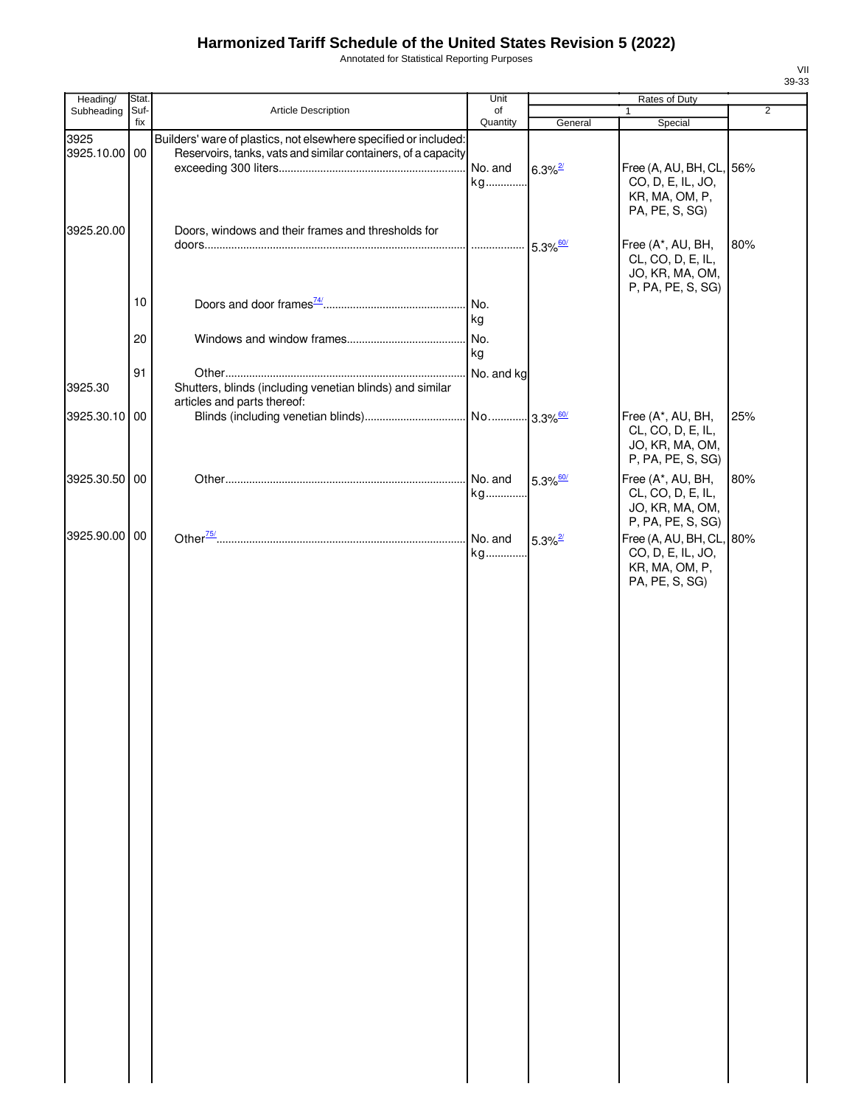Annotated for Statistical Reporting Purposes

| Heading/              | Stat.       |                                                                                                                                   | Unit           |                        | Rates of Duty                                                                                |                |
|-----------------------|-------------|-----------------------------------------------------------------------------------------------------------------------------------|----------------|------------------------|----------------------------------------------------------------------------------------------|----------------|
| Subheading            | Suf-<br>fix | Article Description                                                                                                               | of<br>Quantity | General                | 1                                                                                            | $\overline{2}$ |
| 3925<br>3925.10.00 00 |             | Builders' ware of plastics, not elsewhere specified or included:<br>Reservoirs, tanks, vats and similar containers, of a capacity | No. and<br>kg  | $6.3\%$ <sup>2/</sup>  | Special<br>Free (A, AU, BH, CL, 56%<br>CO, D, E, IL, JO,<br>KR, MA, OM, P,<br>PA, PE, S, SG) |                |
| 3925.20.00            |             | Doors, windows and their frames and thresholds for                                                                                |                |                        | Free (A*, AU, BH,<br>CL, CO, D, E, IL,<br>JO, KR, MA, OM,<br>P, PA, PE, S, SG)               | 80%            |
|                       | 10          |                                                                                                                                   | No.<br>kg      |                        |                                                                                              |                |
|                       | 20          |                                                                                                                                   | No.<br>kg      |                        |                                                                                              |                |
| 3925.30               | 91          | Shutters, blinds (including venetian blinds) and similar<br>articles and parts thereof:                                           | No. and kg     |                        |                                                                                              |                |
| 3925.30.10 00         |             |                                                                                                                                   |                |                        | Free (A*, AU, BH,<br>CL, CO, D, E, IL,<br>JO, KR, MA, OM,<br>P, PA, PE, S, SG)               | 25%            |
| 3925.30.50 00         |             |                                                                                                                                   | No. and<br>kg  | $5.3\%$ <sup>60/</sup> | Free (A*, AU, BH,<br>CL, CO, D, E, IL,<br>JO, KR, MA, OM,<br>P, PA, PE, S, SG)               | 80%            |
| 3925.90.00 00         |             |                                                                                                                                   | No. and<br>kg  | $5.3\%$ <sup>2/</sup>  | Free (A, AU, BH, CL, 80%<br>CO, D, E, IL, JO,<br>KR, MA, OM, P,<br>PA, PE, S, SG)            |                |
|                       |             |                                                                                                                                   |                |                        |                                                                                              |                |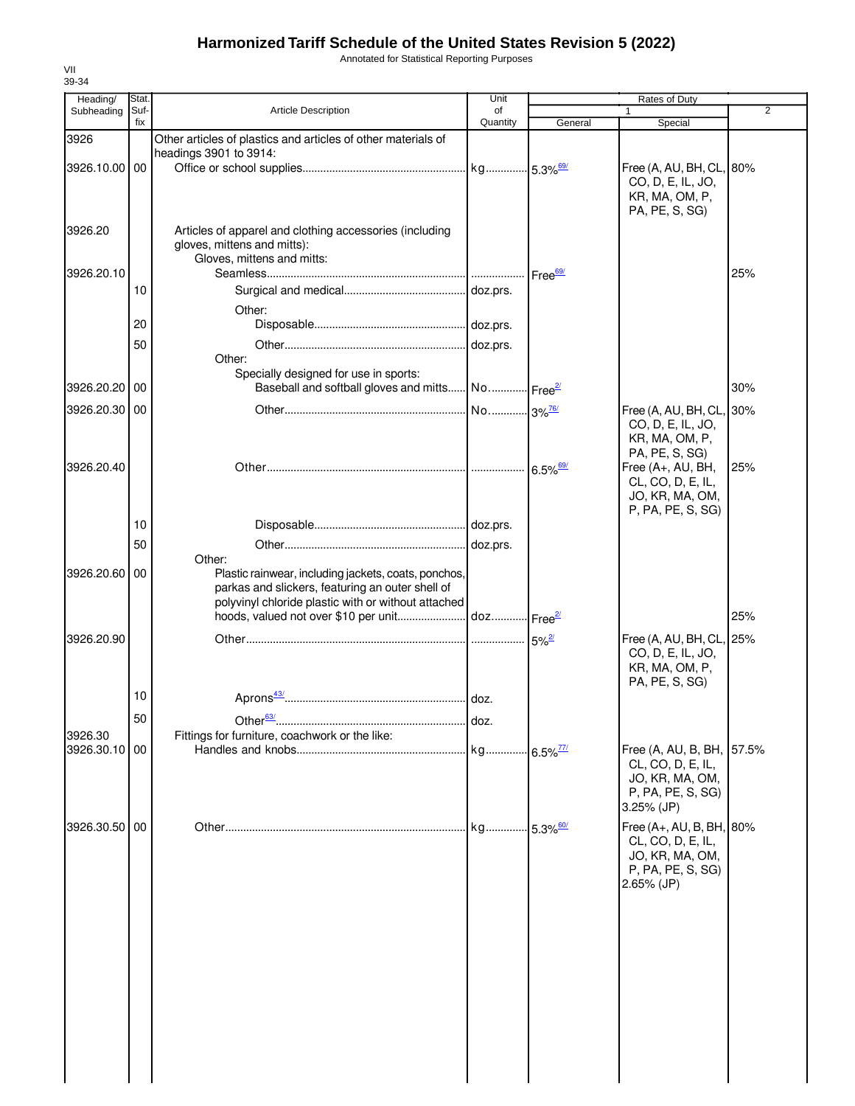Annotated for Statistical Reporting Purposes

| 39-34                    |              |                                                                                                                                                                 |                        |                         |                                                                                                     |                |
|--------------------------|--------------|-----------------------------------------------------------------------------------------------------------------------------------------------------------------|------------------------|-------------------------|-----------------------------------------------------------------------------------------------------|----------------|
| Heading/<br>Subheading   | Stat<br>Suf- | Article Description                                                                                                                                             | Unit<br>of             |                         | Rates of Duty                                                                                       | $\overline{2}$ |
|                          | fix          |                                                                                                                                                                 | Quantity               | General                 | Special                                                                                             |                |
| 3926                     |              | Other articles of plastics and articles of other materials of<br>headings 3901 to 3914:                                                                         |                        |                         |                                                                                                     |                |
| 3926.10.00 00            |              |                                                                                                                                                                 |                        |                         | Free (A, AU, BH, CL, 80%<br>CO, D, E, IL, JO,<br>KR, MA, OM, P,<br>PA, PE, S, SG)                   |                |
| 3926.20                  |              | Articles of apparel and clothing accessories (including<br>gloves, mittens and mitts):<br>Gloves, mittens and mitts:                                            |                        |                         |                                                                                                     |                |
| 3926.20.10               | 10           |                                                                                                                                                                 |                        | Free <sup>69/</sup>     |                                                                                                     | 25%            |
|                          |              | Other:                                                                                                                                                          |                        |                         |                                                                                                     |                |
|                          | 20           |                                                                                                                                                                 |                        |                         |                                                                                                     |                |
|                          | 50           | Other:<br>Specially designed for use in sports:                                                                                                                 |                        |                         |                                                                                                     |                |
| 3926.20.20               | 00           | Baseball and softball gloves and mitts No Free <sup>21</sup>                                                                                                    |                        |                         |                                                                                                     | 30%            |
| 3926.20.30               | -00          |                                                                                                                                                                 |                        |                         | Free (A, AU, BH, CL, 30%<br>CO, D, E, IL, JO,<br>KR, MA, OM, P,<br>PA, PE, S, SG)                   |                |
| 3926.20.40               |              |                                                                                                                                                                 |                        | $6.5\%$ <sup>69/</sup>  | Free (A+, AU, BH,<br>CL, CO, D, E, IL,<br>JO, KR, MA, OM,<br>P, PA, PE, S, SG)                      | 25%            |
|                          | 10           |                                                                                                                                                                 |                        |                         |                                                                                                     |                |
|                          | 50           | Other:                                                                                                                                                          |                        |                         |                                                                                                     |                |
| 3926.20.60 00            |              | Plastic rainwear, including jackets, coats, ponchos,<br>parkas and slickers, featuring an outer shell of<br>polyvinyl chloride plastic with or without attached |                        |                         |                                                                                                     |                |
|                          |              |                                                                                                                                                                 |                        |                         |                                                                                                     | 25%            |
| 3926.20.90               |              |                                                                                                                                                                 |                        | $5\%$ <sup>2/</sup>     | Free (A, AU, BH, CL, 25%<br>CO, D, E, IL, JO,<br>KR, MA, OM, P,<br>PA, PE, S, SG)                   |                |
|                          | 10           |                                                                                                                                                                 |                        |                         |                                                                                                     |                |
|                          | 50           |                                                                                                                                                                 | doz.                   |                         |                                                                                                     |                |
| 3926.30<br>3926.30.10 00 |              | Fittings for furniture, coachwork or the like:                                                                                                                  | kg 6.5% <sup>77/</sup> |                         | Free (A, AU, B, BH, 57.5%                                                                           |                |
|                          |              |                                                                                                                                                                 |                        |                         | CL, CO, D, E, IL,<br>JO, KR, MA, OM,<br>P, PA, PE, S, SG)<br>$3.25%$ (JP)                           |                |
| 3926.30.50               | -00          |                                                                                                                                                                 |                        | $-5.3\%$ <sup>60/</sup> | Free (A+, AU, B, BH, 80%<br>CL, CO, D, E, IL,<br>JO, KR, MA, OM,<br>P, PA, PE, S, SG)<br>2.65% (JP) |                |
|                          |              |                                                                                                                                                                 |                        |                         |                                                                                                     |                |
|                          |              |                                                                                                                                                                 |                        |                         |                                                                                                     |                |
|                          |              |                                                                                                                                                                 |                        |                         |                                                                                                     |                |

VII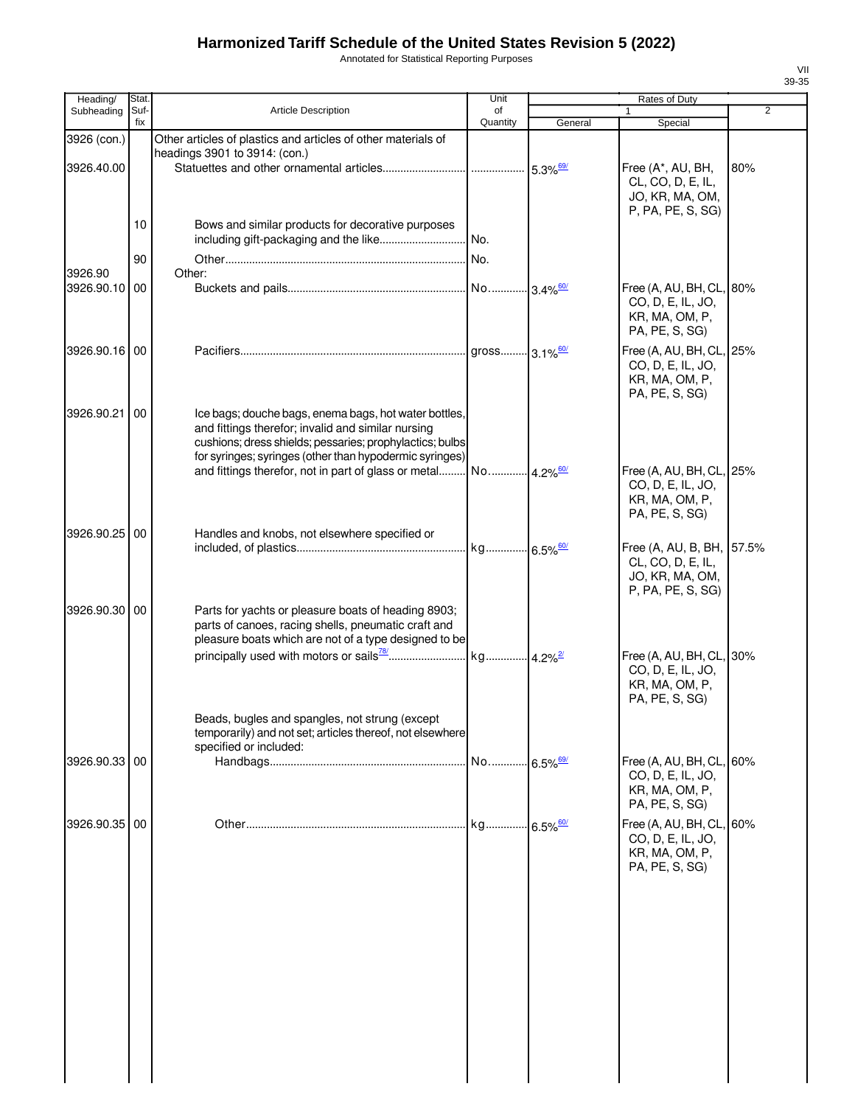Annotated for Statistical Reporting Purposes

| Heading/      | Stat.       |                                                                                                                                                                                                                                    | Unit                   |         | Rates of Duty                                                                     |     |
|---------------|-------------|------------------------------------------------------------------------------------------------------------------------------------------------------------------------------------------------------------------------------------|------------------------|---------|-----------------------------------------------------------------------------------|-----|
| Subheading    | Suf-<br>fix | <b>Article Description</b>                                                                                                                                                                                                         | of<br>Quantity         | General | $\mathbf{1}$<br>Special                                                           | 2   |
| 3926 (con.)   |             | Other articles of plastics and articles of other materials of                                                                                                                                                                      |                        |         |                                                                                   |     |
|               |             | headings 3901 to 3914: (con.)                                                                                                                                                                                                      |                        |         |                                                                                   |     |
| 3926.40.00    |             |                                                                                                                                                                                                                                    |                        |         | Free (A*, AU, BH,<br>CL, CO, D, E, IL,<br>JO, KR, MA, OM,<br>P, PA, PE, S, SG)    | 80% |
|               | 10          | Bows and similar products for decorative purposes                                                                                                                                                                                  |                        |         |                                                                                   |     |
|               |             | including gift-packaging and the like                                                                                                                                                                                              | No.                    |         |                                                                                   |     |
|               | 90          |                                                                                                                                                                                                                                    | l No.                  |         |                                                                                   |     |
| 3926.90       |             | Other:                                                                                                                                                                                                                             |                        |         |                                                                                   |     |
| 3926.90.10 00 |             |                                                                                                                                                                                                                                    |                        |         | Free (A, AU, BH, CL, 80%<br>CO, D, E, IL, JO,<br>KR, MA, OM, P,<br>PA, PE, S, SG) |     |
| 3926.90.16 00 |             |                                                                                                                                                                                                                                    |                        |         | Free (A, AU, BH, CL, 25%<br>CO, D, E, IL, JO,<br>KR, MA, OM, P,<br>PA, PE, S, SG) |     |
| 3926.90.21    | 00          | Ice bags; douche bags, enema bags, hot water bottles,<br>and fittings therefor; invalid and similar nursing<br>cushions; dress shields; pessaries; prophylactics; bulbs<br>for syringes; syringes (other than hypodermic syringes) |                        |         |                                                                                   |     |
|               |             |                                                                                                                                                                                                                                    |                        |         | Free (A, AU, BH, CL, 25%<br>CO, D, E, IL, JO,<br>KR, MA, OM, P,<br>PA, PE, S, SG) |     |
| 3926.90.25 00 |             | Handles and knobs, not elsewhere specified or                                                                                                                                                                                      | kg 6.5% <sup>60/</sup> |         | Free (A, AU, B, BH, 57.5%                                                         |     |
|               |             |                                                                                                                                                                                                                                    |                        |         | CL, CO, D, E, IL,<br>JO, KR, MA, OM,<br>P, PA, PE, S, SG)                         |     |
| 3926.90.30 00 |             | Parts for yachts or pleasure boats of heading 8903;<br>parts of canoes, racing shells, pneumatic craft and<br>pleasure boats which are not of a type designed to be                                                                |                        |         |                                                                                   |     |
|               |             |                                                                                                                                                                                                                                    |                        |         | Free (A, AU, BH, CL, 30%<br>CO, D, E, IL, JO,<br>KR, MA, OM, P,<br>PA, PE, S, SG) |     |
|               |             | Beads, bugles and spangles, not strung (except<br>temporarily) and not set; articles thereof, not elsewhere<br>specified or included:                                                                                              |                        |         |                                                                                   |     |
| 3926.90.33 00 |             |                                                                                                                                                                                                                                    | No 6.5% <sup>69/</sup> |         | Free (A, AU, BH, CL,<br>CO, D, E, IL, JO,<br>KR, MA, OM, P,<br>PA, PE, S, SG)     | 60% |
| 3926.90.35 00 |             |                                                                                                                                                                                                                                    | kg 6.5% <sup>60/</sup> |         | Free (A, AU, BH, CL, 60%<br>CO, D, E, IL, JO,<br>KR, MA, OM, P,<br>PA, PE, S, SG) |     |
|               |             |                                                                                                                                                                                                                                    |                        |         |                                                                                   |     |
|               |             |                                                                                                                                                                                                                                    |                        |         |                                                                                   |     |
|               |             |                                                                                                                                                                                                                                    |                        |         |                                                                                   |     |
|               |             |                                                                                                                                                                                                                                    |                        |         |                                                                                   |     |
|               |             |                                                                                                                                                                                                                                    |                        |         |                                                                                   |     |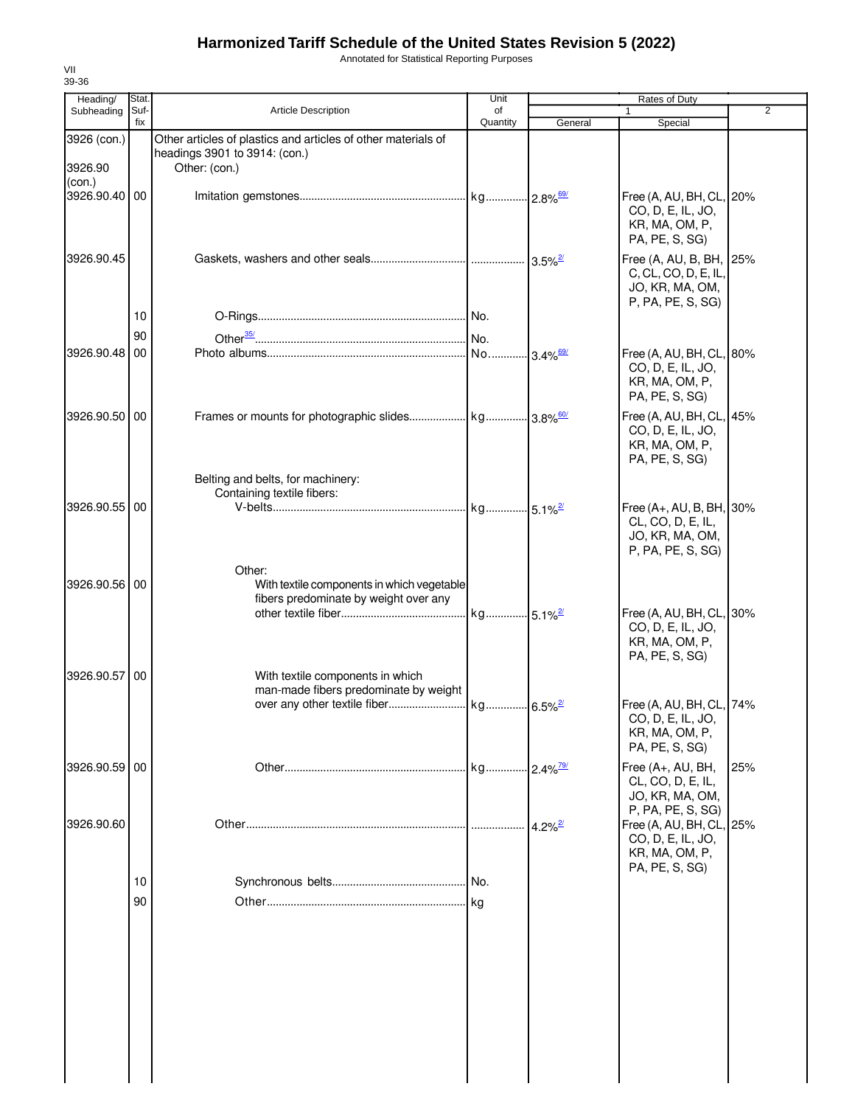Annotated for Statistical Reporting Purposes

| Heading/                | Stat.       |                                                                                                                 | Unit                   |                       | Rates of Duty                                                                           |                |
|-------------------------|-------------|-----------------------------------------------------------------------------------------------------------------|------------------------|-----------------------|-----------------------------------------------------------------------------------------|----------------|
| Subheading              | Suf-<br>fix | Article Description                                                                                             | οf<br>Quantity         | General               | 1<br>Special                                                                            | $\overline{2}$ |
| 3926 (con.)<br>3926.90  |             | Other articles of plastics and articles of other materials of<br>headings 3901 to 3914: (con.)<br>Other: (con.) |                        |                       |                                                                                         |                |
| (con.)<br>3926.90.40 00 |             |                                                                                                                 |                        |                       | Free (A, AU, BH, CL, 20%<br>CO, D, E, IL, JO,<br>KR, MA, OM, P,<br>PA, PE, S, SG)       |                |
| 3926.90.45              |             |                                                                                                                 |                        |                       | Free (A, AU, B, BH, 25%<br>C, CL, CO, D, E, IL,<br>JO, KR, MA, OM,<br>P, PA, PE, S, SG) |                |
|                         | 10          |                                                                                                                 |                        |                       |                                                                                         |                |
|                         | 90          |                                                                                                                 |                        |                       |                                                                                         |                |
| 3926.90.48 00           |             |                                                                                                                 |                        |                       | Free (A, AU, BH, CL, 80%<br>CO, D, E, IL, JO,<br>KR, MA, OM, P,<br>PA, PE, S, SG)       |                |
| 3926.90.50 00           |             |                                                                                                                 |                        |                       | Free (A, AU, BH, CL, 45%<br>CO, D, E, IL, JO,<br>KR, MA, OM, P,<br>PA, PE, S, SG)       |                |
|                         |             | Belting and belts, for machinery:<br>Containing textile fibers:                                                 |                        |                       |                                                                                         |                |
| 3926.90.55 00           |             |                                                                                                                 |                        |                       | Free (A+, AU, B, BH, 30%<br>CL, CO, D, E, IL,<br>JO, KR, MA, OM,<br>P, PA, PE, S, SG)   |                |
| 3926.90.56 00           |             | Other:<br>With textile components in which vegetable<br>fibers predominate by weight over any                   |                        |                       | Free (A, AU, BH, CL, 30%                                                                |                |
|                         |             |                                                                                                                 |                        |                       | CO, D, E, IL, JO,<br>KR, MA, OM, P,<br>PA, PE, S, SG)                                   |                |
| 3926.90.57              | 00          | With textile components in which<br>man-made fibers predominate by weight                                       |                        |                       | Free (A, AU, BH, CL, 74%<br>CO, D, E, IL, JO,                                           |                |
|                         |             |                                                                                                                 |                        |                       | KR, MA, OM, P,<br>PA, PE, S, SG)                                                        |                |
| 3926.90.59 00           |             |                                                                                                                 | kg 2.4% <sup>79/</sup> |                       | Free (A+, AU, BH,<br>CL, CO, D, E, IL,<br>JO, KR, MA, OM,<br>P, PA, PE, S, SG)          | 25%            |
| 3926.90.60              |             |                                                                                                                 |                        | $4.2\%$ <sup>2/</sup> | Free (A, AU, BH, CL, 25%<br>CO, D, E, IL, JO,<br>KR, MA, OM, P,<br>PA, PE, S, SG)       |                |
|                         | 10          |                                                                                                                 | No.                    |                       |                                                                                         |                |
|                         | 90          |                                                                                                                 |                        |                       |                                                                                         |                |
|                         |             |                                                                                                                 |                        |                       |                                                                                         |                |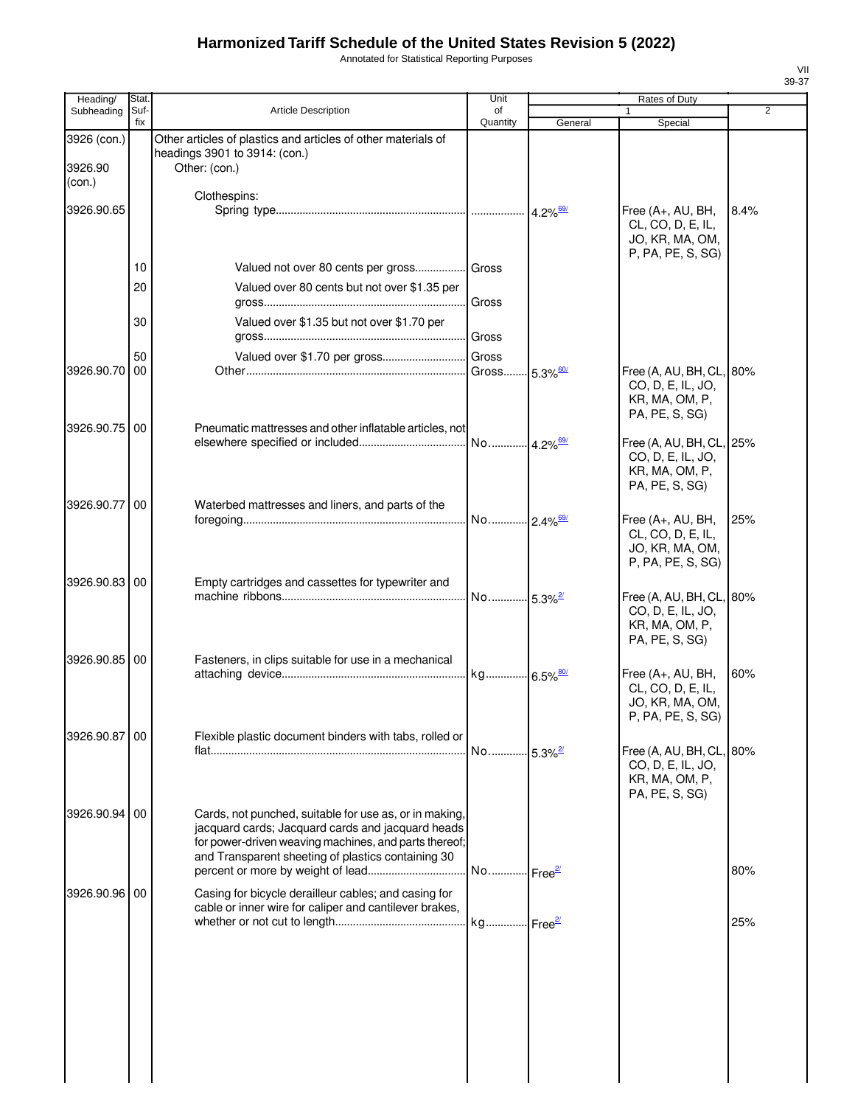Annotated for Statistical Reporting Purposes

| Heading/                         | Stat.       |                                                                                                                                                                                                                            | Unit                    |                        | Rates of Duty                                                                     |      |
|----------------------------------|-------------|----------------------------------------------------------------------------------------------------------------------------------------------------------------------------------------------------------------------------|-------------------------|------------------------|-----------------------------------------------------------------------------------|------|
| Subheading                       | Suf-<br>fix | <b>Article Description</b>                                                                                                                                                                                                 | of<br>Quantity          | General                | 1<br>Special                                                                      | 2    |
| 3926 (con.)<br>3926.90<br>(con.) |             | Other articles of plastics and articles of other materials of<br>headings 3901 to 3914: (con.)<br>Other: (con.)                                                                                                            |                         |                        |                                                                                   |      |
| 3926.90.65                       |             | Clothespins:                                                                                                                                                                                                               |                         | $4.2\%$ <sup>69/</sup> | Free $(A+, AU, BH,$<br>CL, CO, D, E, IL,<br>JO, KR, MA, OM,                       | 8.4% |
|                                  | 10          | Valued not over 80 cents per gross Gross                                                                                                                                                                                   |                         |                        | P, PA, PE, S, SG)                                                                 |      |
|                                  | 20          | Valued over 80 cents but not over \$1.35 per                                                                                                                                                                               | Gross                   |                        |                                                                                   |      |
|                                  | 30          | Valued over \$1.35 but not over \$1.70 per                                                                                                                                                                                 |                         |                        |                                                                                   |      |
|                                  | 50          | Valued over \$1.70 per gross Gross                                                                                                                                                                                         |                         |                        |                                                                                   |      |
| 3926.90.70                       | 00          |                                                                                                                                                                                                                            | Gross                   | $5.3\%$ <sup>60/</sup> | Free (A, AU, BH, CL, 80%<br>CO, D, E, IL, JO,<br>KR, MA, OM, P,<br>PA, PE, S, SG) |      |
| 3926.90.75                       | 00          | Pneumatic mattresses and other inflatable articles, not                                                                                                                                                                    | No 4.2% <sup>69/</sup>  |                        | Free (A, AU, BH, CL, 25%<br>CO, D, E, IL, JO,<br>KR, MA, OM, P,<br>PA, PE, S, SG) |      |
| 3926.90.77                       | 00          | Waterbed mattresses and liners, and parts of the                                                                                                                                                                           | No 2.4% <sup>69/</sup>  |                        | Free (A+, AU, BH,<br>CL, CO, D, E, IL,<br>JO, KR, MA, OM,<br>P, PA, PE, S, SG)    | 25%  |
| 3926.90.83                       | 00          | Empty cartridges and cassettes for typewriter and                                                                                                                                                                          | No 5.3% <sup>2/</sup>   |                        | Free (A, AU, BH, CL, 80%<br>CO, D, E, IL, JO,<br>KR, MA, OM, P,<br>PA, PE, S, SG) |      |
| 3926.90.85                       | 00          | Fasteners, in clips suitable for use in a mechanical                                                                                                                                                                       |                         |                        | Free (A+, AU, BH,<br>CL, CO, D, E, IL,<br>JO, KR, MA, OM,<br>P, PA, PE, S, SG)    | 60%  |
| 3926.90.87                       | 00          | Flexible plastic document binders with tabs, rolled or                                                                                                                                                                     | No 5.3% <sup>2/21</sup> |                        | Free (A, AU, BH, CL, 80%<br>CO, D, E, IL, JO,<br>KR, MA, OM, P,                   |      |
| 3926.90.94                       | 00          | Cards, not punched, suitable for use as, or in making,<br>jacquard cards; Jacquard cards and jacquard heads<br>for power-driven weaving machines, and parts thereof;<br>and Transparent sheeting of plastics containing 30 | No Free <sup>27</sup>   |                        | PA, PE, S, SG)                                                                    | 80%  |
| 3926.90.96                       | 00          | Casing for bicycle derailleur cables; and casing for<br>cable or inner wire for caliper and cantilever brakes,                                                                                                             |                         |                        |                                                                                   |      |
|                                  |             |                                                                                                                                                                                                                            |                         |                        |                                                                                   | 25%  |
|                                  |             |                                                                                                                                                                                                                            |                         |                        |                                                                                   |      |

VII 39-37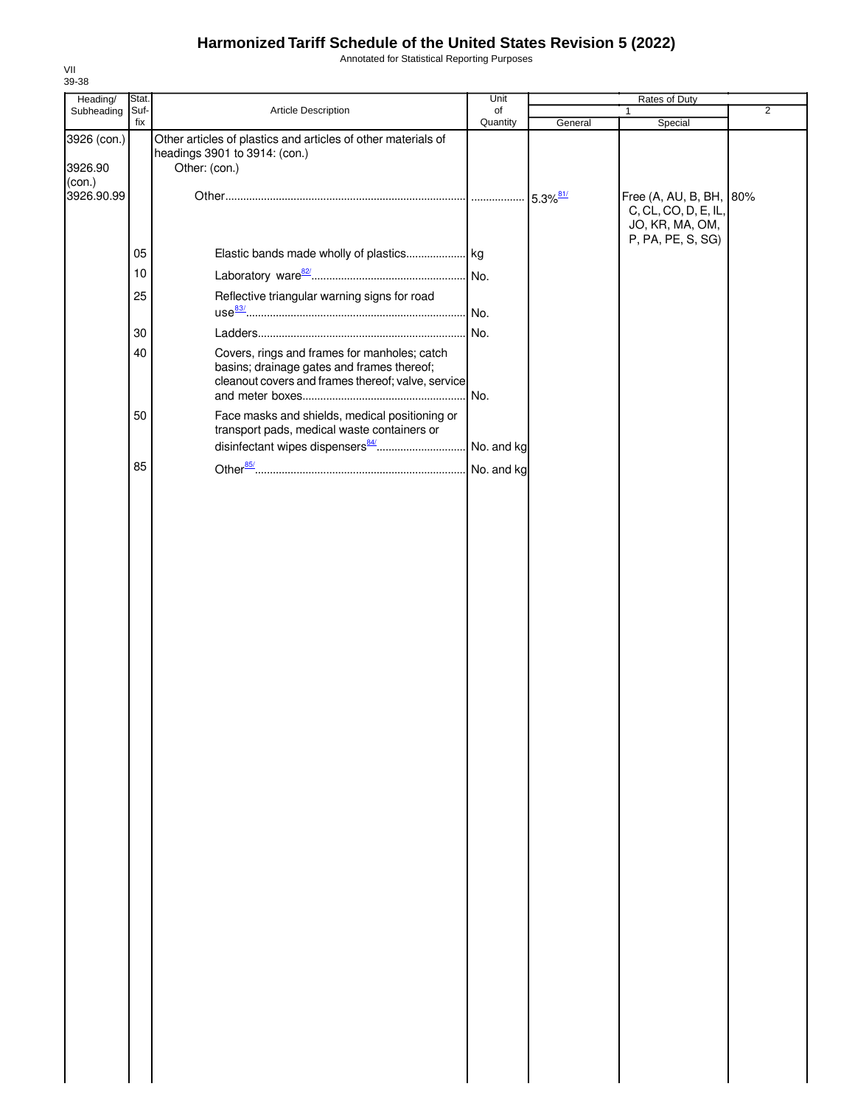Annotated for Statistical Reporting Purposes

| Heading/               | Stat. |                                                                                                                                                  | Unit       |         | Rates of Duty                                                      |                |
|------------------------|-------|--------------------------------------------------------------------------------------------------------------------------------------------------|------------|---------|--------------------------------------------------------------------|----------------|
| Subheading             | Suf-  | Article Description                                                                                                                              | of         |         | 1                                                                  | $\overline{2}$ |
| 3926 (con.)<br>3926.90 | fix   | Other articles of plastics and articles of other materials of<br>headings 3901 to 3914: (con.)<br>Other: (con.)                                  | Quantity   | General | Special                                                            |                |
| (con.)<br>3926.90.99   |       |                                                                                                                                                  |            |         | Free (A, AU, B, BH, 80%<br>C, CL, CO, D, E, IL,<br>JO, KR, MA, OM, |                |
|                        | 05    |                                                                                                                                                  |            |         | P, PA, PE, S, SG)                                                  |                |
|                        | 10    |                                                                                                                                                  |            |         |                                                                    |                |
|                        | 25    | Reflective triangular warning signs for road                                                                                                     |            |         |                                                                    |                |
|                        | 30    |                                                                                                                                                  | . No.      |         |                                                                    |                |
|                        | 40    | Covers, rings and frames for manholes; catch<br>basins; drainage gates and frames thereof;<br>cleanout covers and frames thereof; valve, service | No.        |         |                                                                    |                |
|                        | 50    | Face masks and shields, medical positioning or<br>transport pads, medical waste containers or                                                    |            |         |                                                                    |                |
|                        | 85    |                                                                                                                                                  | No. and kg |         |                                                                    |                |
|                        |       |                                                                                                                                                  |            |         |                                                                    |                |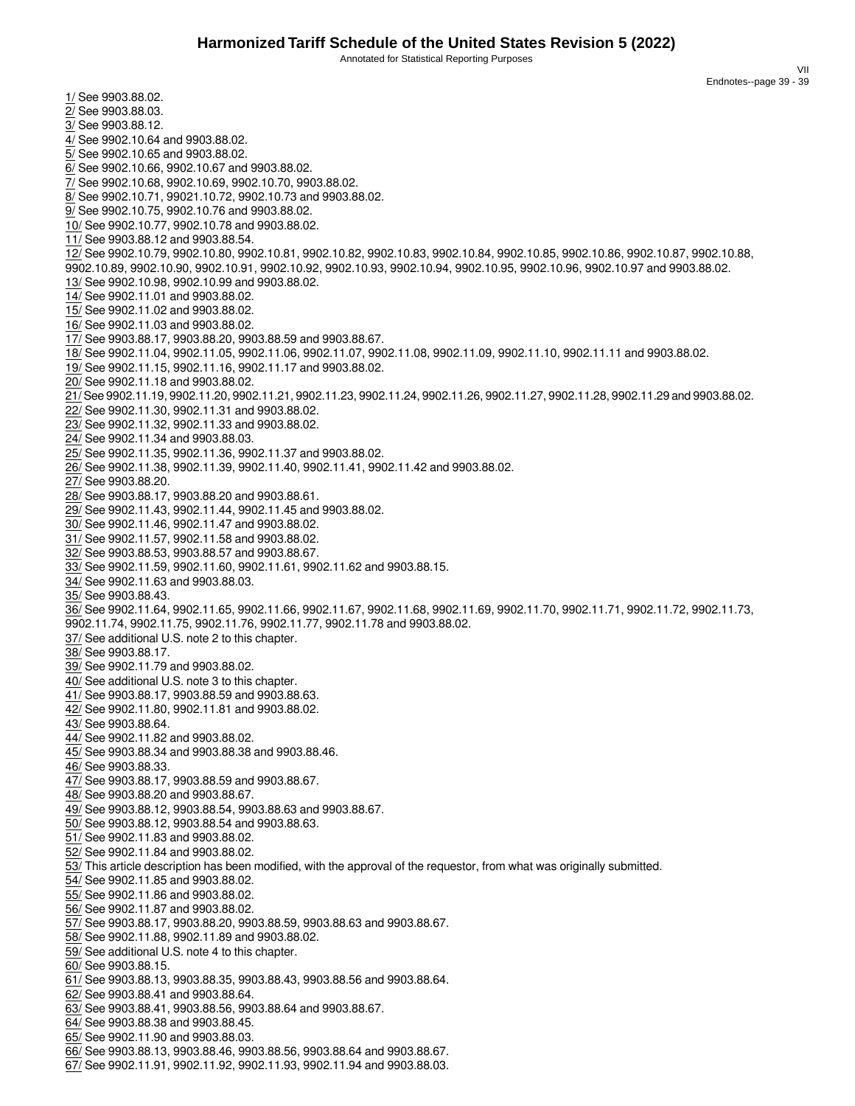Annotated for Statistical Reporting Purposes

VII Endnotes--page 39 - 39

<span id="page-40-36"></span><span id="page-40-35"></span><span id="page-40-34"></span><span id="page-40-33"></span><span id="page-40-32"></span><span id="page-40-31"></span><span id="page-40-30"></span><span id="page-40-29"></span><span id="page-40-28"></span><span id="page-40-27"></span><span id="page-40-26"></span><span id="page-40-25"></span><span id="page-40-24"></span><span id="page-40-23"></span><span id="page-40-22"></span><span id="page-40-21"></span><span id="page-40-20"></span><span id="page-40-19"></span><span id="page-40-18"></span><span id="page-40-17"></span><span id="page-40-16"></span><span id="page-40-15"></span><span id="page-40-14"></span><span id="page-40-13"></span><span id="page-40-12"></span><span id="page-40-11"></span><span id="page-40-10"></span><span id="page-40-9"></span><span id="page-40-8"></span><span id="page-40-7"></span><span id="page-40-6"></span><span id="page-40-5"></span><span id="page-40-4"></span><span id="page-40-3"></span><span id="page-40-2"></span><span id="page-40-1"></span><span id="page-40-0"></span>1/ See 9903.88.02. 2/ See 9903.88.03. 3/ See 9903.88.12. 4/ See 9902.10.64 and 9903.88.02. 5/ See 9902.10.65 and 9903.88.02. 6/ See 9902.10.66, 9902.10.67 and 9903.88.02. 7/ See 9902.10.68, 9902.10.69, 9902.10.70, 9903.88.02. 8/ See 9902.10.71, 99021.10.72, 9902.10.73 and 9903.88.02. 9/ See 9902.10.75, 9902.10.76 and 9903.88.02. 10/ See 9902.10.77, 9902.10.78 and 9903.88.02. 11/ See 9903.88.12 and 9903.88.54. 12/ See 9902.10.79, 9902.10.80, 9902.10.81, 9902.10.82, 9902.10.83, 9902.10.84, 9902.10.85, 9902.10.86, 9902.10.87, 9902.10.88, 9902.10.89, 9902.10.90, 9902.10.91, 9902.10.92, 9902.10.93, 9902.10.94, 9902.10.95, 9902.10.96, 9902.10.97 and 9903.88.02. 13/ See 9902.10.98, 9902.10.99 and 9903.88.02. 14/ See 9902.11.01 and 9903.88.02. 15/ See 9902.11.02 and 9903.88.02. 16/ See 9902.11.03 and 9903.88.02. 17/ See 9903.88.17, 9903.88.20, 9903.88.59 and 9903.88.67. 18/ See 9902.11.04, 9902.11.05, 9902.11.06, 9902.11.07, 9902.11.08, 9902.11.09, 9902.11.10, 9902.11.11 and 9903.88.02. 19/ See 9902.11.15, 9902.11.16, 9902.11.17 and 9903.88.02. 20/ See 9902.11.18 and 9903.88.02. 21/ See 9902.11.19, 9902.11.20, 9902.11.21, 9902.11.23, 9902.11.24, 9902.11.26, 9902.11.27, 9902.11.28, 9902.11.29 and 9903.88.02. 22/ See 9902.11.30, 9902.11.31 and 9903.88.02. 23/ See 9902.11.32, 9902.11.33 and 9903.88.02. 24/ See 9902.11.34 and 9903.88.03. 25/ See 9902.11.35, 9902.11.36, 9902.11.37 and 9903.88.02. 26/ See 9902.11.38, 9902.11.39, 9902.11.40, 9902.11.41, 9902.11.42 and 9903.88.02. 27/ See 9903.88.20. 28/ See 9903.88.17, 9903.88.20 and 9903.88.61. 29/ See 9902.11.43, 9902.11.44, 9902.11.45 and 9903.88.02. 30/ See 9902.11.46, 9902.11.47 and 9903.88.02. 31/ See 9902.11.57, 9902.11.58 and 9903.88.02. 32/ See 9903.88.53, 9903.88.57 and 9903.88.67. 33/ See 9902.11.59, 9902.11.60, 9902.11.61, 9902.11.62 and 9903.88.15. 34/ See 9902.11.63 and 9903.88.03. 35/ See 9903.88.43. 36/ See 9902.11.64, 9902.11.65, 9902.11.66, 9902.11.67, 9902.11.68, 9902.11.69, 9902.11.70, 9902.11.71, 9902.11.72, 9902.11.73, 9902.11.74, 9902.11.75, 9902.11.76, 9902.11.77, 9902.11.78 and 9903.88.02. 37/ See additional U.S. note 2 to this chapter. 38/ See 9903.88.17. 39/ See 9902.11.79 and 9903.88.02. 40/ See additional U.S. note 3 to this chapter. 41/ See 9903.88.17, 9903.88.59 and 9903.88.63. 42/ See 9902.11.80, 9902.11.81 and 9903.88.02. 43/ See 9903.88.64. 44/ See 9902.11.82 and 9903.88.02. 45/ See 9903.88.34 and 9903.88.38 and 9903.88.46. 46/ See 9903.88.33. 47/ See 9903.88.17, 9903.88.59 and 9903.88.67. 48/ See 9903.88.20 and 9903.88.67. 49/ See 9903.88.12, 9903.88.54, 9903.88.63 and 9903.88.67. 50/ See 9903.88.12, 9903.88.54 and 9903.88.63. 51/ See 9902.11.83 and 9903.88.02. 52/ See 9902.11.84 and 9903.88.02. 53/ This article description has been modified, with the approval of the requestor, from what was originally submitted. 54/ See 9902.11.85 and 9903.88.02. 55/ See 9902.11.86 and 9903.88.02. 56/ See 9902.11.87 and 9903.88.02. 57/ See 9903.88.17, 9903.88.20, 9903.88.59, 9903.88.63 and 9903.88.67. 58/ See 9902.11.88, 9902.11.89 and 9903.88.02. 59/ See additional U.S. note 4 to this chapter. 60/ See 9903.88.15. 61/ See 9903.88.13, 9903.88.35, 9903.88.43, 9903.88.56 and 9903.88.64. 62/ See 9903.88.41 and 9903.88.64. 63/ See 9903.88.41, 9903.88.56, 9903.88.64 and 9903.88.67. 64/ See 9903.88.38 and 9903.88.45. 65/ See 9902.11.90 and 9903.88.03. 66/ See 9903.88.13, 9903.88.46, 9903.88.56, 9903.88.64 and 9903.88.67.

<span id="page-40-66"></span><span id="page-40-65"></span><span id="page-40-64"></span><span id="page-40-63"></span><span id="page-40-62"></span><span id="page-40-61"></span><span id="page-40-60"></span><span id="page-40-59"></span><span id="page-40-58"></span><span id="page-40-57"></span><span id="page-40-56"></span><span id="page-40-55"></span><span id="page-40-54"></span><span id="page-40-53"></span><span id="page-40-52"></span><span id="page-40-51"></span><span id="page-40-50"></span><span id="page-40-49"></span><span id="page-40-48"></span><span id="page-40-47"></span><span id="page-40-46"></span><span id="page-40-45"></span><span id="page-40-44"></span><span id="page-40-43"></span><span id="page-40-42"></span><span id="page-40-41"></span><span id="page-40-40"></span><span id="page-40-39"></span><span id="page-40-38"></span><span id="page-40-37"></span>67/ See 9902.11.91, 9902.11.92, 9902.11.93, 9902.11.94 and 9903.88.03.